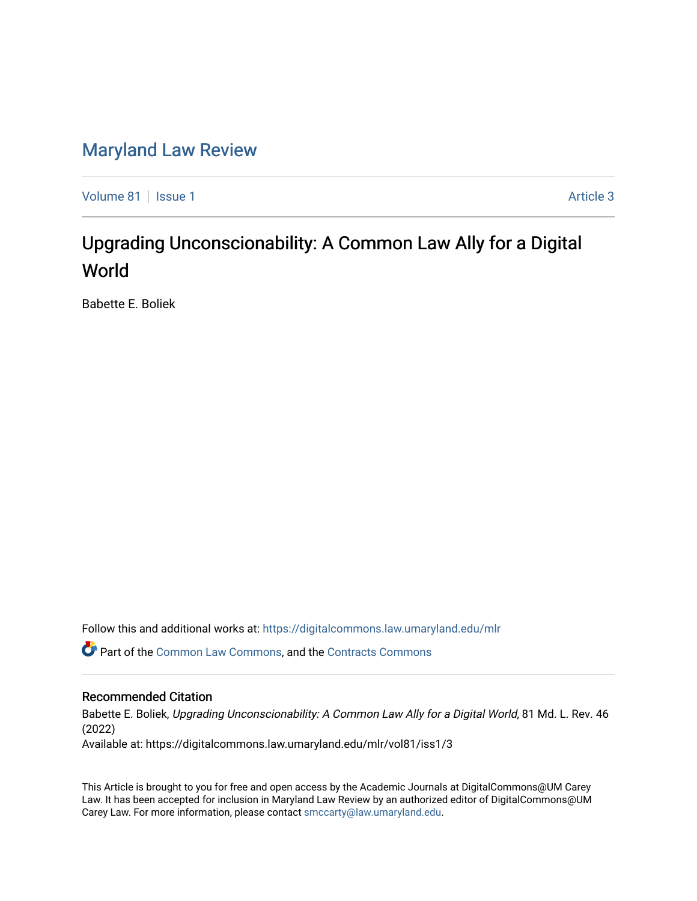## [Maryland Law Review](https://digitalcommons.law.umaryland.edu/mlr)

[Volume 81](https://digitalcommons.law.umaryland.edu/mlr/vol81) | [Issue 1](https://digitalcommons.law.umaryland.edu/mlr/vol81/iss1) Article 3

# Upgrading Unconscionability: A Common Law Ally for a Digital World

Babette E. Boliek

Follow this and additional works at: [https://digitalcommons.law.umaryland.edu/mlr](https://digitalcommons.law.umaryland.edu/mlr?utm_source=digitalcommons.law.umaryland.edu%2Fmlr%2Fvol81%2Fiss1%2F3&utm_medium=PDF&utm_campaign=PDFCoverPages)

Part of the [Common Law Commons,](http://network.bepress.com/hgg/discipline/1120?utm_source=digitalcommons.law.umaryland.edu%2Fmlr%2Fvol81%2Fiss1%2F3&utm_medium=PDF&utm_campaign=PDFCoverPages) and the [Contracts Commons](http://network.bepress.com/hgg/discipline/591?utm_source=digitalcommons.law.umaryland.edu%2Fmlr%2Fvol81%2Fiss1%2F3&utm_medium=PDF&utm_campaign=PDFCoverPages) 

## Recommended Citation

Babette E. Boliek, Upgrading Unconscionability: A Common Law Ally for a Digital World, 81 Md. L. Rev. 46 (2022)

Available at: https://digitalcommons.law.umaryland.edu/mlr/vol81/iss1/3

This Article is brought to you for free and open access by the Academic Journals at DigitalCommons@UM Carey Law. It has been accepted for inclusion in Maryland Law Review by an authorized editor of DigitalCommons@UM Carey Law. For more information, please contact [smccarty@law.umaryland.edu.](mailto:smccarty@law.umaryland.edu)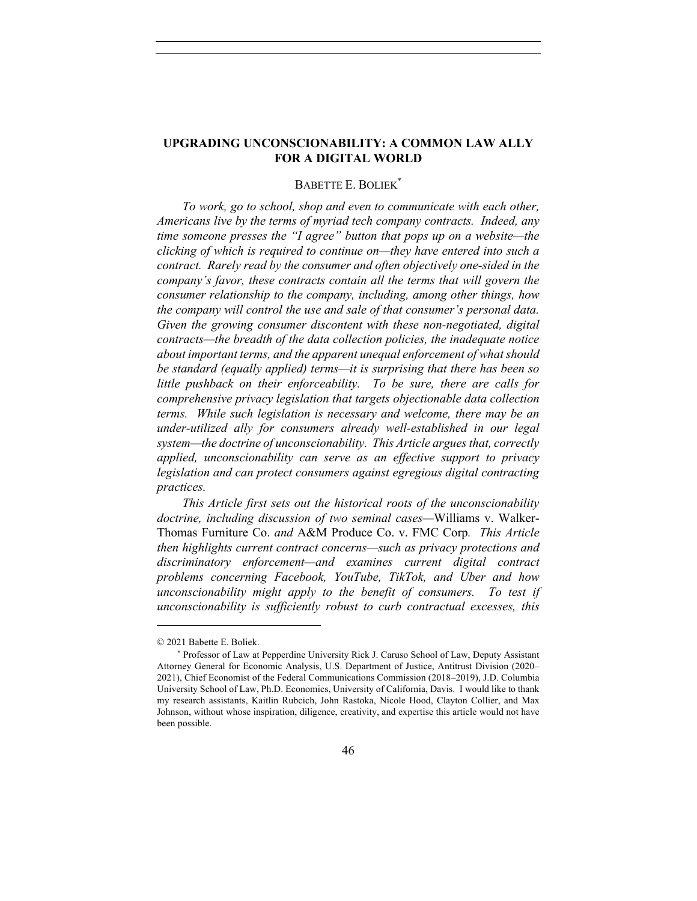## **UPGRADING UNCONSCIONABILITY: A COMMON LAW ALLY FOR A DIGITAL WORLD**

## BABETTE E. BOLIEK\*

*To work, go to school, shop and even to communicate with each other, Americans live by the terms of myriad tech company contracts. Indeed, any time someone presses the "I agree" button that pops up on a website—the clicking of which is required to continue on—they have entered into such a contract. Rarely read by the consumer and often objectively one-sided in the company's favor, these contracts contain all the terms that will govern the consumer relationship to the company, including, among other things, how the company will control the use and sale of that consumer's personal data. Given the growing consumer discontent with these non-negotiated, digital contracts—the breadth of the data collection policies, the inadequate notice about important terms, and the apparent unequal enforcement of what should be standard (equally applied) terms—it is surprising that there has been so little pushback on their enforceability. To be sure, there are calls for comprehensive privacy legislation that targets objectionable data collection terms. While such legislation is necessary and welcome, there may be an under-utilized ally for consumers already well-established in our legal system—the doctrine of unconscionability. This Article argues that, correctly applied, unconscionability can serve as an effective support to privacy legislation and can protect consumers against egregious digital contracting practices.*

*This Article first sets out the historical roots of the unconscionability doctrine, including discussion of two seminal cases—*Williams v. Walker-Thomas Furniture Co. *and* A&M Produce Co. v. FMC Corp*. This Article then highlights current contract concerns—such as privacy protections and discriminatory enforcement—and examines current digital contract problems concerning Facebook, YouTube, TikTok, and Uber and how unconscionability might apply to the benefit of consumers. To test if unconscionability is sufficiently robust to curb contractual excesses, this* 

<sup>© 2021</sup> Babette E. Boliek.

<sup>\*</sup> Professor of Law at Pepperdine University Rick J. Caruso School of Law, Deputy Assistant Attorney General for Economic Analysis, U.S. Department of Justice, Antitrust Division (2020– 2021), Chief Economist of the Federal Communications Commission (2018–2019), J.D. Columbia University School of Law, Ph.D. Economics, University of California, Davis. I would like to thank my research assistants, Kaitlin Rubcich, John Rastoka, Nicole Hood, Clayton Collier, and Max Johnson, without whose inspiration, diligence, creativity, and expertise this article would not have been possible.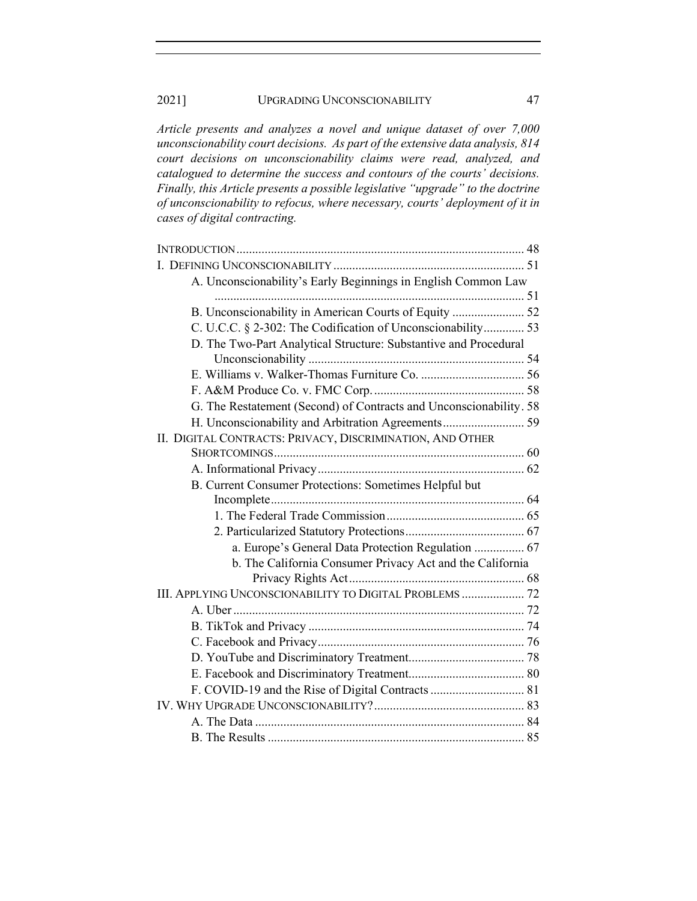*Article presents and analyzes a novel and unique dataset of over 7,000 unconscionability court decisions. As part of the extensive data analysis, 814 court decisions on unconscionability claims were read, analyzed, and catalogued to determine the success and contours of the courts' decisions. Finally, this Article presents a possible legislative "upgrade" to the doctrine of unconscionability to refocus, where necessary, courts' deployment of it in cases of digital contracting.*

| A. Unconscionability's Early Beginnings in English Common Law      |  |
|--------------------------------------------------------------------|--|
|                                                                    |  |
| B. Unconscionability in American Courts of Equity  52              |  |
| C. U.C.C. § 2-302: The Codification of Unconscionability 53        |  |
| D. The Two-Part Analytical Structure: Substantive and Procedural   |  |
|                                                                    |  |
|                                                                    |  |
|                                                                    |  |
| G. The Restatement (Second) of Contracts and Unconscionability. 58 |  |
|                                                                    |  |
| II. DIGITAL CONTRACTS: PRIVACY, DISCRIMINATION, AND OTHER          |  |
|                                                                    |  |
|                                                                    |  |
| B. Current Consumer Protections: Sometimes Helpful but             |  |
|                                                                    |  |
|                                                                    |  |
|                                                                    |  |
| a. Europe's General Data Protection Regulation  67                 |  |
| b. The California Consumer Privacy Act and the California          |  |
|                                                                    |  |
| III. APPLYING UNCONSCIONABILITY TO DIGITAL PROBLEMS  72            |  |
|                                                                    |  |
|                                                                    |  |
|                                                                    |  |
|                                                                    |  |
|                                                                    |  |
|                                                                    |  |
|                                                                    |  |
|                                                                    |  |
|                                                                    |  |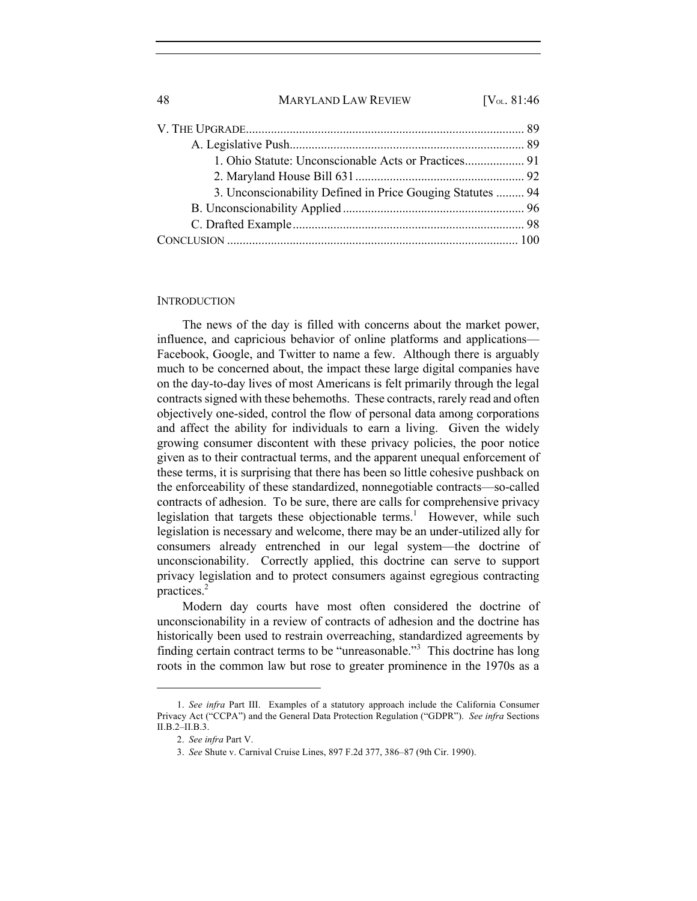| 3. Unconscionability Defined in Price Gouging Statutes  94 |  |
|------------------------------------------------------------|--|
|                                                            |  |
|                                                            |  |
|                                                            |  |

## **INTRODUCTION**

The news of the day is filled with concerns about the market power, influence, and capricious behavior of online platforms and applications— Facebook, Google, and Twitter to name a few. Although there is arguably much to be concerned about, the impact these large digital companies have on the day-to-day lives of most Americans is felt primarily through the legal contracts signed with these behemoths. These contracts, rarely read and often objectively one-sided, control the flow of personal data among corporations and affect the ability for individuals to earn a living. Given the widely growing consumer discontent with these privacy policies, the poor notice given as to their contractual terms, and the apparent unequal enforcement of these terms, it is surprising that there has been so little cohesive pushback on the enforceability of these standardized, nonnegotiable contracts—so-called contracts of adhesion. To be sure, there are calls for comprehensive privacy legislation that targets these objectionable terms.<sup>1</sup> However, while such legislation is necessary and welcome, there may be an under-utilized ally for consumers already entrenched in our legal system—the doctrine of unconscionability. Correctly applied, this doctrine can serve to support privacy legislation and to protect consumers against egregious contracting practices.2

Modern day courts have most often considered the doctrine of unconscionability in a review of contracts of adhesion and the doctrine has historically been used to restrain overreaching, standardized agreements by finding certain contract terms to be "unreasonable."<sup>3</sup> This doctrine has long roots in the common law but rose to greater prominence in the 1970s as a

<sup>1.</sup> *See infra* Part III. Examples of a statutory approach include the California Consumer Privacy Act ("CCPA") and the General Data Protection Regulation ("GDPR"). *See infra* Sections II.B.2–II.B.3.

<sup>2.</sup> *See infra* Part V.

<sup>3.</sup> *See* Shute v. Carnival Cruise Lines, 897 F.2d 377, 386–87 (9th Cir. 1990).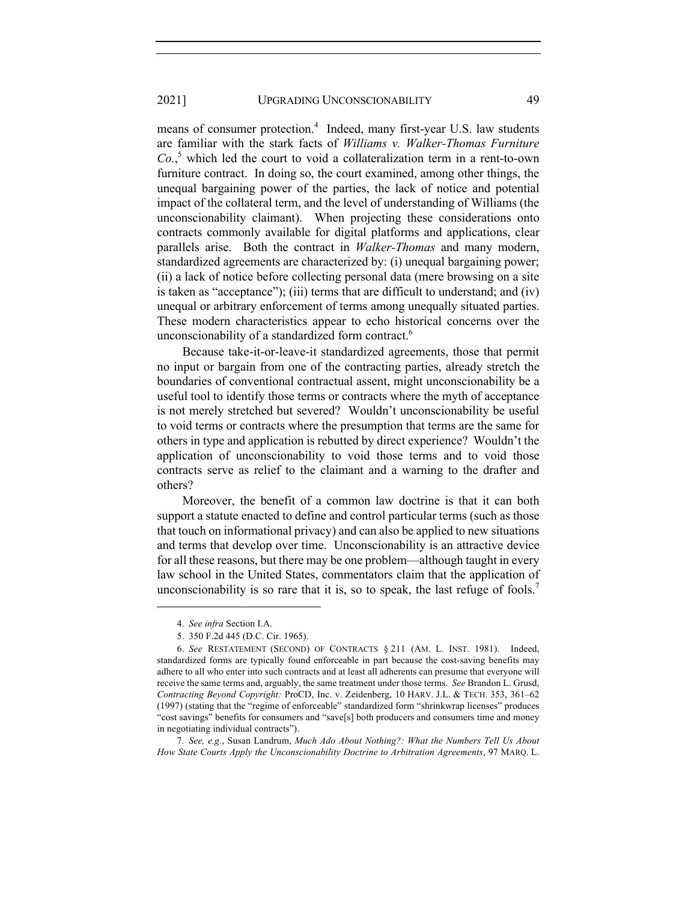means of consumer protection.<sup>4</sup> Indeed, many first-year U.S. law students are familiar with the stark facts of *Williams v. Walker-Thomas Furniture Co.*, <sup>5</sup> which led the court to void a collateralization term in a rent-to-own furniture contract. In doing so, the court examined, among other things, the unequal bargaining power of the parties, the lack of notice and potential impact of the collateral term, and the level of understanding of Williams (the unconscionability claimant). When projecting these considerations onto contracts commonly available for digital platforms and applications, clear parallels arise. Both the contract in *Walker-Thomas* and many modern, standardized agreements are characterized by: (i) unequal bargaining power; (ii) a lack of notice before collecting personal data (mere browsing on a site is taken as "acceptance"); (iii) terms that are difficult to understand; and (iv) unequal or arbitrary enforcement of terms among unequally situated parties. These modern characteristics appear to echo historical concerns over the unconscionability of a standardized form contract.<sup>6</sup>

Because take-it-or-leave-it standardized agreements, those that permit no input or bargain from one of the contracting parties, already stretch the boundaries of conventional contractual assent, might unconscionability be a useful tool to identify those terms or contracts where the myth of acceptance is not merely stretched but severed? Wouldn't unconscionability be useful to void terms or contracts where the presumption that terms are the same for others in type and application is rebutted by direct experience? Wouldn't the application of unconscionability to void those terms and to void those contracts serve as relief to the claimant and a warning to the drafter and others?

Moreover, the benefit of a common law doctrine is that it can both support a statute enacted to define and control particular terms (such as those that touch on informational privacy) and can also be applied to new situations and terms that develop over time. Unconscionability is an attractive device for all these reasons, but there may be one problem—although taught in every law school in the United States, commentators claim that the application of unconscionability is so rare that it is, so to speak, the last refuge of fools.<sup>7</sup>

<sup>4.</sup> *See infra* Section I.A.

<sup>5.</sup> 350 F.2d 445 (D.C. Cir. 1965).

<sup>6.</sup> *See* RESTATEMENT (SECOND) OF CONTRACTS § 211 (AM. L. INST. 1981). Indeed, standardized forms are typically found enforceable in part because the cost-saving benefits may adhere to all who enter into such contracts and at least all adherents can presume that everyone will receive the same terms and, arguably, the same treatment under those terms. *See* Brandon L. Grusd, *Contracting Beyond Copyright:* ProCD, Inc. v. Zeidenberg, 10 HARV. J.L. & TECH. 353, 361–62 (1997) (stating that the "regime of enforceable" standardized form "shrinkwrap licenses" produces "cost savings" benefits for consumers and "save[s] both producers and consumers time and money in negotiating individual contracts").

<sup>7</sup>*. See, e.g.*, Susan Landrum, *Much Ado About Nothing?: What the Numbers Tell Us About How State Courts Apply the Unconscionability Doctrine to Arbitration Agreements*, 97 MARQ. L.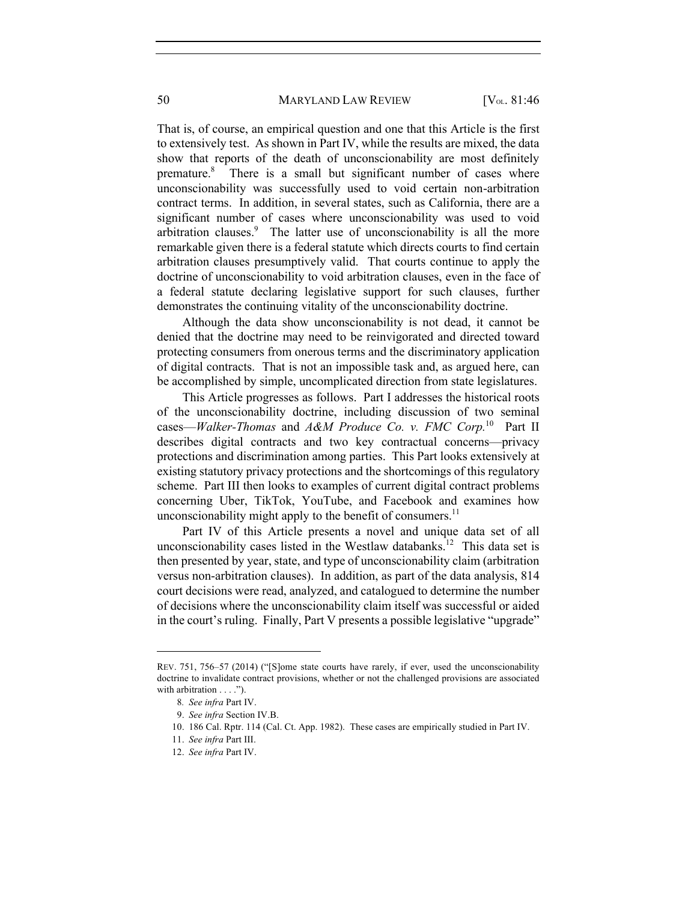That is, of course, an empirical question and one that this Article is the first to extensively test. As shown in Part IV, while the results are mixed, the data show that reports of the death of unconscionability are most definitely premature.<sup>8</sup> There is a small but significant number of cases where unconscionability was successfully used to void certain non-arbitration contract terms. In addition, in several states, such as California, there are a significant number of cases where unconscionability was used to void arbitration clauses.<sup>9</sup> The latter use of unconscionability is all the more remarkable given there is a federal statute which directs courts to find certain arbitration clauses presumptively valid. That courts continue to apply the doctrine of unconscionability to void arbitration clauses, even in the face of a federal statute declaring legislative support for such clauses, further demonstrates the continuing vitality of the unconscionability doctrine.

Although the data show unconscionability is not dead, it cannot be denied that the doctrine may need to be reinvigorated and directed toward protecting consumers from onerous terms and the discriminatory application of digital contracts. That is not an impossible task and, as argued here, can be accomplished by simple, uncomplicated direction from state legislatures.

This Article progresses as follows. Part I addresses the historical roots of the unconscionability doctrine, including discussion of two seminal cases—*Walker-Thomas* and *A&M Produce Co. v. FMC Corp.*10 Part II describes digital contracts and two key contractual concerns—privacy protections and discrimination among parties. This Part looks extensively at existing statutory privacy protections and the shortcomings of this regulatory scheme. Part III then looks to examples of current digital contract problems concerning Uber, TikTok, YouTube, and Facebook and examines how unconscionability might apply to the benefit of consumers. $11$ 

Part IV of this Article presents a novel and unique data set of all unconscionability cases listed in the Westlaw databanks.<sup>12</sup> This data set is then presented by year, state, and type of unconscionability claim (arbitration versus non-arbitration clauses). In addition, as part of the data analysis, 814 court decisions were read, analyzed, and catalogued to determine the number of decisions where the unconscionability claim itself was successful or aided in the court's ruling. Finally, Part V presents a possible legislative "upgrade"

REV. 751, 756–57 (2014) ("[S]ome state courts have rarely, if ever, used the unconscionability doctrine to invalidate contract provisions, whether or not the challenged provisions are associated with arbitration . . . .").

<sup>8</sup>*. See infra* Part IV.

<sup>9.</sup> *See infra* Section IV.B.

<sup>10.</sup> 186 Cal. Rptr. 114 (Cal. Ct. App. 1982). These cases are empirically studied in Part IV.

<sup>11.</sup> *See infra* Part III.

<sup>12.</sup> *See infra* Part IV.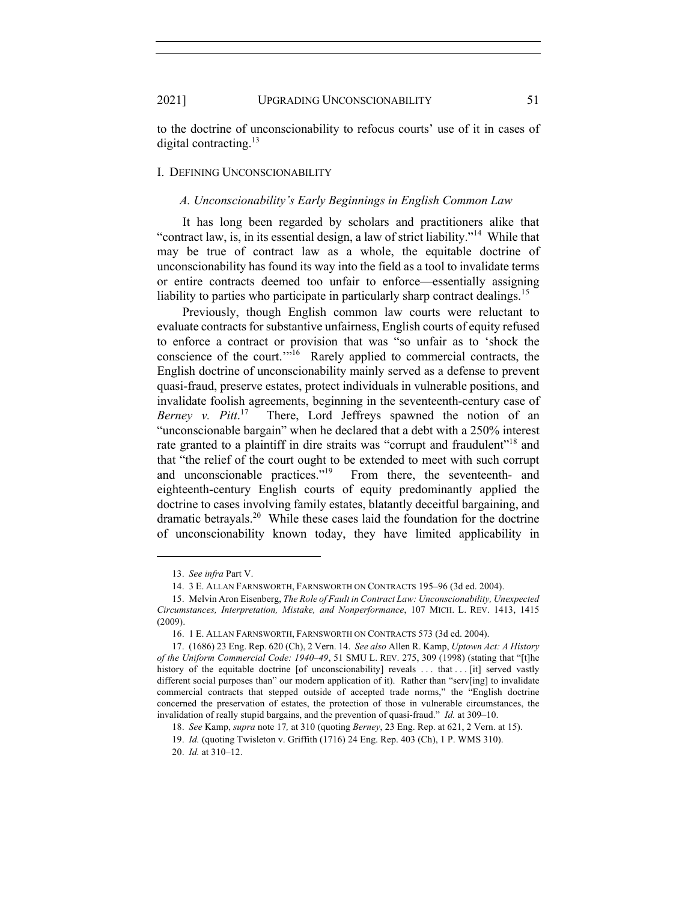to the doctrine of unconscionability to refocus courts' use of it in cases of digital contracting.<sup>13</sup>

## I. DEFINING UNCONSCIONABILITY

#### *A. Unconscionability's Early Beginnings in English Common Law*

It has long been regarded by scholars and practitioners alike that "contract law, is, in its essential design, a law of strict liability."14 While that may be true of contract law as a whole, the equitable doctrine of unconscionability has found its way into the field as a tool to invalidate terms or entire contracts deemed too unfair to enforce—essentially assigning liability to parties who participate in particularly sharp contract dealings.<sup>15</sup>

Previously, though English common law courts were reluctant to evaluate contracts for substantive unfairness, English courts of equity refused to enforce a contract or provision that was "so unfair as to 'shock the conscience of the court.'"16 Rarely applied to commercial contracts, the English doctrine of unconscionability mainly served as a defense to prevent quasi-fraud, preserve estates, protect individuals in vulnerable positions, and invalidate foolish agreements, beginning in the seventeenth-century case of *Berney v. Pitt*. 17 There, Lord Jeffreys spawned the notion of an "unconscionable bargain" when he declared that a debt with a 250% interest rate granted to a plaintiff in dire straits was "corrupt and fraudulent"<sup>18</sup> and that "the relief of the court ought to be extended to meet with such corrupt and unconscionable practices."<sup>19</sup> From there, the seventeenth- and eighteenth-century English courts of equity predominantly applied the doctrine to cases involving family estates, blatantly deceitful bargaining, and dramatic betrayals.<sup>20</sup> While these cases laid the foundation for the doctrine of unconscionability known today, they have limited applicability in

<sup>13.</sup> *See infra* Part V.

<sup>14.</sup> 3 E. ALLAN FARNSWORTH, FARNSWORTH ON CONTRACTS 195–96 (3d ed. 2004).

<sup>15.</sup> Melvin Aron Eisenberg, *The Role of Fault in Contract Law: Unconscionability, Unexpected Circumstances, Interpretation, Mistake, and Nonperformance*, 107 MICH. L. REV. 1413, 1415 (2009).

<sup>16.</sup> 1 E. ALLAN FARNSWORTH, FARNSWORTH ON CONTRACTS 573 (3d ed. 2004).

<sup>17.</sup> (1686) 23 Eng. Rep. 620 (Ch), 2 Vern. 14. *See also* Allen R. Kamp, *Uptown Act: A History of the Uniform Commercial Code: 1940–49*, 51 SMU L. REV. 275, 309 (1998) (stating that "[t]he history of the equitable doctrine [of unconscionability] reveals ... that ... [it] served vastly different social purposes than" our modern application of it). Rather than "serv[ing] to invalidate commercial contracts that stepped outside of accepted trade norms," the "English doctrine concerned the preservation of estates, the protection of those in vulnerable circumstances, the invalidation of really stupid bargains, and the prevention of quasi-fraud." *Id.* at 309–10.

<sup>18.</sup> *See* Kamp, *supra* note 17*,* at 310 (quoting *Berney*, 23 Eng. Rep. at 621, 2 Vern. at 15).

<sup>19.</sup> *Id.* (quoting Twisleton v. Griffith (1716) 24 Eng. Rep. 403 (Ch), 1 P. WMS 310).

<sup>20.</sup> *Id.* at 310–12.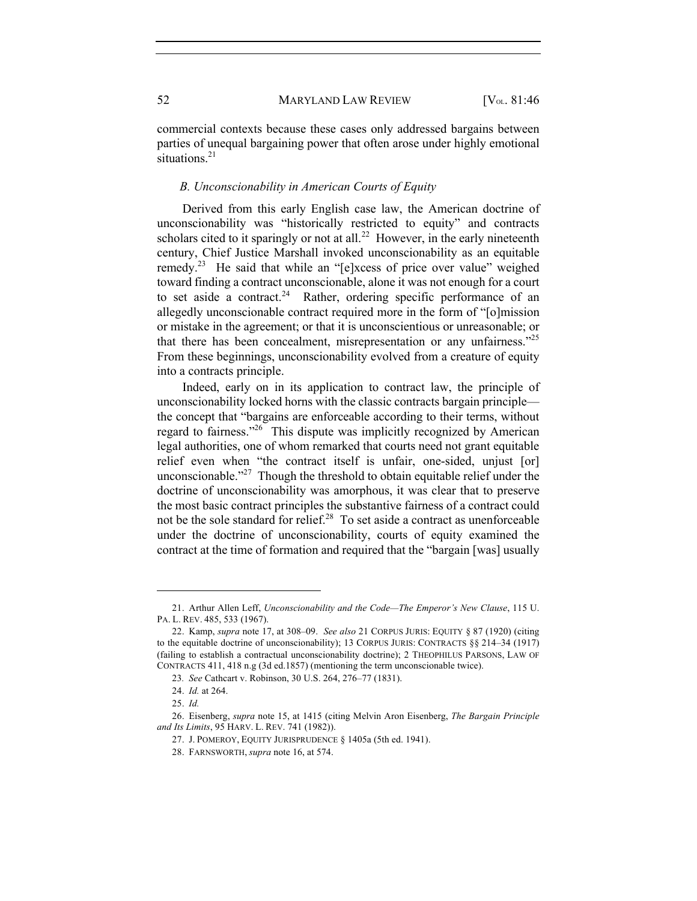commercial contexts because these cases only addressed bargains between parties of unequal bargaining power that often arose under highly emotional situations.<sup>21</sup>

## *B. Unconscionability in American Courts of Equity*

Derived from this early English case law, the American doctrine of unconscionability was "historically restricted to equity" and contracts scholars cited to it sparingly or not at all.<sup>22</sup> However, in the early nineteenth century, Chief Justice Marshall invoked unconscionability as an equitable remedy.<sup>23</sup> He said that while an "[e]xcess of price over value" weighed toward finding a contract unconscionable, alone it was not enough for a court to set aside a contract.<sup>24</sup> Rather, ordering specific performance of an allegedly unconscionable contract required more in the form of "[o]mission or mistake in the agreement; or that it is unconscientious or unreasonable; or that there has been concealment, misrepresentation or any unfairness."25 From these beginnings, unconscionability evolved from a creature of equity into a contracts principle.

Indeed, early on in its application to contract law, the principle of unconscionability locked horns with the classic contracts bargain principle the concept that "bargains are enforceable according to their terms, without regard to fairness."26 This dispute was implicitly recognized by American legal authorities, one of whom remarked that courts need not grant equitable relief even when "the contract itself is unfair, one-sided, unjust [or] unconscionable."<sup>27</sup> Though the threshold to obtain equitable relief under the doctrine of unconscionability was amorphous, it was clear that to preserve the most basic contract principles the substantive fairness of a contract could not be the sole standard for relief. $28$  To set aside a contract as unenforceable under the doctrine of unconscionability, courts of equity examined the contract at the time of formation and required that the "bargain [was] usually

<sup>21.</sup> Arthur Allen Leff, *Unconscionability and the Code—The Emperor's New Clause*, 115 U. PA. L. REV. 485, 533 (1967).

<sup>22.</sup> Kamp, *supra* note 17, at 308–09. *See also* 21 CORPUS JURIS: EQUITY § 87 (1920) (citing to the equitable doctrine of unconscionability); 13 CORPUS JURIS: CONTRACTS §§ 214–34 (1917) (failing to establish a contractual unconscionability doctrine); 2 THEOPHILUS PARSONS, LAW OF CONTRACTS 411, 418 n.g (3d ed.1857) (mentioning the term unconscionable twice).

<sup>23</sup>*. See* Cathcart v. Robinson, 30 U.S. 264, 276–77 (1831).

<sup>24.</sup> *Id.* at 264.

<sup>25.</sup> *Id.*

<sup>26.</sup> Eisenberg, *supra* note 15, at 1415 (citing Melvin Aron Eisenberg, *The Bargain Principle and Its Limits*, 95 HARV. L. REV. 741 (1982)).

<sup>27.</sup> J. POMEROY, EQUITY JURISPRUDENCE § 1405a (5th ed. 1941).

<sup>28.</sup> FARNSWORTH, *supra* note 16, at 574.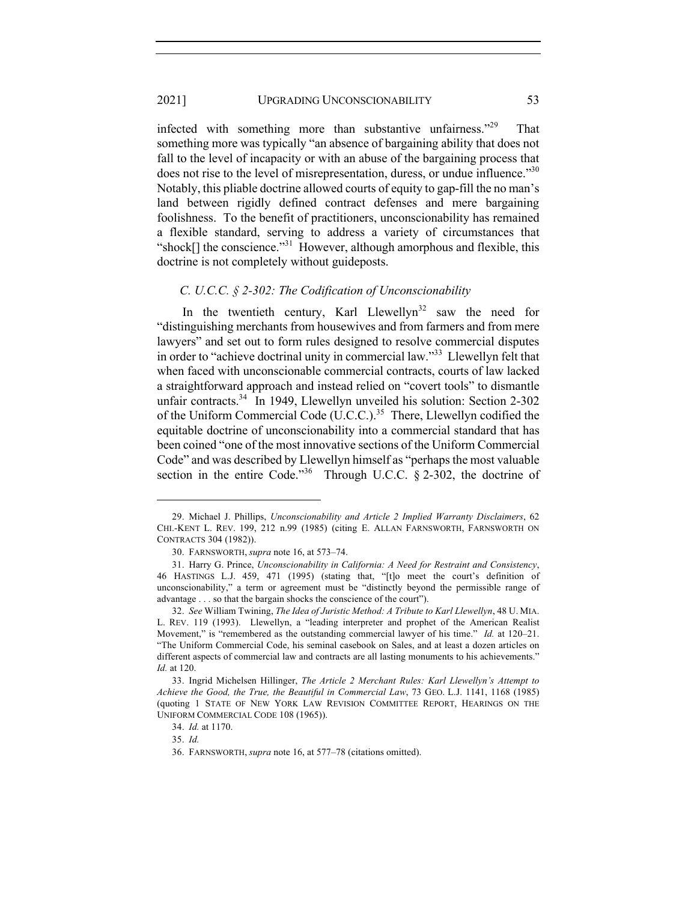infected with something more than substantive unfairness."29 That something more was typically "an absence of bargaining ability that does not fall to the level of incapacity or with an abuse of the bargaining process that does not rise to the level of misrepresentation, duress, or undue influence.<sup>330</sup> Notably, this pliable doctrine allowed courts of equity to gap-fill the no man's land between rigidly defined contract defenses and mere bargaining foolishness. To the benefit of practitioners, unconscionability has remained a flexible standard, serving to address a variety of circumstances that "shock[] the conscience."31 However, although amorphous and flexible, this doctrine is not completely without guideposts.

## *C. U.C.C. § 2-302: The Codification of Unconscionability*

In the twentieth century, Karl Llewellyn<sup>32</sup> saw the need for "distinguishing merchants from housewives and from farmers and from mere lawyers" and set out to form rules designed to resolve commercial disputes in order to "achieve doctrinal unity in commercial law."33 Llewellyn felt that when faced with unconscionable commercial contracts, courts of law lacked a straightforward approach and instead relied on "covert tools" to dismantle unfair contracts.<sup>34</sup> In 1949, Llewellyn unveiled his solution: Section 2-302 of the Uniform Commercial Code (U.C.C.).35 There, Llewellyn codified the equitable doctrine of unconscionability into a commercial standard that has been coined "one of the most innovative sections of the Uniform Commercial Code" and was described by Llewellyn himself as "perhaps the most valuable section in the entire Code."<sup>36</sup> Through U.C.C.  $\S$  2-302, the doctrine of

<sup>29.</sup> Michael J. Phillips, *Unconscionability and Article 2 Implied Warranty Disclaimers*, 62 CHI.-KENT L. REV. 199, 212 n.99 (1985) (citing E. ALLAN FARNSWORTH, FARNSWORTH ON CONTRACTS 304 (1982)).

<sup>30.</sup> FARNSWORTH, *supra* note 16, at 573–74.

<sup>31.</sup> Harry G. Prince, *Unconscionability in California: A Need for Restraint and Consistency*, 46 HASTINGS L.J. 459, 471 (1995) (stating that, "[t]o meet the court's definition of unconscionability," a term or agreement must be "distinctly beyond the permissible range of advantage . . . so that the bargain shocks the conscience of the court").

<sup>32.</sup> *See* William Twining, *The Idea of Juristic Method: A Tribute to Karl Llewellyn*, 48 U. MIA. L. REV. 119 (1993). Llewellyn, a "leading interpreter and prophet of the American Realist Movement," is "remembered as the outstanding commercial lawyer of his time." *Id.* at 120–21. "The Uniform Commercial Code, his seminal casebook on Sales, and at least a dozen articles on different aspects of commercial law and contracts are all lasting monuments to his achievements." *Id.* at 120.

<sup>33.</sup> Ingrid Michelsen Hillinger, *The Article 2 Merchant Rules: Karl Llewellyn's Attempt to Achieve the Good, the True, the Beautiful in Commercial Law*, 73 GEO. L.J. 1141, 1168 (1985) (quoting 1 STATE OF NEW YORK LAW REVISION COMMITTEE REPORT, HEARINGS ON THE UNIFORM COMMERCIAL CODE 108 (1965)).

<sup>34.</sup> *Id.* at 1170.

<sup>35.</sup> *Id.*

<sup>36.</sup> FARNSWORTH, *supra* note 16, at 577–78 (citations omitted).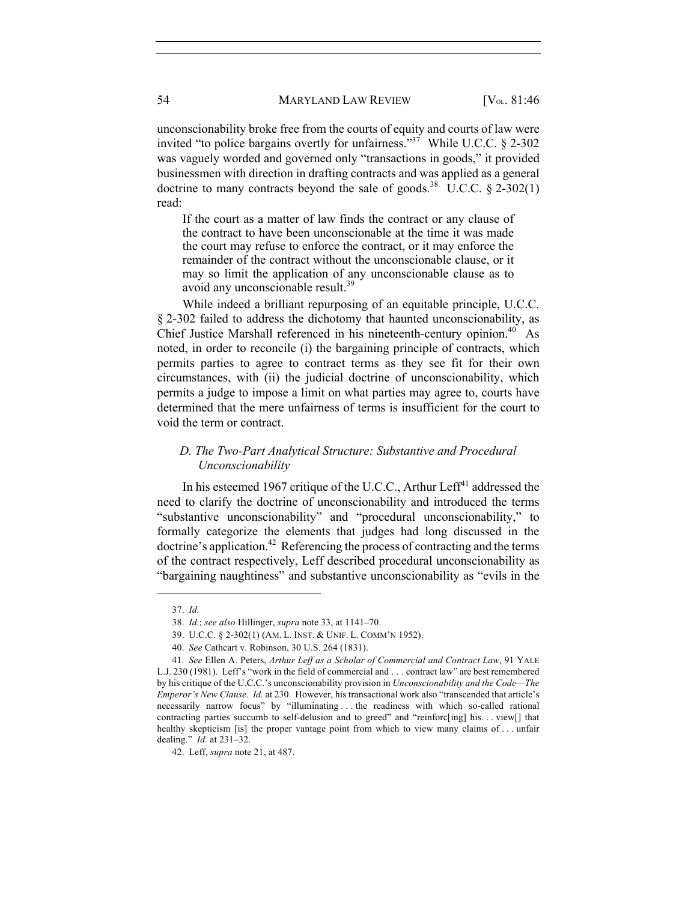unconscionability broke free from the courts of equity and courts of law were invited "to police bargains overtly for unfairness."<sup>37</sup> While U.C.C. § 2-302 was vaguely worded and governed only "transactions in goods," it provided businessmen with direction in drafting contracts and was applied as a general doctrine to many contracts beyond the sale of goods.<sup>38</sup> U.C.C.  $\S$  2-302(1) read:

If the court as a matter of law finds the contract or any clause of the contract to have been unconscionable at the time it was made the court may refuse to enforce the contract, or it may enforce the remainder of the contract without the unconscionable clause, or it may so limit the application of any unconscionable clause as to avoid any unconscionable result.<sup>39</sup>

While indeed a brilliant repurposing of an equitable principle, U.C.C. § 2-302 failed to address the dichotomy that haunted unconscionability, as Chief Justice Marshall referenced in his nineteenth-century opinion.<sup>40</sup> As noted, in order to reconcile (i) the bargaining principle of contracts, which permits parties to agree to contract terms as they see fit for their own circumstances, with (ii) the judicial doctrine of unconscionability, which permits a judge to impose a limit on what parties may agree to, courts have determined that the mere unfairness of terms is insufficient for the court to void the term or contract.

## *D. The Two-Part Analytical Structure: Substantive and Procedural Unconscionability*

In his esteemed 1967 critique of the U.C.C., Arthur Leff $41$  addressed the need to clarify the doctrine of unconscionability and introduced the terms "substantive unconscionability" and "procedural unconscionability," to formally categorize the elements that judges had long discussed in the  $d$  doctrine's application.<sup>42</sup> Referencing the process of contracting and the terms of the contract respectively, Leff described procedural unconscionability as "bargaining naughtiness" and substantive unconscionability as "evils in the

<sup>37.</sup> *Id.*

<sup>38.</sup> *Id.*; *see also* Hillinger, *supra* note 33, at 1141–70.

<sup>39.</sup> U.C.C. § 2-302(1) (AM. L. INST. & UNIF. L. COMM'N 1952).

<sup>40.</sup> *See* Cathcart v. Robinson, 30 U.S. 264 (1831).

<sup>41</sup>*. See* Ellen A. Peters, *Arthur Leff as a Scholar of Commercial and Contract Law*, 91 YALE L.J. 230 (1981). Leff's "work in the field of commercial and . . . contract law" are best remembered by his critique of the U.C.C.'s unconscionability provision in *Unconscionability and the Code—The Emperor's New Clause*. *Id.* at 230. However, his transactional work also "transcended that article's necessarily narrow focus" by "illuminating . . . the readiness with which so-called rational contracting parties succumb to self-delusion and to greed" and "reinforc[ing] his. . . view[] that healthy skepticism [is] the proper vantage point from which to view many claims of ... unfair dealing." *Id.* at 231–32.

<sup>42.</sup> Leff, *supra* note 21, at 487.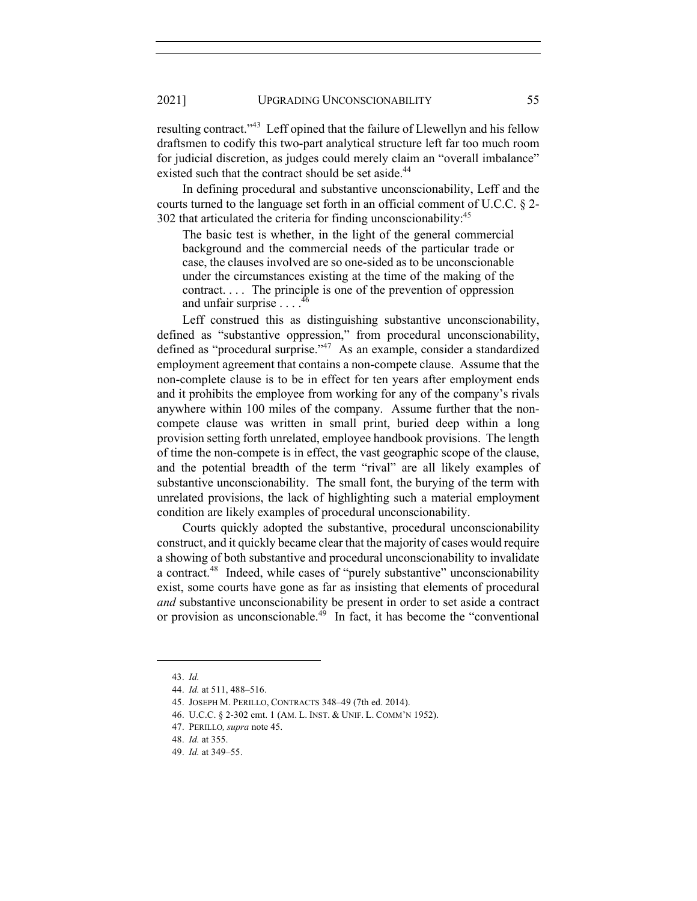resulting contract."43 Leff opined that the failure of Llewellyn and his fellow draftsmen to codify this two-part analytical structure left far too much room for judicial discretion, as judges could merely claim an "overall imbalance" existed such that the contract should be set aside.<sup>44</sup>

In defining procedural and substantive unconscionability, Leff and the courts turned to the language set forth in an official comment of U.C.C. § 2- 302 that articulated the criteria for finding unconscionability:<sup>45</sup>

The basic test is whether, in the light of the general commercial background and the commercial needs of the particular trade or case, the clauses involved are so one-sided as to be unconscionable under the circumstances existing at the time of the making of the contract. . . . The principle is one of the prevention of oppression and unfair surprise . . . .<sup>46</sup>

Leff construed this as distinguishing substantive unconscionability, defined as "substantive oppression," from procedural unconscionability, defined as "procedural surprise."<sup>47</sup> As an example, consider a standardized employment agreement that contains a non-compete clause. Assume that the non-complete clause is to be in effect for ten years after employment ends and it prohibits the employee from working for any of the company's rivals anywhere within 100 miles of the company. Assume further that the noncompete clause was written in small print, buried deep within a long provision setting forth unrelated, employee handbook provisions. The length of time the non-compete is in effect, the vast geographic scope of the clause, and the potential breadth of the term "rival" are all likely examples of substantive unconscionability. The small font, the burying of the term with unrelated provisions, the lack of highlighting such a material employment condition are likely examples of procedural unconscionability.

Courts quickly adopted the substantive, procedural unconscionability construct, and it quickly became clear that the majority of cases would require a showing of both substantive and procedural unconscionability to invalidate a contract.<sup>48</sup> Indeed, while cases of "purely substantive" unconscionability exist, some courts have gone as far as insisting that elements of procedural *and* substantive unconscionability be present in order to set aside a contract or provision as unconscionable.<sup>49</sup> In fact, it has become the "conventional"

<sup>43.</sup> *Id.*

<sup>44.</sup> *Id.* at 511, 488–516.

<sup>45.</sup> JOSEPH M. PERILLO, CONTRACTS 348–49 (7th ed. 2014).

<sup>46.</sup> U.C.C. § 2-302 cmt. 1 (AM. L. INST. & UNIF. L. COMM'N 1952).

<sup>47.</sup> PERILLO*, supra* note 45.

<sup>48.</sup> *Id.* at 355.

<sup>49.</sup> *Id.* at 349–55.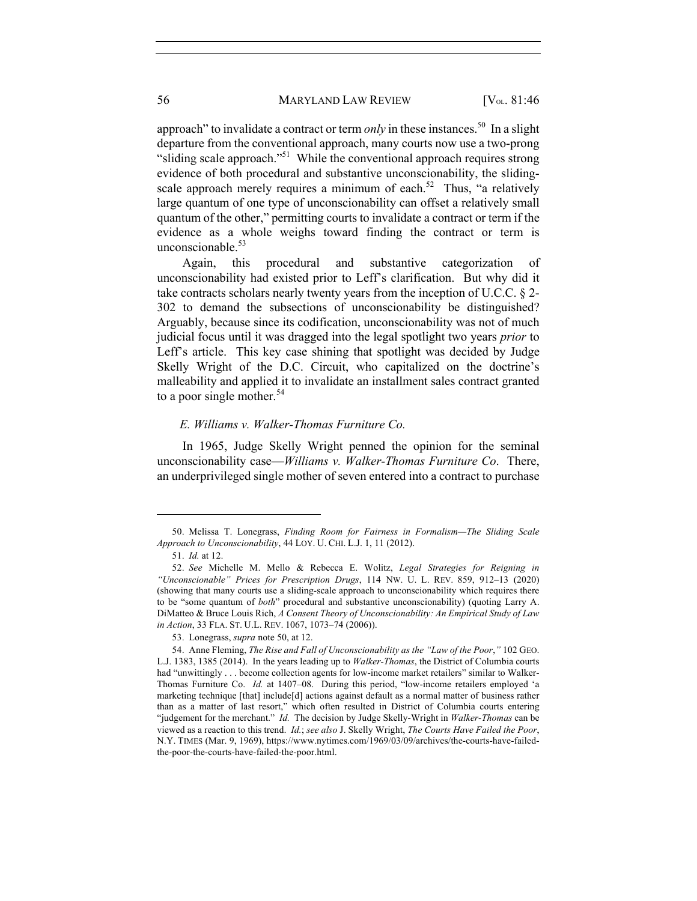approach" to invalidate a contract or term *only* in these instances.<sup>50</sup> In a slight departure from the conventional approach, many courts now use a two-prong "sliding scale approach."51 While the conventional approach requires strong evidence of both procedural and substantive unconscionability, the slidingscale approach merely requires a minimum of each.<sup>52</sup> Thus, "a relatively large quantum of one type of unconscionability can offset a relatively small quantum of the other," permitting courts to invalidate a contract or term if the evidence as a whole weighs toward finding the contract or term is unconscionable.<sup>53</sup>

Again, this procedural and substantive categorization of unconscionability had existed prior to Leff's clarification. But why did it take contracts scholars nearly twenty years from the inception of U.C.C. § 2- 302 to demand the subsections of unconscionability be distinguished? Arguably, because since its codification, unconscionability was not of much judicial focus until it was dragged into the legal spotlight two years *prior* to Leff's article. This key case shining that spotlight was decided by Judge Skelly Wright of the D.C. Circuit, who capitalized on the doctrine's malleability and applied it to invalidate an installment sales contract granted to a poor single mother.<sup>54</sup>

#### *E. Williams v. Walker-Thomas Furniture Co.*

In 1965, Judge Skelly Wright penned the opinion for the seminal unconscionability case—*Williams v. Walker-Thomas Furniture Co*. There, an underprivileged single mother of seven entered into a contract to purchase

<sup>50.</sup> Melissa T. Lonegrass, *Finding Room for Fairness in Formalism—The Sliding Scale Approach to Unconscionability*, 44 LOY. U. CHI. L.J. 1, 11 (2012).

<sup>51.</sup> *Id.* at 12.

<sup>52.</sup> *See* Michelle M. Mello & Rebecca E. Wolitz, *Legal Strategies for Reigning in "Unconscionable" Prices for Prescription Drugs*, 114 NW. U. L. REV. 859, 912–13 (2020) (showing that many courts use a sliding-scale approach to unconscionability which requires there to be "some quantum of *both*" procedural and substantive unconscionability) (quoting Larry A. DiMatteo & Bruce Louis Rich, *A Consent Theory of Unconscionability: An Empirical Study of Law in Action*, 33 FLA. ST. U.L. REV. 1067, 1073–74 (2006)).

<sup>53.</sup> Lonegrass, *supra* note 50, at 12.

<sup>54.</sup> Anne Fleming, *The Rise and Fall of Unconscionability as the "Law of the Poor*,*"* 102 GEO. L.J. 1383, 1385 (2014). In the years leading up to *Walker-Thomas*, the District of Columbia courts had "unwittingly . . . become collection agents for low-income market retailers" similar to Walker-Thomas Furniture Co. *Id.* at 1407–08. During this period, "low-income retailers employed 'a marketing technique [that] include[d] actions against default as a normal matter of business rather than as a matter of last resort," which often resulted in District of Columbia courts entering "judgement for the merchant." *Id.* The decision by Judge Skelly-Wright in *Walker-Thomas* can be viewed as a reaction to this trend. *Id.*; *see also* J. Skelly Wright, *The Courts Have Failed the Poor*, N.Y. TIMES (Mar. 9, 1969), https://www.nytimes.com/1969/03/09/archives/the-courts-have-failedthe-poor-the-courts-have-failed-the-poor.html.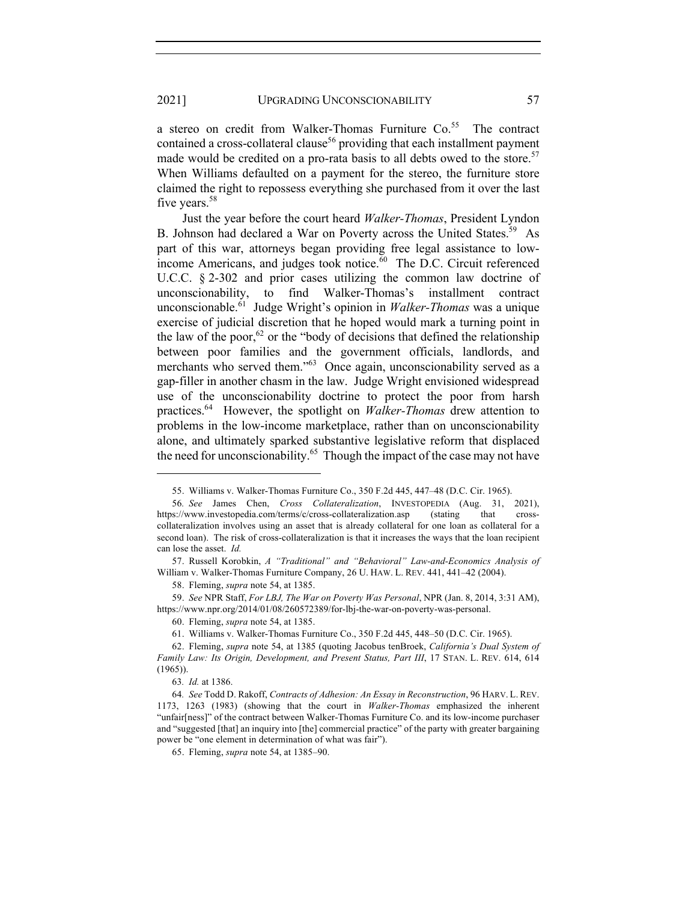a stereo on credit from Walker-Thomas Furniture  $Co<sub>55</sub>$  The contract contained a cross-collateral clause<sup>56</sup> providing that each installment payment made would be credited on a pro-rata basis to all debts owed to the store.<sup>57</sup> When Williams defaulted on a payment for the stereo, the furniture store claimed the right to repossess everything she purchased from it over the last five years.<sup>58</sup>

Just the year before the court heard *Walker-Thomas*, President Lyndon B. Johnson had declared a War on Poverty across the United States.<sup>59</sup> As part of this war, attorneys began providing free legal assistance to lowincome Americans, and judges took notice. $60$  The D.C. Circuit referenced U.C.C. § 2-302 and prior cases utilizing the common law doctrine of unconscionability, to find Walker-Thomas's installment contract unconscionable.61 Judge Wright's opinion in *Walker-Thomas* was a unique exercise of judicial discretion that he hoped would mark a turning point in the law of the poor,<sup>62</sup> or the "body of decisions that defined the relationship between poor families and the government officials, landlords, and merchants who served them."<sup>63</sup> Once again, unconscionability served as a gap-filler in another chasm in the law. Judge Wright envisioned widespread use of the unconscionability doctrine to protect the poor from harsh practices.64 However, the spotlight on *Walker-Thomas* drew attention to problems in the low-income marketplace, rather than on unconscionability alone, and ultimately sparked substantive legislative reform that displaced the need for unconscionability.<sup>65</sup> Though the impact of the case may not have

<sup>55.</sup> Williams v. Walker-Thomas Furniture Co., 350 F.2d 445, 447–48 (D.C. Cir. 1965).

<sup>56</sup>*. See* James Chen, *Cross Collateralization*, INVESTOPEDIA (Aug. 31, 2021), https://www.investopedia.com/terms/c/cross-collateralization.asp (stating that crosscollateralization involves using an asset that is already collateral for one loan as collateral for a second loan). The risk of cross-collateralization is that it increases the ways that the loan recipient can lose the asset. *Id.*

<sup>57.</sup> Russell Korobkin, *A "Traditional" and "Behavioral" Law-and-Economics Analysis of*  William v. Walker-Thomas Furniture Company, 26 U. HAW. L. REV. 441, 441–42 (2004).

<sup>58.</sup> Fleming, *supra* note 54, at 1385.

<sup>59.</sup> *See* NPR Staff, *For LBJ, The War on Poverty Was Personal*, NPR (Jan. 8, 2014, 3:31 AM), https://www.npr.org/2014/01/08/260572389/for-lbj-the-war-on-poverty-was-personal.

<sup>60.</sup> Fleming, *supra* note 54, at 1385.

<sup>61.</sup> Williams v. Walker-Thomas Furniture Co., 350 F.2d 445, 448–50 (D.C. Cir. 1965).

<sup>62.</sup> Fleming, *supra* note 54, at 1385 (quoting Jacobus tenBroek, *California's Dual System of Family Law: Its Origin, Development, and Present Status, Part III*, 17 STAN. L. REV. 614, 614 (1965)).

<sup>63</sup>*. Id.* at 1386.

<sup>64</sup>*. See* Todd D. Rakoff, *Contracts of Adhesion: An Essay in Reconstruction*, 96 HARV. L. REV. 1173, 1263 (1983) (showing that the court in *Walker-Thomas* emphasized the inherent "unfair[ness]" of the contract between Walker-Thomas Furniture Co. and its low-income purchaser and "suggested [that] an inquiry into [the] commercial practice" of the party with greater bargaining power be "one element in determination of what was fair").

<sup>65.</sup> Fleming, *supra* note 54, at 1385–90.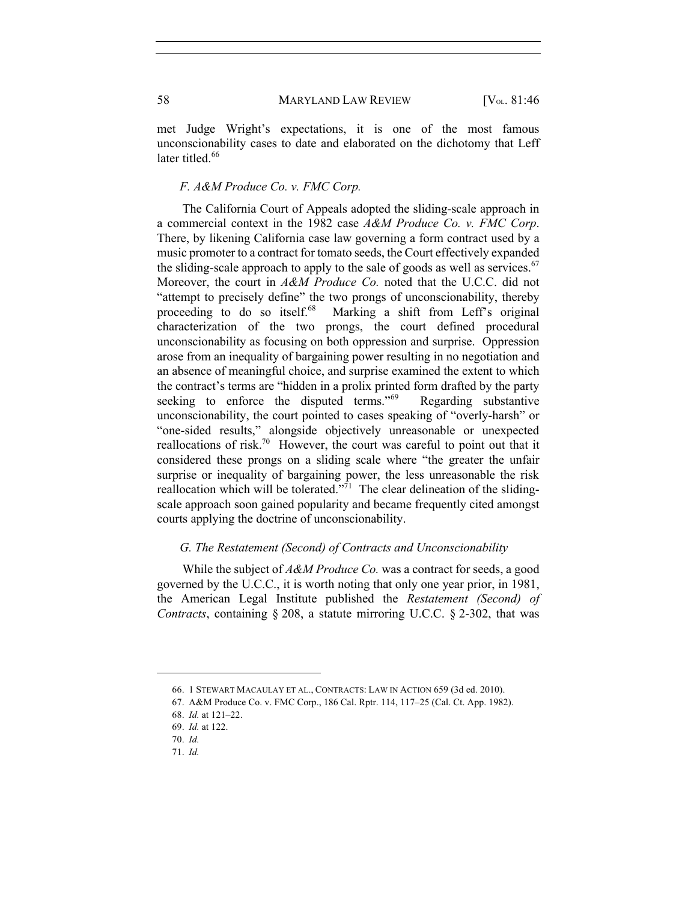met Judge Wright's expectations, it is one of the most famous unconscionability cases to date and elaborated on the dichotomy that Leff later titled.<sup>66</sup>

## *F. A&M Produce Co. v. FMC Corp.*

The California Court of Appeals adopted the sliding-scale approach in a commercial context in the 1982 case *A&M Produce Co. v. FMC Corp*. There, by likening California case law governing a form contract used by a music promoter to a contract for tomato seeds, the Court effectively expanded the sliding-scale approach to apply to the sale of goods as well as services.<sup>67</sup> Moreover, the court in *A&M Produce Co.* noted that the U.C.C. did not "attempt to precisely define" the two prongs of unconscionability, thereby proceeding to do so itself.<sup>68</sup> Marking a shift from Leff's original Marking a shift from Leff's original characterization of the two prongs, the court defined procedural unconscionability as focusing on both oppression and surprise. Oppression arose from an inequality of bargaining power resulting in no negotiation and an absence of meaningful choice, and surprise examined the extent to which the contract's terms are "hidden in a prolix printed form drafted by the party seeking to enforce the disputed terms."<sup>69</sup> Regarding substantive unconscionability, the court pointed to cases speaking of "overly-harsh" or "one-sided results," alongside objectively unreasonable or unexpected reallocations of risk.<sup>70</sup> However, the court was careful to point out that it considered these prongs on a sliding scale where "the greater the unfair surprise or inequality of bargaining power, the less unreasonable the risk reallocation which will be tolerated."<sup>71</sup> The clear delineation of the slidingscale approach soon gained popularity and became frequently cited amongst courts applying the doctrine of unconscionability.

## *G. The Restatement (Second) of Contracts and Unconscionability*

While the subject of *A&M Produce Co.* was a contract for seeds, a good governed by the U.C.C., it is worth noting that only one year prior, in 1981, the American Legal Institute published the *Restatement (Second) of Contracts*, containing § 208, a statute mirroring U.C.C. § 2-302, that was

<sup>66.</sup> 1 STEWART MACAULAY ET AL., CONTRACTS: LAW IN ACTION 659 (3d ed. 2010).

<sup>67.</sup> A&M Produce Co. v. FMC Corp., 186 Cal. Rptr. 114, 117–25 (Cal. Ct. App. 1982).

<sup>68.</sup> *Id.* at 121–22.

<sup>69.</sup> *Id.* at 122.

<sup>70.</sup> *Id.*

<sup>71.</sup> *Id.*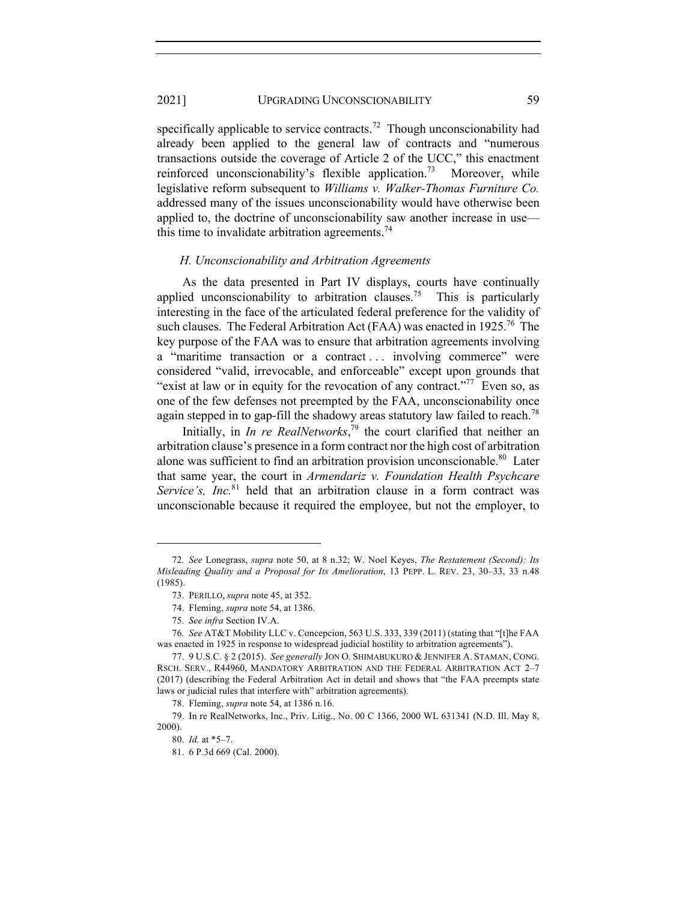specifically applicable to service contracts.<sup>72</sup> Though unconscionability had already been applied to the general law of contracts and "numerous transactions outside the coverage of Article 2 of the UCC," this enactment reinforced unconscionability's flexible application.<sup>73</sup> Moreover, while legislative reform subsequent to *Williams v. Walker-Thomas Furniture Co.*  addressed many of the issues unconscionability would have otherwise been applied to, the doctrine of unconscionability saw another increase in use this time to invalidate arbitration agreements.<sup>74</sup>

#### *H. Unconscionability and Arbitration Agreements*

As the data presented in Part IV displays, courts have continually applied unconscionability to arbitration clauses.<sup>75</sup> This is particularly interesting in the face of the articulated federal preference for the validity of such clauses. The Federal Arbitration Act (FAA) was enacted in  $1925$ <sup>76</sup>. The key purpose of the FAA was to ensure that arbitration agreements involving a "maritime transaction or a contract ... involving commerce" were considered "valid, irrevocable, and enforceable" except upon grounds that "exist at law or in equity for the revocation of any contract."<sup>77</sup> Even so, as one of the few defenses not preempted by the FAA, unconscionability once again stepped in to gap-fill the shadowy areas statutory law failed to reach.<sup>78</sup>

Initially, in *In re RealNetworks*, <sup>79</sup> the court clarified that neither an arbitration clause's presence in a form contract nor the high cost of arbitration alone was sufficient to find an arbitration provision unconscionable.<sup>80</sup> Later that same year, the court in *Armendariz v. Foundation Health Psychcare Service's, Inc.*<sup>81</sup> held that an arbitration clause in a form contract was unconscionable because it required the employee, but not the employer, to

<sup>72</sup>*. See* Lonegrass, *supra* note 50, at 8 n.32; W. Noel Keyes, *The Restatement (Second): Its Misleading Quality and a Proposal for Its Amelioration*, 13 PEPP. L. REV. 23, 30–33, 33 n.48 (1985).

<sup>73.</sup> PERILLO, *supra* note 45, at 352.

<sup>74.</sup> Fleming, *supra* note 54, at 1386.

<sup>75</sup>*. See infra* Section IV.A.

<sup>76</sup>*. See* AT&T Mobility LLC v. Concepcion, 563 U.S. 333, 339 (2011) (stating that "[t]he FAA was enacted in 1925 in response to widespread judicial hostility to arbitration agreements").

<sup>77.</sup> 9 U.S.C. § 2 (2015). *See generally* JON O. SHIMABUKURO & JENNIFER A. STAMAN, CONG. RSCH. SERV., R44960, MANDATORY ARBITRATION AND THE FEDERAL ARBITRATION ACT 2–7 (2017) (describing the Federal Arbitration Act in detail and shows that "the FAA preempts state laws or judicial rules that interfere with" arbitration agreements).

<sup>78.</sup> Fleming, *supra* note 54, at 1386 n.16.

<sup>79.</sup> In re RealNetworks, Inc., Priv. Litig., No. 00 C 1366, 2000 WL 631341 (N.D. Ill. May 8, 2000).

<sup>80.</sup> *Id.* at \*5–7.

<sup>81.</sup> 6 P.3d 669 (Cal. 2000).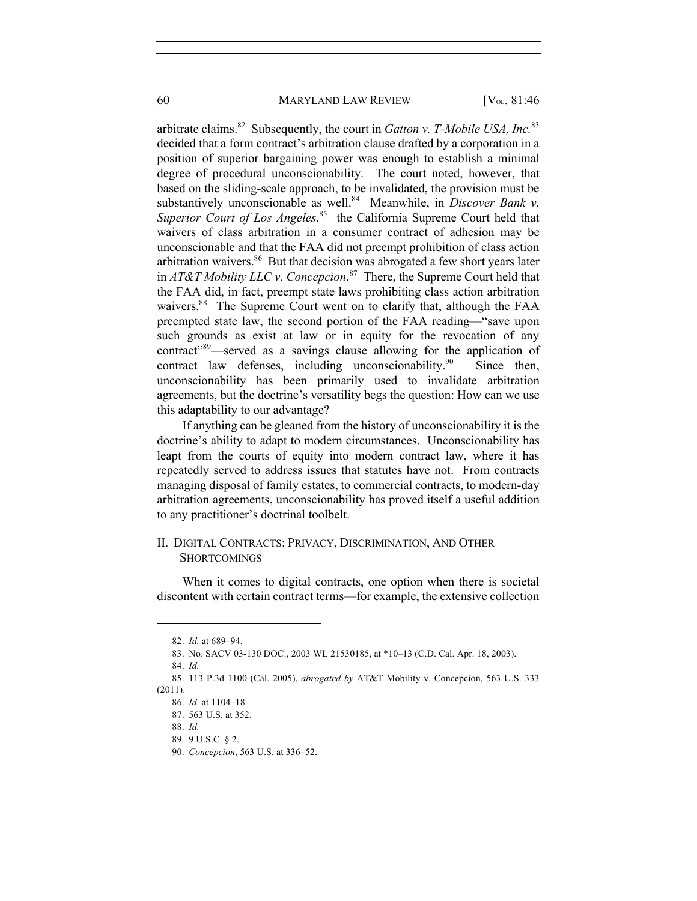arbitrate claims.82 Subsequently, the court in *Gatton v. T-Mobile USA, Inc.*<sup>83</sup> decided that a form contract's arbitration clause drafted by a corporation in a position of superior bargaining power was enough to establish a minimal degree of procedural unconscionability. The court noted, however, that based on the sliding-scale approach, to be invalidated, the provision must be substantively unconscionable as well.<sup>84</sup> Meanwhile, in *Discover Bank v*. Superior Court of Los Angeles,<sup>85</sup> the California Supreme Court held that waivers of class arbitration in a consumer contract of adhesion may be unconscionable and that the FAA did not preempt prohibition of class action arbitration waivers.<sup>86</sup> But that decision was abrogated a few short years later in *AT&T Mobility LLC v. Concepcion*. 87 There, the Supreme Court held that the FAA did, in fact, preempt state laws prohibiting class action arbitration waivers.<sup>88</sup> The Supreme Court went on to clarify that, although the FAA preempted state law, the second portion of the FAA reading—"save upon such grounds as exist at law or in equity for the revocation of any contract"89—served as a savings clause allowing for the application of contract law defenses, including unconscionability.<sup>90</sup> Since then, unconscionability has been primarily used to invalidate arbitration agreements, but the doctrine's versatility begs the question: How can we use this adaptability to our advantage?

If anything can be gleaned from the history of unconscionability it is the doctrine's ability to adapt to modern circumstances. Unconscionability has leapt from the courts of equity into modern contract law, where it has repeatedly served to address issues that statutes have not. From contracts managing disposal of family estates, to commercial contracts, to modern-day arbitration agreements, unconscionability has proved itself a useful addition to any practitioner's doctrinal toolbelt.

## II. DIGITAL CONTRACTS: PRIVACY, DISCRIMINATION, AND OTHER **SHORTCOMINGS**

When it comes to digital contracts, one option when there is societal discontent with certain contract terms—for example, the extensive collection

<sup>82.</sup> *Id.* at 689–94.

<sup>83.</sup> No. SACV 03-130 DOC., 2003 WL 21530185, at \*10–13 (C.D. Cal. Apr. 18, 2003).

<sup>84.</sup> *Id.*

<sup>85.</sup> 113 P.3d 1100 (Cal. 2005), *abrogated by* AT&T Mobility v. Concepcion, 563 U.S. 333 (2011).

<sup>86.</sup> *Id.* at 1104–18.

<sup>87.</sup> 563 U.S. at 352.

<sup>88.</sup> *Id.*

<sup>89.</sup> 9 U.S.C. § 2.

<sup>90.</sup> *Concepcion*, 563 U.S. at 336–52.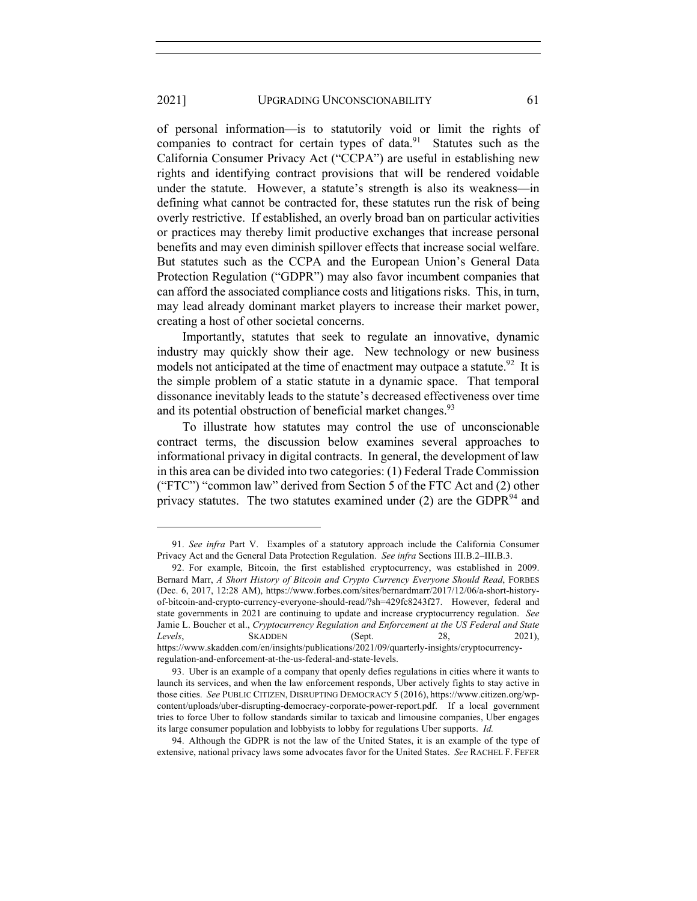of personal information—is to statutorily void or limit the rights of companies to contract for certain types of data. $91$  Statutes such as the California Consumer Privacy Act ("CCPA") are useful in establishing new rights and identifying contract provisions that will be rendered voidable under the statute. However, a statute's strength is also its weakness—in defining what cannot be contracted for, these statutes run the risk of being overly restrictive. If established, an overly broad ban on particular activities or practices may thereby limit productive exchanges that increase personal benefits and may even diminish spillover effects that increase social welfare. But statutes such as the CCPA and the European Union's General Data Protection Regulation ("GDPR") may also favor incumbent companies that can afford the associated compliance costs and litigations risks. This, in turn, may lead already dominant market players to increase their market power, creating a host of other societal concerns.

Importantly, statutes that seek to regulate an innovative, dynamic industry may quickly show their age. New technology or new business models not anticipated at the time of enactment may outpace a statute.<sup>92</sup> It is the simple problem of a static statute in a dynamic space. That temporal dissonance inevitably leads to the statute's decreased effectiveness over time and its potential obstruction of beneficial market changes.<sup>93</sup>

To illustrate how statutes may control the use of unconscionable contract terms, the discussion below examines several approaches to informational privacy in digital contracts. In general, the development of law in this area can be divided into two categories: (1) Federal Trade Commission ("FTC") "common law" derived from Section 5 of the FTC Act and (2) other privacy statutes. The two statutes examined under  $(2)$  are the GDPR<sup>94</sup> and

<sup>91.</sup> *See infra* Part V. Examples of a statutory approach include the California Consumer Privacy Act and the General Data Protection Regulation. *See infra* Sections III.B.2–III.B.3.

<sup>92.</sup> For example, Bitcoin, the first established cryptocurrency, was established in 2009. Bernard Marr, *A Short History of Bitcoin and Crypto Currency Everyone Should Read*, FORBES (Dec. 6, 2017, 12:28 AM), https://www.forbes.com/sites/bernardmarr/2017/12/06/a-short-historyof-bitcoin-and-crypto-currency-everyone-should-read/?sh=429fc8243f27. However, federal and state governments in 2021 are continuing to update and increase cryptocurrency regulation. *See*  Jamie L. Boucher et al., *Cryptocurrency Regulation and Enforcement at the US Federal and State Levels*, SKADDEN (Sept. 28, 2021), https://www.skadden.com/en/insights/publications/2021/09/quarterly-insights/cryptocurrencyregulation-and-enforcement-at-the-us-federal-and-state-levels.

<sup>93.</sup> Uber is an example of a company that openly defies regulations in cities where it wants to launch its services, and when the law enforcement responds, Uber actively fights to stay active in those cities. *See* PUBLIC CITIZEN, DISRUPTING DEMOCRACY 5 (2016), https://www.citizen.org/wpcontent/uploads/uber-disrupting-democracy-corporate-power-report.pdf. If a local government tries to force Uber to follow standards similar to taxicab and limousine companies, Uber engages its large consumer population and lobbyists to lobby for regulations Uber supports. *Id.* 

<sup>94.</sup> Although the GDPR is not the law of the United States, it is an example of the type of extensive, national privacy laws some advocates favor for the United States. *See* RACHEL F. FEFER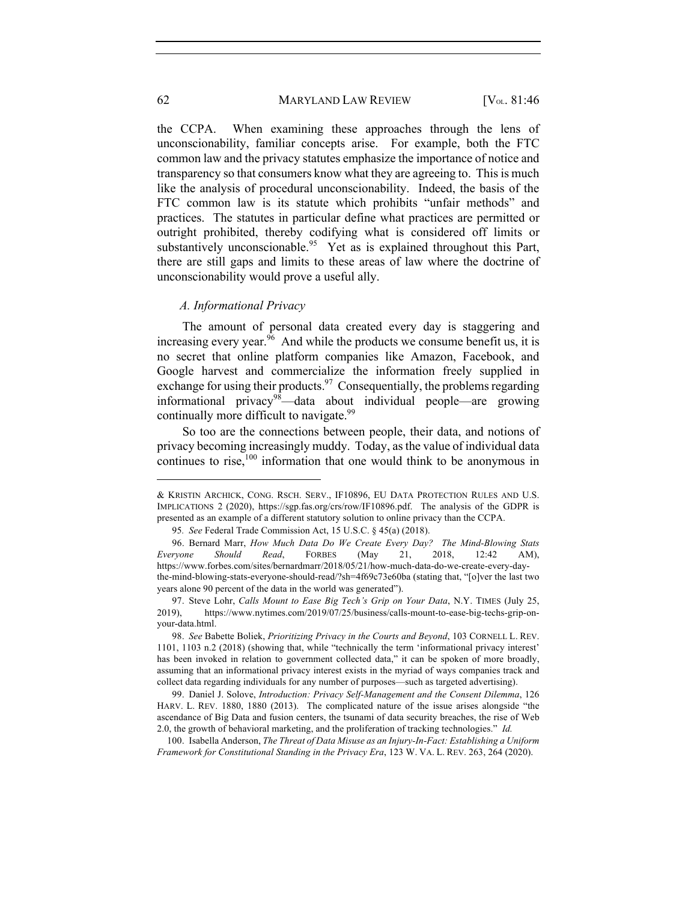the CCPA. When examining these approaches through the lens of unconscionability, familiar concepts arise. For example, both the FTC common law and the privacy statutes emphasize the importance of notice and transparency so that consumers know what they are agreeing to. This is much like the analysis of procedural unconscionability. Indeed, the basis of the FTC common law is its statute which prohibits "unfair methods" and practices. The statutes in particular define what practices are permitted or outright prohibited, thereby codifying what is considered off limits or substantively unconscionable.<sup>95</sup> Yet as is explained throughout this Part, there are still gaps and limits to these areas of law where the doctrine of unconscionability would prove a useful ally.

## *A. Informational Privacy*

The amount of personal data created every day is staggering and increasing every year.  $\frac{96}{6}$  And while the products we consume benefit us, it is no secret that online platform companies like Amazon, Facebook, and Google harvest and commercialize the information freely supplied in exchange for using their products.<sup>97</sup> Consequentially, the problems regarding informational privacy<sup>98</sup>—data about individual people—are growing continually more difficult to navigate.<sup>99</sup>

So too are the connections between people, their data, and notions of privacy becoming increasingly muddy. Today, as the value of individual data continues to rise, $100$  information that one would think to be anonymous in

<sup>&</sup>amp; KRISTIN ARCHICK, CONG. RSCH. SERV., IF10896, EU DATA PROTECTION RULES AND U.S. IMPLICATIONS 2 (2020), https://sgp.fas.org/crs/row/IF10896.pdf. The analysis of the GDPR is presented as an example of a different statutory solution to online privacy than the CCPA.

<sup>95</sup>*. See* Federal Trade Commission Act, 15 U.S.C. § 45(a) (2018).

<sup>96.</sup> Bernard Marr, *How Much Data Do We Create Every Day? The Mind-Blowing Stats Everyone Should Read*, FORBES (May 21, 2018, 12:42 AM), https://www.forbes.com/sites/bernardmarr/2018/05/21/how-much-data-do-we-create-every-daythe-mind-blowing-stats-everyone-should-read/?sh=4f69c73e60ba (stating that, "[o]ver the last two years alone 90 percent of the data in the world was generated").

<sup>97.</sup> Steve Lohr, *Calls Mount to Ease Big Tech's Grip on Your Data*, N.Y. TIMES (July 25, 2019), https://www.nytimes.com/2019/07/25/business/calls-mount-to-ease-big-techs-grip-onyour-data.html.

<sup>98.</sup> *See* Babette Boliek, *Prioritizing Privacy in the Courts and Beyond*, 103 CORNELL L. REV. 1101, 1103 n.2 (2018) (showing that, while "technically the term 'informational privacy interest' has been invoked in relation to government collected data," it can be spoken of more broadly, assuming that an informational privacy interest exists in the myriad of ways companies track and collect data regarding individuals for any number of purposes—such as targeted advertising).

<sup>99.</sup> Daniel J. Solove, *Introduction: Privacy Self-Management and the Consent Dilemma*, 126 HARV. L. REV. 1880, 1880 (2013). The complicated nature of the issue arises alongside "the ascendance of Big Data and fusion centers, the tsunami of data security breaches, the rise of Web 2.0, the growth of behavioral marketing, and the proliferation of tracking technologies." *Id.*

<sup>100.</sup> Isabella Anderson, *The Threat of Data Misuse as an Injury-In-Fact: Establishing a Uniform Framework for Constitutional Standing in the Privacy Era*, 123 W. VA. L. REV. 263, 264 (2020).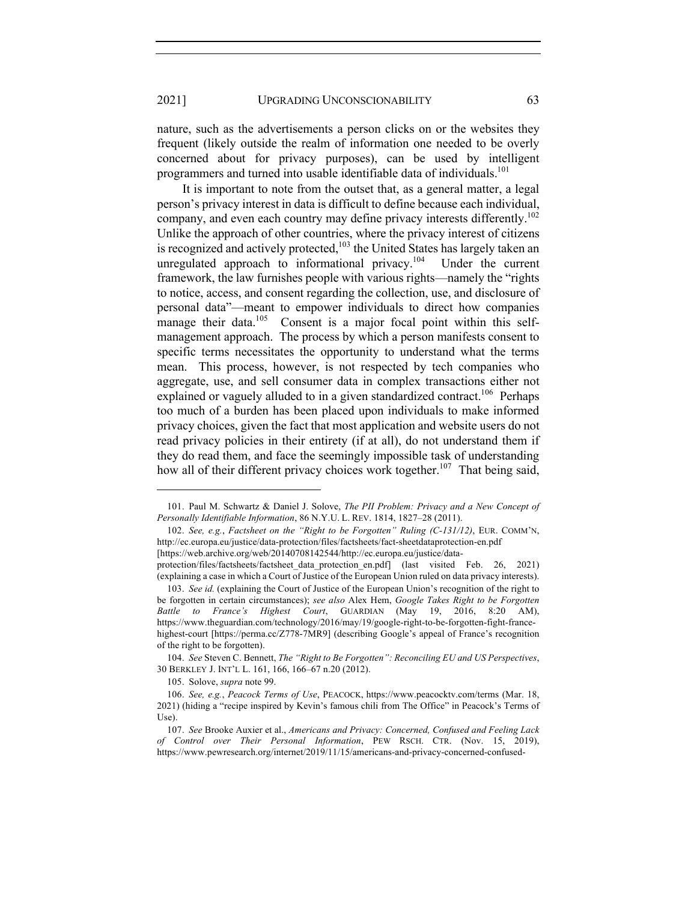nature, such as the advertisements a person clicks on or the websites they frequent (likely outside the realm of information one needed to be overly concerned about for privacy purposes), can be used by intelligent programmers and turned into usable identifiable data of individuals.<sup>101</sup>

It is important to note from the outset that, as a general matter, a legal person's privacy interest in data is difficult to define because each individual, company, and even each country may define privacy interests differently.<sup>102</sup> Unlike the approach of other countries, where the privacy interest of citizens is recognized and actively protected,  $103$  the United States has largely taken an unregulated approach to informational privacy.<sup>104</sup> Under the current framework, the law furnishes people with various rights—namely the "rights to notice, access, and consent regarding the collection, use, and disclosure of personal data"—meant to empower individuals to direct how companies manage their data.<sup>105</sup> Consent is a major focal point within this selfmanagement approach. The process by which a person manifests consent to specific terms necessitates the opportunity to understand what the terms mean. This process, however, is not respected by tech companies who aggregate, use, and sell consumer data in complex transactions either not explained or vaguely alluded to in a given standardized contract.<sup>106</sup> Perhaps too much of a burden has been placed upon individuals to make informed privacy choices, given the fact that most application and website users do not read privacy policies in their entirety (if at all), do not understand them if they do read them, and face the seemingly impossible task of understanding how all of their different privacy choices work together.<sup>107</sup> That being said,

<sup>101.</sup> Paul M. Schwartz & Daniel J. Solove, *The PII Problem: Privacy and a New Concept of Personally Identifiable Information*, 86 N.Y.U. L. REV. 1814, 1827–28 (2011).

<sup>102.</sup> *See, e.g.*, *Factsheet on the "Right to be Forgotten" Ruling (C-131/12)*, EUR. COMM'N, http://ec.europa.eu/justice/data-protection/files/factsheets/fact-sheetdataprotection-en.pdf [https://web.archive.org/web/20140708142544/http://ec.europa.eu/justice/data-

protection/files/factsheets/factsheet data protection en.pdf] (last visited Feb. 26, 2021) (explaining a case in which a Court of Justice of the European Union ruled on data privacy interests).

<sup>103.</sup> *See id.* (explaining the Court of Justice of the European Union's recognition of the right to be forgotten in certain circumstances); *see also* Alex Hem, *Google Takes Right to be Forgotten Battle to France's Highest Court*, GUARDIAN (May 19, 2016, 8:20 AM), https://www.theguardian.com/technology/2016/may/19/google-right-to-be-forgotten-fight-francehighest-court [https://perma.cc/Z778-7MR9] (describing Google's appeal of France's recognition of the right to be forgotten).

<sup>104.</sup> *See* Steven C. Bennett, *The "Right to Be Forgotten": Reconciling EU and US Perspectives*, 30 BERKLEY J. INT'L L. 161, 166, 166–67 n.20 (2012).

<sup>105.</sup> Solove, *supra* note 99.

<sup>106.</sup> *See, e.g.*, *Peacock Terms of Use*, PEACOCK, https://www.peacocktv.com/terms (Mar. 18, 2021) (hiding a "recipe inspired by Kevin's famous chili from The Office" in Peacock's Terms of Use).

<sup>107.</sup> *See* Brooke Auxier et al., *Americans and Privacy: Concerned, Confused and Feeling Lack of Control over Their Personal Information*, PEW RSCH. CTR. (Nov. 15, 2019), https://www.pewresearch.org/internet/2019/11/15/americans-and-privacy-concerned-confused-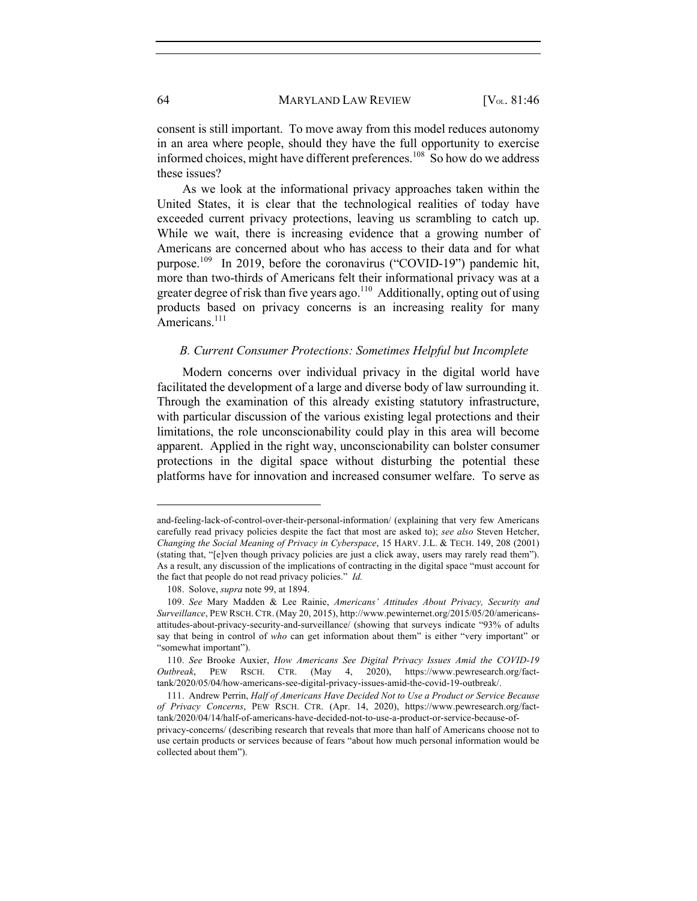consent is still important. To move away from this model reduces autonomy in an area where people, should they have the full opportunity to exercise informed choices, might have different preferences.<sup>108</sup> So how do we address these issues?

As we look at the informational privacy approaches taken within the United States, it is clear that the technological realities of today have exceeded current privacy protections, leaving us scrambling to catch up. While we wait, there is increasing evidence that a growing number of Americans are concerned about who has access to their data and for what purpose.<sup>109</sup> In 2019, before the coronavirus ("COVID-19") pandemic hit, more than two-thirds of Americans felt their informational privacy was at a greater degree of risk than five years ago.<sup>110</sup> Additionally, opting out of using products based on privacy concerns is an increasing reality for many Americans.<sup>111</sup>

## *B. Current Consumer Protections: Sometimes Helpful but Incomplete*

Modern concerns over individual privacy in the digital world have facilitated the development of a large and diverse body of law surrounding it. Through the examination of this already existing statutory infrastructure, with particular discussion of the various existing legal protections and their limitations, the role unconscionability could play in this area will become apparent. Applied in the right way, unconscionability can bolster consumer protections in the digital space without disturbing the potential these platforms have for innovation and increased consumer welfare. To serve as

and-feeling-lack-of-control-over-their-personal-information/ (explaining that very few Americans carefully read privacy policies despite the fact that most are asked to); *see also* Steven Hetcher, *Changing the Social Meaning of Privacy in Cyberspace*, 15 HARV. J.L. & TECH. 149, 208 (2001) (stating that, "[e]ven though privacy policies are just a click away, users may rarely read them"). As a result, any discussion of the implications of contracting in the digital space "must account for the fact that people do not read privacy policies." *Id.*

<sup>108.</sup> Solove, *supra* note 99, at 1894.

<sup>109.</sup> *See* Mary Madden & Lee Rainie, *Americans' Attitudes About Privacy, Security and Surveillance*, PEW RSCH. CTR. (May 20, 2015), http://www.pewinternet.org/2015/05/20/americansattitudes-about-privacy-security-and-surveillance/ (showing that surveys indicate "93% of adults say that being in control of *who* can get information about them" is either "very important" or "somewhat important").

<sup>110.</sup> *See* Brooke Auxier, *How Americans See Digital Privacy Issues Amid the COVID-19 Outbreak*, PEW RSCH. CTR. (May 4, 2020), https://www.pewresearch.org/facttank/2020/05/04/how-americans-see-digital-privacy-issues-amid-the-covid-19-outbreak/.

<sup>111.</sup> Andrew Perrin, *Half of Americans Have Decided Not to Use a Product or Service Because of Privacy Concerns*, PEW RSCH. CTR. (Apr. 14, 2020), https://www.pewresearch.org/facttank/2020/04/14/half-of-americans-have-decided-not-to-use-a-product-or-service-because-of-

privacy-concerns/ (describing research that reveals that more than half of Americans choose not to use certain products or services because of fears "about how much personal information would be collected about them").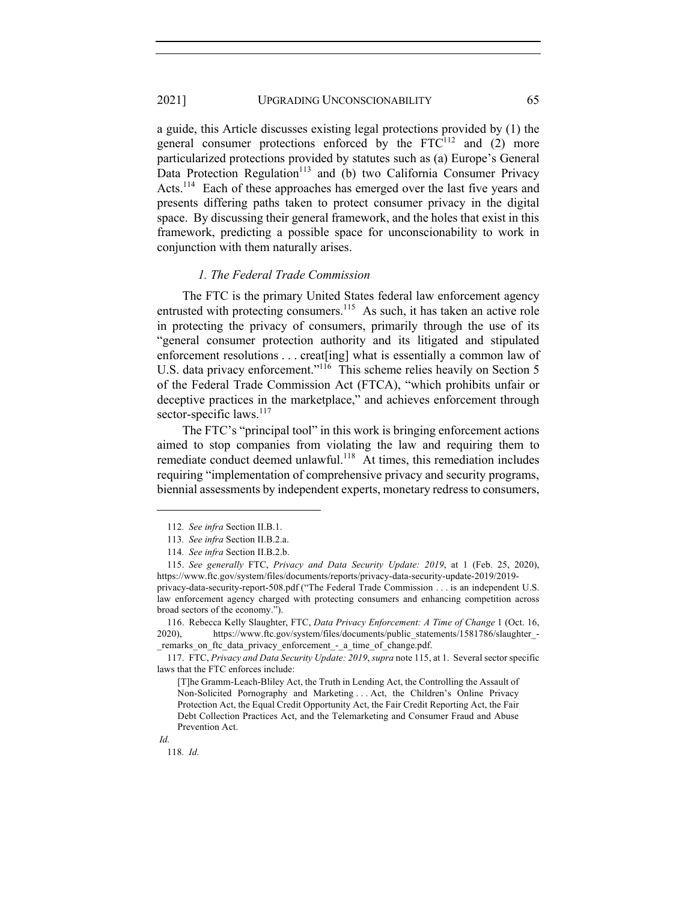a guide, this Article discusses existing legal protections provided by (1) the general consumer protections enforced by the  $FTC^{112}$  and (2) more particularized protections provided by statutes such as (a) Europe's General Data Protection Regulation<sup>113</sup> and (b) two California Consumer Privacy Acts.<sup>114</sup> Each of these approaches has emerged over the last five years and presents differing paths taken to protect consumer privacy in the digital space. By discussing their general framework, and the holes that exist in this framework, predicting a possible space for unconscionability to work in conjunction with them naturally arises.

## *1. The Federal Trade Commission*

The FTC is the primary United States federal law enforcement agency entrusted with protecting consumers.<sup>115</sup> As such, it has taken an active role in protecting the privacy of consumers, primarily through the use of its "general consumer protection authority and its litigated and stipulated enforcement resolutions . . . creat[ing] what is essentially a common law of U.S. data privacy enforcement."<sup>116</sup> This scheme relies heavily on Section 5 of the Federal Trade Commission Act (FTCA), "which prohibits unfair or deceptive practices in the marketplace," and achieves enforcement through sector-specific laws.<sup>117</sup>

The FTC's "principal tool" in this work is bringing enforcement actions aimed to stop companies from violating the law and requiring them to remediate conduct deemed unlawful.<sup>118</sup> At times, this remediation includes requiring "implementation of comprehensive privacy and security programs, biennial assessments by independent experts, monetary redress to consumers,

<sup>112</sup>*. See infra* Section II.B.1.

<sup>113</sup>*. See infra* Section II.B.2.a.

<sup>114</sup>*. See infra* Section II.B.2.b.

<sup>115.</sup> *See generally* FTC, *Privacy and Data Security Update: 2019*, at 1 (Feb. 25, 2020), https://www.ftc.gov/system/files/documents/reports/privacy-data-security-update-2019/2019 privacy-data-security-report-508.pdf ("The Federal Trade Commission . . . is an independent U.S. law enforcement agency charged with protecting consumers and enhancing competition across broad sectors of the economy.").

<sup>116.</sup> Rebecca Kelly Slaughter, FTC, *Data Privacy Enforcement: A Time of Change* 1 (Oct. 16, 2020), https://www.ftc.gov/system/files/documents/public\_statements/1581786/slaughter\_remarks on ftc data privacy enforcement - a time of change.pdf.

<sup>117.</sup> FTC, *Privacy and Data Security Update: 2019*, *supra* note 115, at 1. Several sector specific laws that the FTC enforces include:

<sup>[</sup>T]he Gramm-Leach-Bliley Act, the Truth in Lending Act, the Controlling the Assault of Non-Solicited Pornography and Marketing . . . Act, the Children's Online Privacy Protection Act, the Equal Credit Opportunity Act, the Fair Credit Reporting Act, the Fair Debt Collection Practices Act, and the Telemarketing and Consumer Fraud and Abuse Prevention Act.

*Id.*

<sup>118</sup>*. Id.*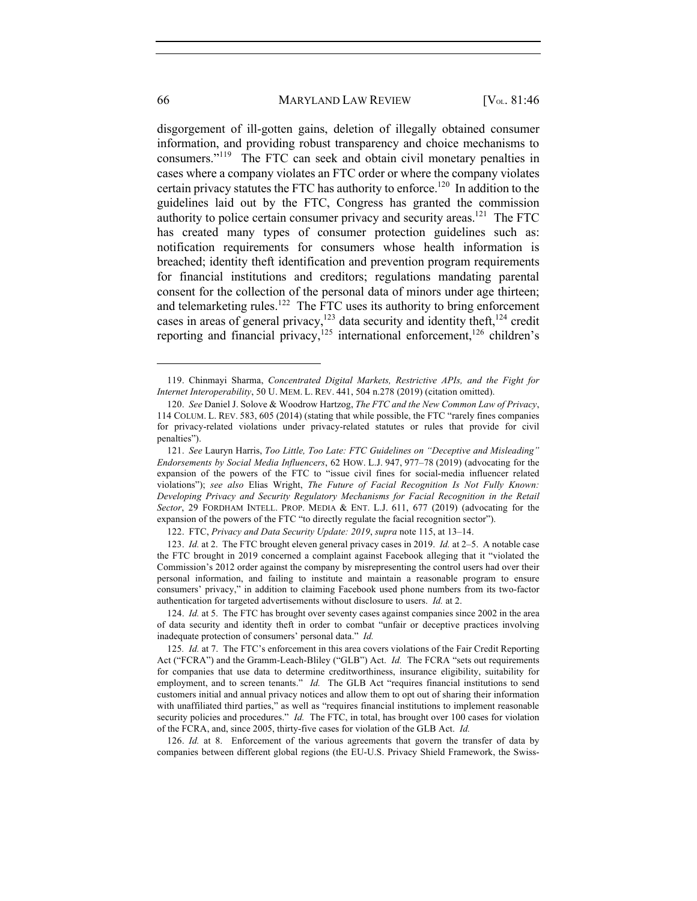disgorgement of ill-gotten gains, deletion of illegally obtained consumer information, and providing robust transparency and choice mechanisms to consumers."119 The FTC can seek and obtain civil monetary penalties in cases where a company violates an FTC order or where the company violates certain privacy statutes the FTC has authority to enforce.<sup>120</sup> In addition to the guidelines laid out by the FTC, Congress has granted the commission authority to police certain consumer privacy and security areas.<sup>121</sup> The FTC has created many types of consumer protection guidelines such as: notification requirements for consumers whose health information is breached; identity theft identification and prevention program requirements for financial institutions and creditors; regulations mandating parental consent for the collection of the personal data of minors under age thirteen; and telemarketing rules.<sup>122</sup> The FTC uses its authority to bring enforcement cases in areas of general privacy,<sup>123</sup> data security and identity theft,<sup>124</sup> credit reporting and financial privacy, $125$  international enforcement, $126$  children's

126. *Id.* at 8. Enforcement of the various agreements that govern the transfer of data by companies between different global regions (the EU-U.S. Privacy Shield Framework, the Swiss-

<sup>119.</sup> Chinmayi Sharma, *Concentrated Digital Markets, Restrictive APIs, and the Fight for Internet Interoperability*, 50 U. MEM. L. REV. 441, 504 n.278 (2019) (citation omitted).

<sup>120.</sup> *See* Daniel J. Solove & Woodrow Hartzog, *The FTC and the New Common Law of Privacy*, 114 COLUM. L. REV. 583, 605 (2014) (stating that while possible, the FTC "rarely fines companies for privacy-related violations under privacy-related statutes or rules that provide for civil penalties").

<sup>121.</sup> *See* Lauryn Harris, *Too Little, Too Late: FTC Guidelines on "Deceptive and Misleading" Endorsements by Social Media Influencers*, 62 HOW. L.J. 947, 977–78 (2019) (advocating for the expansion of the powers of the FTC to "issue civil fines for social-media influencer related violations"); *see also* Elias Wright, *The Future of Facial Recognition Is Not Fully Known: Developing Privacy and Security Regulatory Mechanisms for Facial Recognition in the Retail Sector*, 29 FORDHAM INTELL. PROP. MEDIA & ENT. L.J. 611, 677 (2019) (advocating for the expansion of the powers of the FTC "to directly regulate the facial recognition sector").

<sup>122.</sup> FTC, *Privacy and Data Security Update: 2019*, *supra* note 115, at 13–14.

<sup>123.</sup> *Id.* at 2. The FTC brought eleven general privacy cases in 2019. *Id.* at 2–5. A notable case the FTC brought in 2019 concerned a complaint against Facebook alleging that it "violated the Commission's 2012 order against the company by misrepresenting the control users had over their personal information, and failing to institute and maintain a reasonable program to ensure consumers' privacy," in addition to claiming Facebook used phone numbers from its two-factor authentication for targeted advertisements without disclosure to users. *Id.* at 2.

<sup>124.</sup> *Id.* at 5. The FTC has brought over seventy cases against companies since 2002 in the area of data security and identity theft in order to combat "unfair or deceptive practices involving inadequate protection of consumers' personal data." *Id.* 

<sup>125</sup>*. Id.* at 7. The FTC's enforcement in this area covers violations of the Fair Credit Reporting Act ("FCRA") and the Gramm-Leach-Bliley ("GLB") Act. *Id.* The FCRA "sets out requirements for companies that use data to determine creditworthiness, insurance eligibility, suitability for employment, and to screen tenants." *Id.* The GLB Act "requires financial institutions to send customers initial and annual privacy notices and allow them to opt out of sharing their information with unaffiliated third parties," as well as "requires financial institutions to implement reasonable security policies and procedures." *Id.* The FTC, in total, has brought over 100 cases for violation of the FCRA, and, since 2005, thirty-five cases for violation of the GLB Act. *Id.*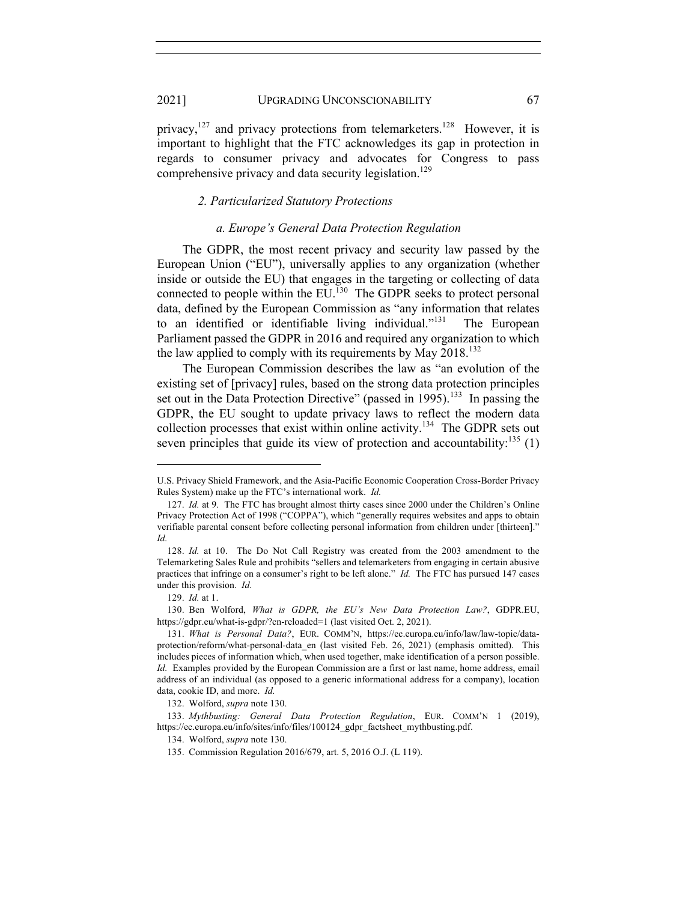privacy,<sup>127</sup> and privacy protections from telemarketers.<sup>128</sup> However, it is important to highlight that the FTC acknowledges its gap in protection in regards to consumer privacy and advocates for Congress to pass comprehensive privacy and data security legislation.<sup>129</sup>

#### *2. Particularized Statutory Protections*

#### *a. Europe's General Data Protection Regulation*

The GDPR, the most recent privacy and security law passed by the European Union ("EU"), universally applies to any organization (whether inside or outside the EU) that engages in the targeting or collecting of data connected to people within the  $EU<sup>130</sup>$ . The GDPR seeks to protect personal data, defined by the European Commission as "any information that relates to an identified or identifiable living individual."<sup>131</sup> The European Parliament passed the GDPR in 2016 and required any organization to which the law applied to comply with its requirements by May  $2018$ <sup>132</sup>

The European Commission describes the law as "an evolution of the existing set of [privacy] rules, based on the strong data protection principles set out in the Data Protection Directive" (passed in 1995).<sup>133</sup> In passing the GDPR, the EU sought to update privacy laws to reflect the modern data collection processes that exist within online activity.134 The GDPR sets out seven principles that guide its view of protection and accountability: $^{135}$  (1)

U.S. Privacy Shield Framework, and the Asia-Pacific Economic Cooperation Cross-Border Privacy Rules System) make up the FTC's international work. *Id.*

<sup>127.</sup> *Id.* at 9. The FTC has brought almost thirty cases since 2000 under the Children's Online Privacy Protection Act of 1998 ("COPPA"), which "generally requires websites and apps to obtain verifiable parental consent before collecting personal information from children under [thirteen]." *Id.*

<sup>128.</sup> *Id.* at 10. The Do Not Call Registry was created from the 2003 amendment to the Telemarketing Sales Rule and prohibits "sellers and telemarketers from engaging in certain abusive practices that infringe on a consumer's right to be left alone." *Id.* The FTC has pursued 147 cases under this provision. *Id.*

<sup>129.</sup> *Id.* at 1.

<sup>130.</sup> Ben Wolford, *What is GDPR, the EU's New Data Protection Law?*, GDPR.EU, https://gdpr.eu/what-is-gdpr/?cn-reloaded=1 (last visited Oct. 2, 2021).

<sup>131.</sup> *What is Personal Data?*, EUR. COMM'N, https://ec.europa.eu/info/law/law-topic/dataprotection/reform/what-personal-data\_en (last visited Feb. 26, 2021) (emphasis omitted). This includes pieces of information which, when used together, make identification of a person possible. *Id.* Examples provided by the European Commission are a first or last name, home address, email address of an individual (as opposed to a generic informational address for a company), location data, cookie ID, and more. *Id.*

<sup>132.</sup> Wolford, *supra* note 130.

<sup>133.</sup> *Mythbusting: General Data Protection Regulation*, EUR. COMM'N 1 (2019), https://ec.europa.eu/info/sites/info/files/100124\_gdpr\_factsheet\_mythbusting.pdf.

<sup>134.</sup> Wolford, *supra* note 130.

<sup>135.</sup> Commission Regulation 2016/679, art. 5, 2016 O.J. (L 119).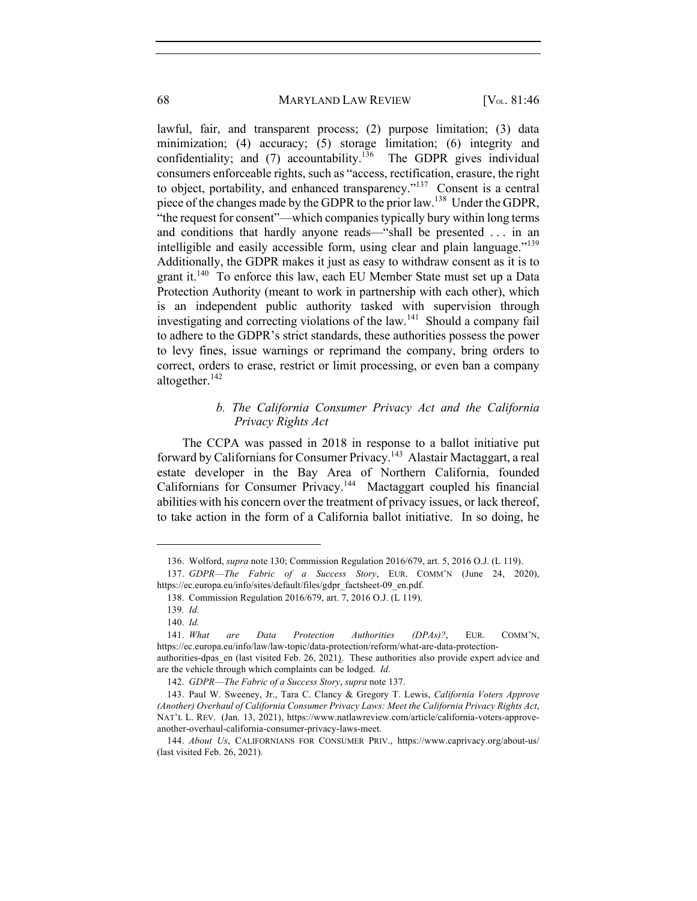lawful, fair, and transparent process; (2) purpose limitation; (3) data minimization; (4) accuracy; (5) storage limitation; (6) integrity and confidentiality; and  $(7)$  accountability.<sup>136</sup> The GDPR gives individual consumers enforceable rights, such as "access, rectification, erasure, the right to object, portability, and enhanced transparency."<sup>137</sup> Consent is a central piece of the changes made by the GDPR to the prior law.138 Under the GDPR, "the request for consent"—which companies typically bury within long terms and conditions that hardly anyone reads—"shall be presented . . . in an intelligible and easily accessible form, using clear and plain language."<sup>139</sup> Additionally, the GDPR makes it just as easy to withdraw consent as it is to grant it.<sup>140</sup> To enforce this law, each EU Member State must set up a Data Protection Authority (meant to work in partnership with each other), which is an independent public authority tasked with supervision through investigating and correcting violations of the law.<sup>141</sup> Should a company fail to adhere to the GDPR's strict standards, these authorities possess the power to levy fines, issue warnings or reprimand the company, bring orders to correct, orders to erase, restrict or limit processing, or even ban a company altogether. $142$ 

## *b. The California Consumer Privacy Act and the California Privacy Rights Act*

The CCPA was passed in 2018 in response to a ballot initiative put forward by Californians for Consumer Privacy.143 Alastair Mactaggart, a real estate developer in the Bay Area of Northern California, founded Californians for Consumer Privacy.144 Mactaggart coupled his financial abilities with his concern over the treatment of privacy issues, or lack thereof, to take action in the form of a California ballot initiative. In so doing, he

<sup>136.</sup> Wolford, *supra* note 130; Commission Regulation 2016/679, art. 5, 2016 O.J. (L 119).

<sup>137.</sup> *GDPR––The Fabric of a Success Story*, EUR. COMM'N (June 24, 2020), https://ec.europa.eu/info/sites/default/files/gdpr\_factsheet-09\_en.pdf.

<sup>138.</sup> Commission Regulation 2016/679, art. 7, 2016 O.J. (L 119).

<sup>139</sup>*. Id.*

<sup>140.</sup> *Id.*

<sup>141.</sup> *What are Data Protection Authorities (DPAs)?*, EUR. COMM'N, https://ec.europa.eu/info/law/law-topic/data-protection/reform/what-are-data-protectionauthorities-dpas\_en (last visited Feb. 26, 2021). These authorities also provide expert advice and

are the vehicle through which complaints can be lodged. *Id.*

<sup>142.</sup> *GDPR––The Fabric of a Success Story*, *supra* note 137.

<sup>143.</sup> Paul W. Sweeney, Jr., Tara C. Clancy & Gregory T. Lewis, *California Voters Approve (Another) Overhaul of California Consumer Privacy Laws: Meet the California Privacy Rights Act*, NAT'L L. REV. (Jan. 13, 2021), https://www.natlawreview.com/article/california-voters-approveanother-overhaul-california-consumer-privacy-laws-meet.

<sup>144.</sup> *About Us*, CALIFORNIANS FOR CONSUMER PRIV., https://www.caprivacy.org/about-us/ (last visited Feb. 26, 2021).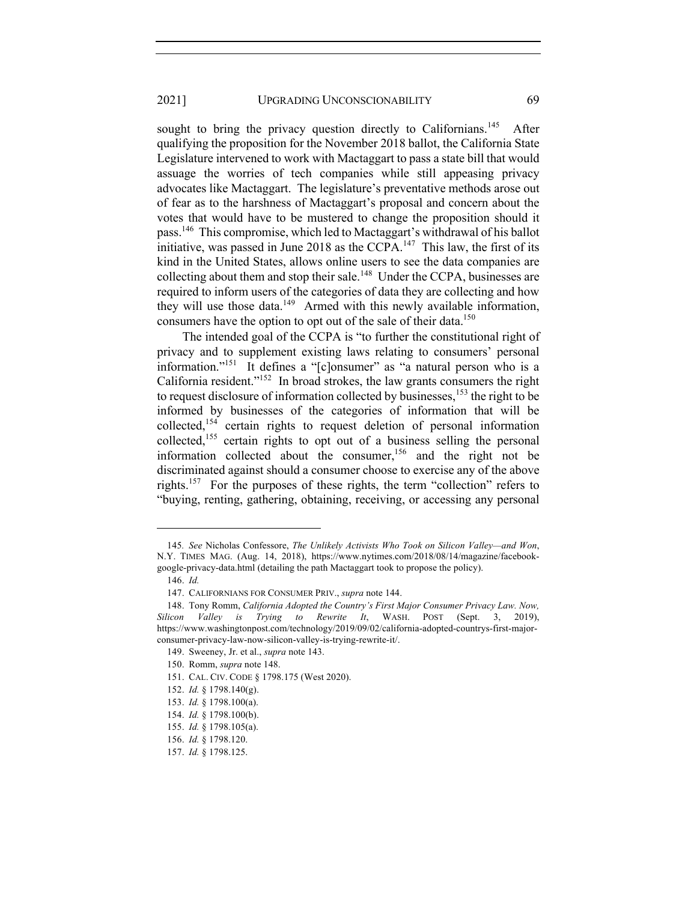sought to bring the privacy question directly to Californians.<sup>145</sup> After qualifying the proposition for the November 2018 ballot, the California State Legislature intervened to work with Mactaggart to pass a state bill that would assuage the worries of tech companies while still appeasing privacy advocates like Mactaggart. The legislature's preventative methods arose out of fear as to the harshness of Mactaggart's proposal and concern about the votes that would have to be mustered to change the proposition should it pass.146 This compromise, which led to Mactaggart's withdrawal of his ballot initiative, was passed in June 2018 as the CCPA.<sup>147</sup> This law, the first of its kind in the United States, allows online users to see the data companies are collecting about them and stop their sale.<sup>148</sup> Under the CCPA, businesses are required to inform users of the categories of data they are collecting and how they will use those data.<sup>149</sup> Armed with this newly available information, consumers have the option to opt out of the sale of their data.<sup>150</sup>

The intended goal of the CCPA is "to further the constitutional right of privacy and to supplement existing laws relating to consumers' personal information."<sup>151</sup> It defines a "[c]onsumer" as "a natural person who is a California resident."152 In broad strokes, the law grants consumers the right to request disclosure of information collected by businesses, $153$  the right to be informed by businesses of the categories of information that will be collected,<sup>154</sup> certain rights to request deletion of personal information collected,<sup>155</sup> certain rights to opt out of a business selling the personal information collected about the consumer,156 and the right not be discriminated against should a consumer choose to exercise any of the above rights.<sup>157</sup> For the purposes of these rights, the term "collection" refers to "buying, renting, gathering, obtaining, receiving, or accessing any personal

<sup>145</sup>*. See* Nicholas Confessore, *The Unlikely Activists Who Took on Silicon Valley—and Won*, N.Y. TIMES MAG. (Aug. 14, 2018), https://www.nytimes.com/2018/08/14/magazine/facebookgoogle-privacy-data.html (detailing the path Mactaggart took to propose the policy).

<sup>146.</sup> *Id.*

<sup>147.</sup> CALIFORNIANS FOR CONSUMER PRIV., *supra* note 144.

<sup>148.</sup> Tony Romm, *California Adopted the Country's First Major Consumer Privacy Law. Now, Silicon Valley is Trying to Rewrite It*, WASH. POST (Sept. 3, 2019), https://www.washingtonpost.com/technology/2019/09/02/california-adopted-countrys-first-majorconsumer-privacy-law-now-silicon-valley-is-trying-rewrite-it/.

<sup>149.</sup> Sweeney, Jr. et al., *supra* note 143.

<sup>150.</sup> Romm, *supra* note 148.

<sup>151.</sup> CAL. CIV. CODE § 1798.175 (West 2020).

<sup>152.</sup> *Id.* § 1798.140(g).

<sup>153.</sup> *Id.* § 1798.100(a).

<sup>154.</sup> *Id.* § 1798.100(b).

<sup>155.</sup> *Id.* § 1798.105(a).

<sup>156.</sup> *Id.* § 1798.120.

<sup>157.</sup> *Id.* § 1798.125.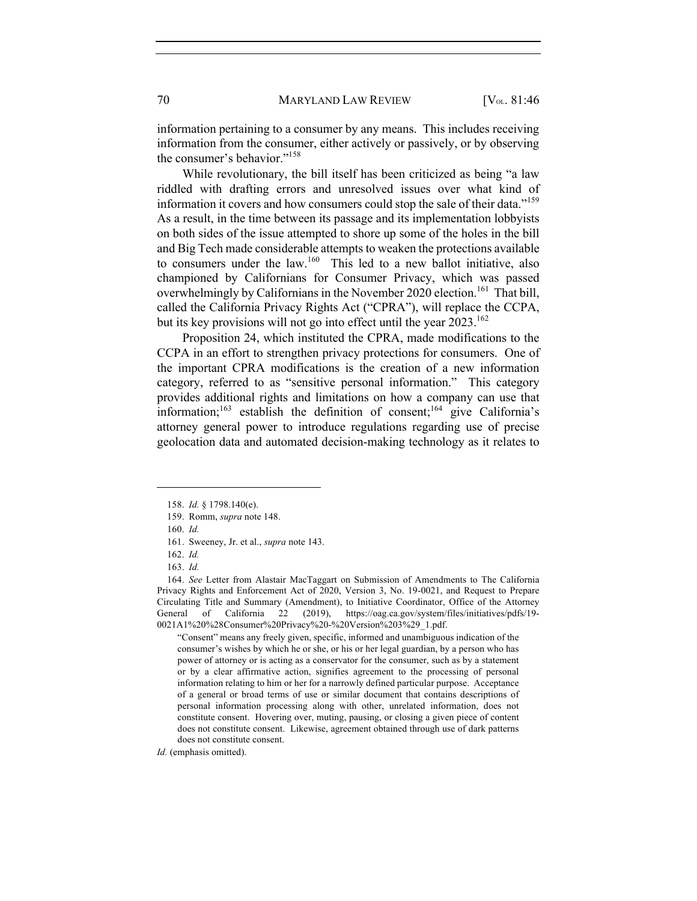information pertaining to a consumer by any means. This includes receiving information from the consumer, either actively or passively, or by observing the consumer's behavior."158

While revolutionary, the bill itself has been criticized as being "a law riddled with drafting errors and unresolved issues over what kind of information it covers and how consumers could stop the sale of their data."159 As a result, in the time between its passage and its implementation lobbyists on both sides of the issue attempted to shore up some of the holes in the bill and Big Tech made considerable attempts to weaken the protections available to consumers under the law.<sup>160</sup> This led to a new ballot initiative, also championed by Californians for Consumer Privacy, which was passed overwhelmingly by Californians in the November 2020 election.<sup>161</sup> That bill, called the California Privacy Rights Act ("CPRA"), will replace the CCPA, but its key provisions will not go into effect until the year  $2023$ .<sup>162</sup>

Proposition 24, which instituted the CPRA, made modifications to the CCPA in an effort to strengthen privacy protections for consumers. One of the important CPRA modifications is the creation of a new information category, referred to as "sensitive personal information." This category provides additional rights and limitations on how a company can use that information;<sup>163</sup> establish the definition of consent;<sup>164</sup> give California's attorney general power to introduce regulations regarding use of precise geolocation data and automated decision-making technology as it relates to

"Consent" means any freely given, specific, informed and unambiguous indication of the consumer's wishes by which he or she, or his or her legal guardian, by a person who has power of attorney or is acting as a conservator for the consumer, such as by a statement or by a clear affirmative action, signifies agreement to the processing of personal information relating to him or her for a narrowly defined particular purpose. Acceptance of a general or broad terms of use or similar document that contains descriptions of personal information processing along with other, unrelated information, does not constitute consent. Hovering over, muting, pausing, or closing a given piece of content does not constitute consent. Likewise, agreement obtained through use of dark patterns does not constitute consent.

*Id.* (emphasis omitted).

<sup>158.</sup> *Id.* § 1798.140(e).

<sup>159.</sup> Romm, *supra* note 148.

<sup>160.</sup> *Id.*

<sup>161.</sup> Sweeney, Jr. et al., *supra* note 143.

<sup>162.</sup> *Id.*

<sup>163.</sup> *Id.*

<sup>164.</sup> *See* Letter from Alastair MacTaggart on Submission of Amendments to The California Privacy Rights and Enforcement Act of 2020, Version 3, No. 19-0021, and Request to Prepare Circulating Title and Summary (Amendment), to Initiative Coordinator, Office of the Attorney General of California 22 (2019), https://oag.ca.gov/system/files/initiatives/pdfs/19- 0021A1%20%28Consumer%20Privacy%20-%20Version%203%29\_1.pdf.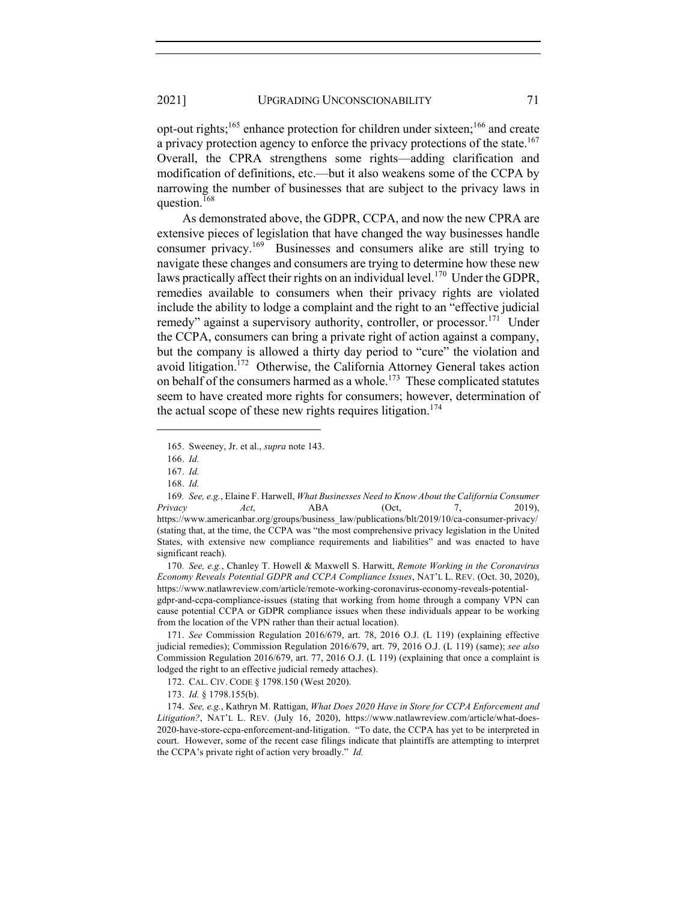opt-out rights;165 enhance protection for children under sixteen;<sup>166</sup> and create a privacy protection agency to enforce the privacy protections of the state.<sup>167</sup> Overall, the CPRA strengthens some rights—adding clarification and modification of definitions, etc.—but it also weakens some of the CCPA by narrowing the number of businesses that are subject to the privacy laws in question.<sup>168</sup>

As demonstrated above, the GDPR, CCPA, and now the new CPRA are extensive pieces of legislation that have changed the way businesses handle consumer privacy.<sup>169</sup> Businesses and consumers alike are still trying to navigate these changes and consumers are trying to determine how these new laws practically affect their rights on an individual level.<sup>170</sup> Under the GDPR, remedies available to consumers when their privacy rights are violated include the ability to lodge a complaint and the right to an "effective judicial remedy" against a supervisory authority, controller, or processor.<sup>171</sup> Under the CCPA, consumers can bring a private right of action against a company, but the company is allowed a thirty day period to "cure" the violation and avoid litigation.<sup>172</sup> Otherwise, the California Attorney General takes action on behalf of the consumers harmed as a whole.<sup>173</sup> These complicated statutes seem to have created more rights for consumers; however, determination of the actual scope of these new rights requires litigation.<sup>174</sup>

171. *See* Commission Regulation 2016/679, art. 78, 2016 O.J. (L 119) (explaining effective judicial remedies); Commission Regulation 2016/679, art. 79, 2016 O.J. (L 119) (same); *see also*  Commission Regulation 2016/679, art. 77, 2016 O.J. (L 119) (explaining that once a complaint is lodged the right to an effective judicial remedy attaches).

<sup>165.</sup> Sweeney, Jr. et al., *supra* note 143.

<sup>166.</sup> *Id.*

<sup>167.</sup> *Id.*

<sup>168.</sup> *Id.*

<sup>169</sup>*. See, e.g.*, Elaine F. Harwell, *What Businesses Need to Know About the California Consumer Privacy Act*, ABA (Oct, 7, 2019), https://www.americanbar.org/groups/business\_law/publications/blt/2019/10/ca-consumer-privacy/ (stating that, at the time, the CCPA was "the most comprehensive privacy legislation in the United States, with extensive new compliance requirements and liabilities" and was enacted to have significant reach).

<sup>170</sup>*. See, e.g.*, Chanley T. Howell & Maxwell S. Harwitt, *Remote Working in the Coronavirus Economy Reveals Potential GDPR and CCPA Compliance Issues*, NAT'L L. REV. (Oct. 30, 2020), https://www.natlawreview.com/article/remote-working-coronavirus-economy-reveals-potential-

gdpr-and-ccpa-compliance-issues (stating that working from home through a company VPN can cause potential CCPA or GDPR compliance issues when these individuals appear to be working from the location of the VPN rather than their actual location).

<sup>172.</sup> CAL. CIV. CODE § 1798.150 (West 2020).

<sup>173.</sup> *Id.* § 1798.155(b).

<sup>174.</sup> *See, e.g.*, Kathryn M. Rattigan, *What Does 2020 Have in Store for CCPA Enforcement and Litigation?*, NAT'L L. REV. (July 16, 2020), https://www.natlawreview.com/article/what-does-2020-have-store-ccpa-enforcement-and-litigation. "To date, the CCPA has yet to be interpreted in court. However, some of the recent case filings indicate that plaintiffs are attempting to interpret the CCPA's private right of action very broadly." *Id.*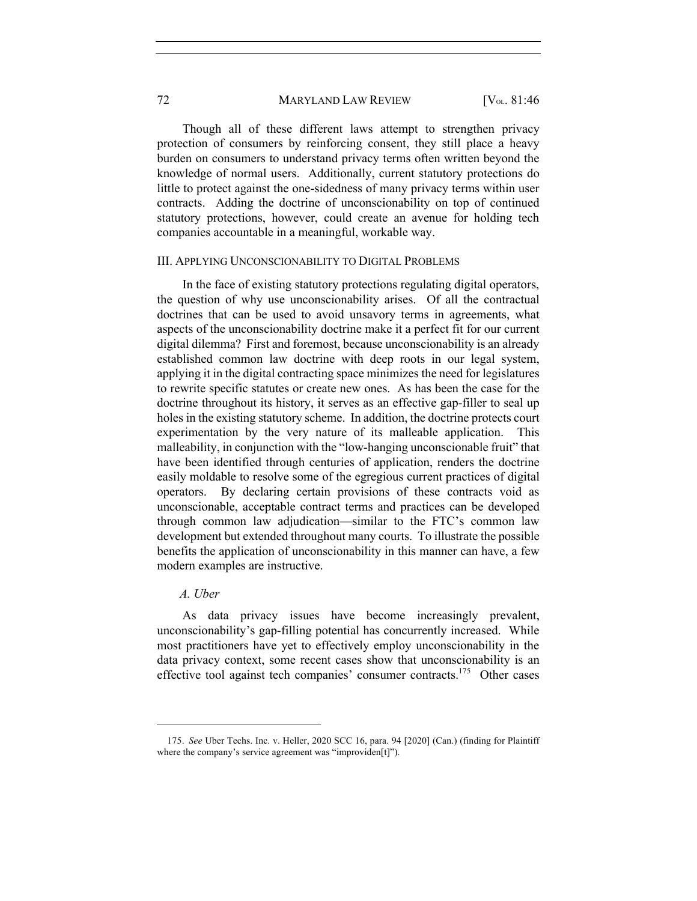Though all of these different laws attempt to strengthen privacy protection of consumers by reinforcing consent, they still place a heavy burden on consumers to understand privacy terms often written beyond the knowledge of normal users. Additionally, current statutory protections do little to protect against the one-sidedness of many privacy terms within user contracts. Adding the doctrine of unconscionability on top of continued statutory protections, however, could create an avenue for holding tech companies accountable in a meaningful, workable way.

#### III. APPLYING UNCONSCIONABILITY TO DIGITAL PROBLEMS

In the face of existing statutory protections regulating digital operators, the question of why use unconscionability arises. Of all the contractual doctrines that can be used to avoid unsavory terms in agreements, what aspects of the unconscionability doctrine make it a perfect fit for our current digital dilemma? First and foremost, because unconscionability is an already established common law doctrine with deep roots in our legal system, applying it in the digital contracting space minimizes the need for legislatures to rewrite specific statutes or create new ones. As has been the case for the doctrine throughout its history, it serves as an effective gap-filler to seal up holes in the existing statutory scheme. In addition, the doctrine protects court experimentation by the very nature of its malleable application. This malleability, in conjunction with the "low-hanging unconscionable fruit" that have been identified through centuries of application, renders the doctrine easily moldable to resolve some of the egregious current practices of digital operators. By declaring certain provisions of these contracts void as unconscionable, acceptable contract terms and practices can be developed through common law adjudication—similar to the FTC's common law development but extended throughout many courts. To illustrate the possible benefits the application of unconscionability in this manner can have, a few modern examples are instructive.

## *A. Uber*

As data privacy issues have become increasingly prevalent, unconscionability's gap-filling potential has concurrently increased. While most practitioners have yet to effectively employ unconscionability in the data privacy context, some recent cases show that unconscionability is an effective tool against tech companies' consumer contracts.<sup>175</sup> Other cases

<sup>175.</sup> *See* Uber Techs. Inc. v. Heller, 2020 SCC 16, para. 94 [2020] (Can.) (finding for Plaintiff where the company's service agreement was "improviden[t]").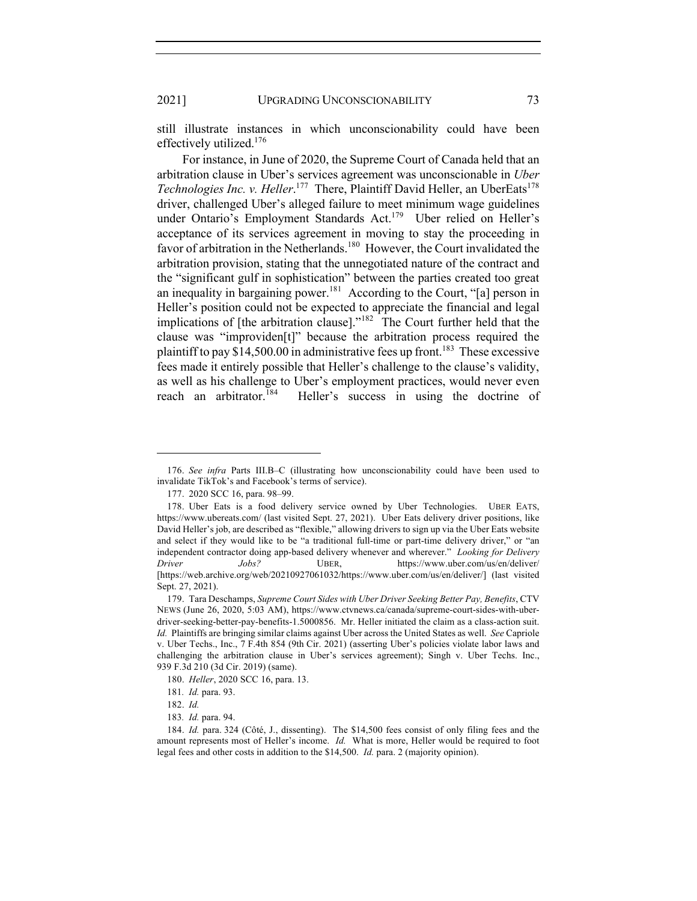still illustrate instances in which unconscionability could have been effectively utilized.176

For instance, in June of 2020, the Supreme Court of Canada held that an arbitration clause in Uber's services agreement was unconscionable in *Uber*  Technologies Inc. v. Heller.<sup>177</sup> There, Plaintiff David Heller, an UberEats<sup>178</sup> driver, challenged Uber's alleged failure to meet minimum wage guidelines under Ontario's Employment Standards Act.<sup>179</sup> Uber relied on Heller's acceptance of its services agreement in moving to stay the proceeding in favor of arbitration in the Netherlands.<sup>180</sup> However, the Court invalidated the arbitration provision, stating that the unnegotiated nature of the contract and the "significant gulf in sophistication" between the parties created too great an inequality in bargaining power.<sup>181</sup> According to the Court, "[a] person in Heller's position could not be expected to appreciate the financial and legal implications of [the arbitration clause]."182 The Court further held that the clause was "improviden[t]" because the arbitration process required the plaintiff to pay  $$14,500.00$  in administrative fees up front.<sup>183</sup> These excessive fees made it entirely possible that Heller's challenge to the clause's validity, as well as his challenge to Uber's employment practices, would never even reach an arbitrator.<sup>184</sup> Heller's success in using the doctrine of

<sup>176.</sup> *See infra* Parts III.B–C (illustrating how unconscionability could have been used to invalidate TikTok's and Facebook's terms of service).

<sup>177.</sup> 2020 SCC 16, para. 98–99.

<sup>178.</sup> Uber Eats is a food delivery service owned by Uber Technologies. UBER EATS, https://www.ubereats.com/ (last visited Sept. 27, 2021). Uber Eats delivery driver positions, like David Heller's job, are described as "flexible," allowing drivers to sign up via the Uber Eats website and select if they would like to be "a traditional full-time or part-time delivery driver," or "an independent contractor doing app-based delivery whenever and wherever." *Looking for Delivery Driver Jobs?* UBER, https://www.uber.com/us/en/deliver/ [https://web.archive.org/web/20210927061032/https://www.uber.com/us/en/deliver/] (last visited Sept. 27, 2021).

<sup>179.</sup> Tara Deschamps, *Supreme Court Sides with Uber Driver Seeking Better Pay, Benefits*, CTV NEWS (June 26, 2020, 5:03 AM), https://www.ctvnews.ca/canada/supreme-court-sides-with-uberdriver-seeking-better-pay-benefits-1.5000856. Mr. Heller initiated the claim as a class-action suit. *Id.* Plaintiffs are bringing similar claims against Uber across the United States as well. *See* Capriole v. Uber Techs., Inc., 7 F.4th 854 (9th Cir. 2021) (asserting Uber's policies violate labor laws and challenging the arbitration clause in Uber's services agreement); Singh v. Uber Techs. Inc., 939 F.3d 210 (3d Cir. 2019) (same).

<sup>180.</sup> *Heller*, 2020 SCC 16, para. 13.

<sup>181</sup>*. Id.* para. 93.

<sup>182.</sup> *Id.*

<sup>183</sup>*. Id.* para. 94.

<sup>184.</sup> *Id.* para. 324 (Côté, J., dissenting). The \$14,500 fees consist of only filing fees and the amount represents most of Heller's income. *Id.* What is more, Heller would be required to foot legal fees and other costs in addition to the \$14,500. *Id.* para. 2 (majority opinion).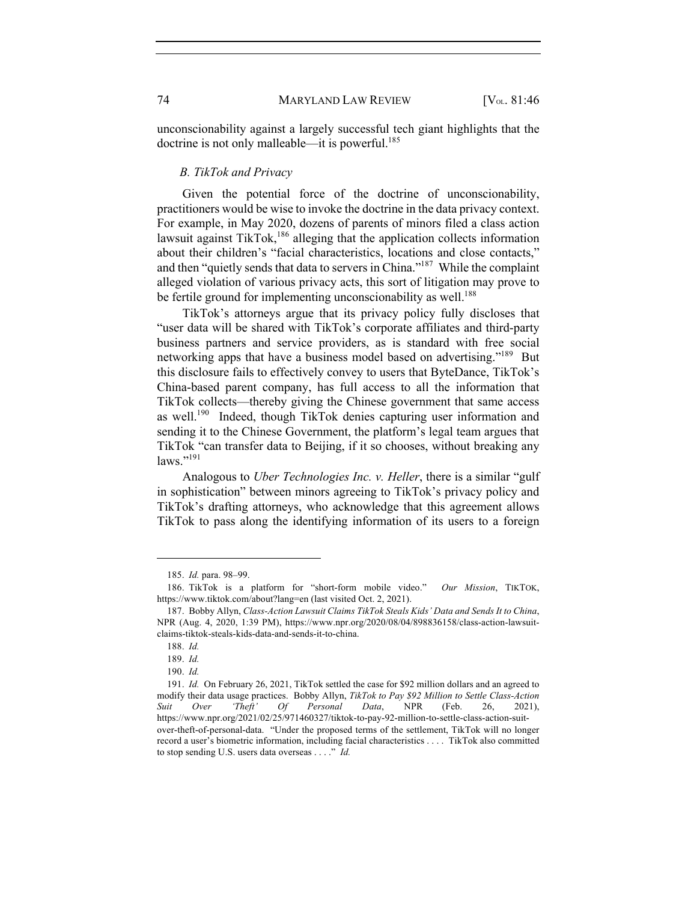unconscionability against a largely successful tech giant highlights that the doctrine is not only malleable—it is powerful.<sup>185</sup>

#### *B. TikTok and Privacy*

Given the potential force of the doctrine of unconscionability, practitioners would be wise to invoke the doctrine in the data privacy context. For example, in May 2020, dozens of parents of minors filed a class action lawsuit against TikTok, $186$  alleging that the application collects information about their children's "facial characteristics, locations and close contacts," and then "quietly sends that data to servers in China."187 While the complaint alleged violation of various privacy acts, this sort of litigation may prove to be fertile ground for implementing unconscionability as well.<sup>188</sup>

TikTok's attorneys argue that its privacy policy fully discloses that "user data will be shared with TikTok's corporate affiliates and third-party business partners and service providers, as is standard with free social networking apps that have a business model based on advertising."<sup>189</sup> But this disclosure fails to effectively convey to users that ByteDance, TikTok's China-based parent company, has full access to all the information that TikTok collects—thereby giving the Chinese government that same access as well.<sup>190</sup> Indeed, though TikTok denies capturing user information and sending it to the Chinese Government, the platform's legal team argues that TikTok "can transfer data to Beijing, if it so chooses, without breaking any  $\text{laws.} \cdot$ <sup>191</sup>

Analogous to *Uber Technologies Inc. v. Heller*, there is a similar "gulf in sophistication" between minors agreeing to TikTok's privacy policy and TikTok's drafting attorneys, who acknowledge that this agreement allows TikTok to pass along the identifying information of its users to a foreign

<sup>185.</sup> *Id.* para. 98–99.

<sup>186.</sup> TikTok is a platform for "short-form mobile video." *Our Mission*, TIKTOK, https://www.tiktok.com/about?lang=en (last visited Oct. 2, 2021).

<sup>187.</sup> Bobby Allyn, *Class-Action Lawsuit Claims TikTok Steals Kids' Data and Sends It to China*, NPR (Aug. 4, 2020, 1:39 PM), https://www.npr.org/2020/08/04/898836158/class-action-lawsuitclaims-tiktok-steals-kids-data-and-sends-it-to-china.

<sup>188.</sup> *Id.*

<sup>189.</sup> *Id.*

<sup>190.</sup> *Id.*

<sup>191.</sup> *Id.* On February 26, 2021, TikTok settled the case for \$92 million dollars and an agreed to modify their data usage practices. Bobby Allyn, *TikTok to Pay \$92 Million to Settle Class-Action Suit Over 'Theft' Of Personal Data*, NPR (Feb. 26, 2021), https://www.npr.org/2021/02/25/971460327/tiktok-to-pay-92-million-to-settle-class-action-suitover-theft-of-personal-data. "Under the proposed terms of the settlement, TikTok will no longer record a user's biometric information, including facial characteristics . . . . TikTok also committed to stop sending U.S. users data overseas . . . ." *Id.*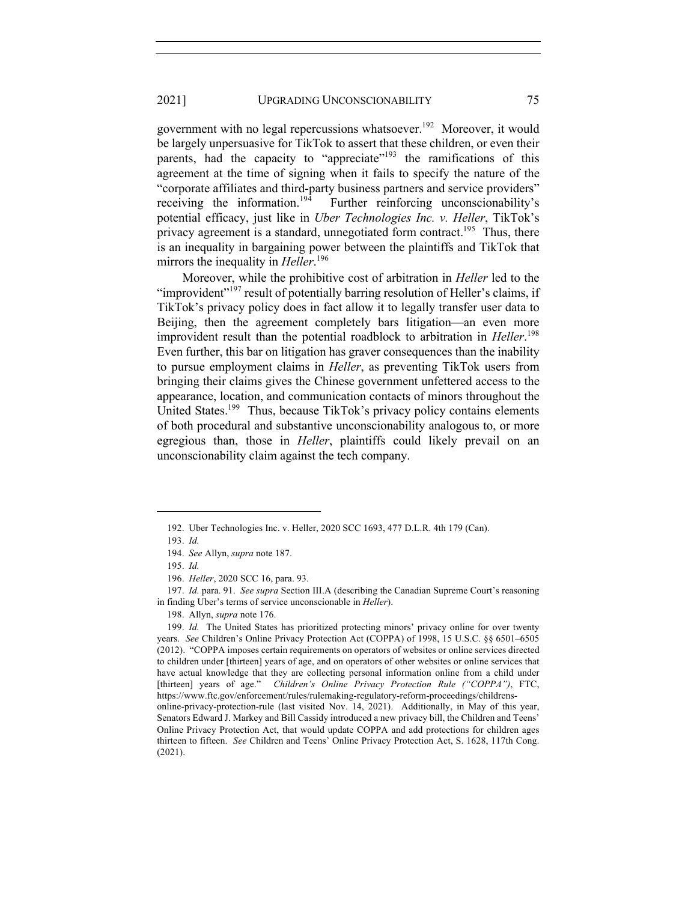government with no legal repercussions whatsoever.<sup>192</sup> Moreover, it would be largely unpersuasive for TikTok to assert that these children, or even their parents, had the capacity to "appreciate"<sup>193</sup> the ramifications of this agreement at the time of signing when it fails to specify the nature of the "corporate affiliates and third-party business partners and service providers"<br>receiving the information.<sup>194</sup> Further reinforcing unconscionability's Further reinforcing unconscionability's potential efficacy, just like in *Uber Technologies Inc. v. Heller*, TikTok's privacy agreement is a standard, unnegotiated form contract.<sup>195</sup> Thus, there is an inequality in bargaining power between the plaintiffs and TikTok that mirrors the inequality in *Heller*. 196

Moreover, while the prohibitive cost of arbitration in *Heller* led to the "improvident"<sup>197</sup> result of potentially barring resolution of Heller's claims, if TikTok's privacy policy does in fact allow it to legally transfer user data to Beijing, then the agreement completely bars litigation—an even more improvident result than the potential roadblock to arbitration in *Heller*. 198 Even further, this bar on litigation has graver consequences than the inability to pursue employment claims in *Heller*, as preventing TikTok users from bringing their claims gives the Chinese government unfettered access to the appearance, location, and communication contacts of minors throughout the United States.<sup>199</sup> Thus, because TikTok's privacy policy contains elements of both procedural and substantive unconscionability analogous to, or more egregious than, those in *Heller*, plaintiffs could likely prevail on an unconscionability claim against the tech company.

198. Allyn, *supra* note 176.

<sup>192.</sup> Uber Technologies Inc. v. Heller, 2020 SCC 1693, 477 D.L.R. 4th 179 (Can).

<sup>193.</sup> *Id.*

<sup>194.</sup> *See* Allyn, *supra* note 187.

<sup>195.</sup> *Id.*

<sup>196.</sup> *Heller*, 2020 SCC 16, para. 93.

<sup>197.</sup> *Id.* para. 91. *See supra* Section III.A (describing the Canadian Supreme Court's reasoning in finding Uber's terms of service unconscionable in *Heller*).

<sup>199.</sup> *Id.* The United States has prioritized protecting minors' privacy online for over twenty years. *See* Children's Online Privacy Protection Act (COPPA) of 1998, 15 U.S.C. §§ 6501–6505 (2012). "COPPA imposes certain requirements on operators of websites or online services directed to children under [thirteen] years of age, and on operators of other websites or online services that have actual knowledge that they are collecting personal information online from a child under [thirteen] years of age." *Children's Online Privacy Protection Rule ("COPPA")*, FTC, https://www.ftc.gov/enforcement/rules/rulemaking-regulatory-reform-proceedings/childrensonline-privacy-protection-rule (last visited Nov. 14, 2021). Additionally, in May of this year, Senators Edward J. Markey and Bill Cassidy introduced a new privacy bill, the Children and Teens' Online Privacy Protection Act, that would update COPPA and add protections for children ages thirteen to fifteen. *See* Children and Teens' Online Privacy Protection Act, S. 1628, 117th Cong. (2021).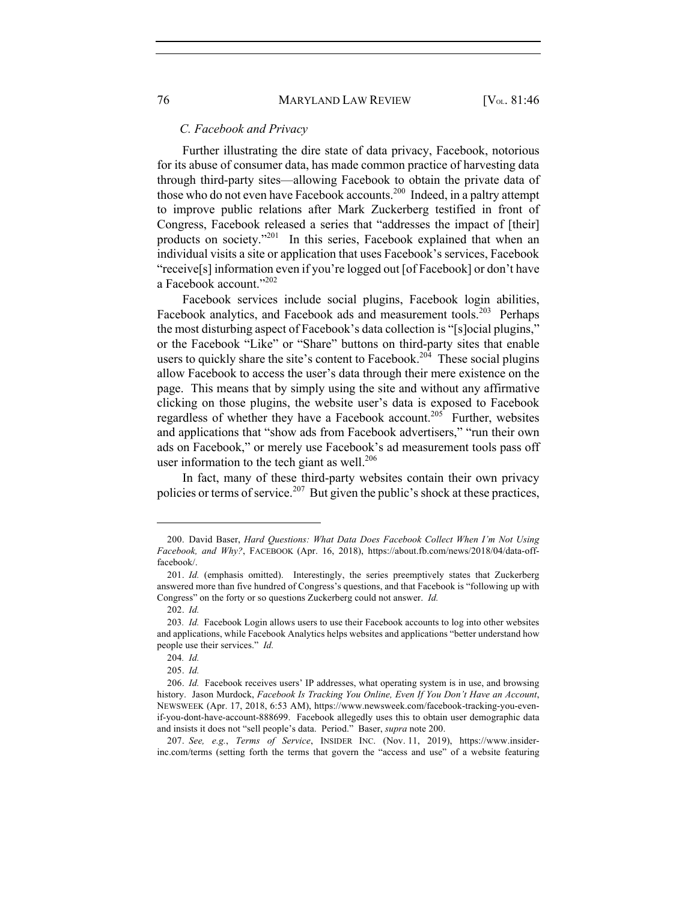#### *C. Facebook and Privacy*

Further illustrating the dire state of data privacy, Facebook, notorious for its abuse of consumer data, has made common practice of harvesting data through third-party sites—allowing Facebook to obtain the private data of those who do not even have Facebook accounts.<sup>200</sup> Indeed, in a paltry attempt to improve public relations after Mark Zuckerberg testified in front of Congress, Facebook released a series that "addresses the impact of [their] products on society."<sup>201</sup> In this series, Facebook explained that when an individual visits a site or application that uses Facebook's services, Facebook "receive[s] information even if you're logged out [of Facebook] or don't have a Facebook account."<sup>202</sup>

Facebook services include social plugins, Facebook login abilities, Facebook analytics, and Facebook ads and measurement tools.<sup>203</sup> Perhaps the most disturbing aspect of Facebook's data collection is "[s]ocial plugins," or the Facebook "Like" or "Share" buttons on third-party sites that enable users to quickly share the site's content to Facebook.<sup>204</sup> These social plugins allow Facebook to access the user's data through their mere existence on the page. This means that by simply using the site and without any affirmative clicking on those plugins, the website user's data is exposed to Facebook regardless of whether they have a Facebook account.<sup>205</sup> Further, websites and applications that "show ads from Facebook advertisers," "run their own ads on Facebook," or merely use Facebook's ad measurement tools pass off user information to the tech giant as well.<sup>206</sup>

In fact, many of these third-party websites contain their own privacy policies or terms of service.<sup>207</sup> But given the public's shock at these practices,

<sup>200.</sup> David Baser, *Hard Questions: What Data Does Facebook Collect When I'm Not Using Facebook, and Why?*, FACEBOOK (Apr. 16, 2018), https://about.fb.com/news/2018/04/data-offfacebook/.

<sup>201.</sup> *Id.* (emphasis omitted). Interestingly, the series preemptively states that Zuckerberg answered more than five hundred of Congress's questions, and that Facebook is "following up with Congress" on the forty or so questions Zuckerberg could not answer. *Id.*

<sup>202.</sup> *Id.*

<sup>203</sup>*. Id.* Facebook Login allows users to use their Facebook accounts to log into other websites and applications, while Facebook Analytics helps websites and applications "better understand how people use their services." *Id.*

<sup>204</sup>*. Id.* 

<sup>205.</sup> *Id.*

<sup>206.</sup> *Id.* Facebook receives users' IP addresses, what operating system is in use, and browsing history. Jason Murdock, *Facebook Is Tracking You Online, Even If You Don't Have an Account*, NEWSWEEK (Apr. 17, 2018, 6:53 AM), https://www.newsweek.com/facebook-tracking-you-evenif-you-dont-have-account-888699. Facebook allegedly uses this to obtain user demographic data and insists it does not "sell people's data. Period." Baser, *supra* note 200.

<sup>207.</sup> *See, e.g.*, *Terms of Service*, INSIDER INC. (Nov. 11, 2019), https://www.insiderinc.com/terms (setting forth the terms that govern the "access and use" of a website featuring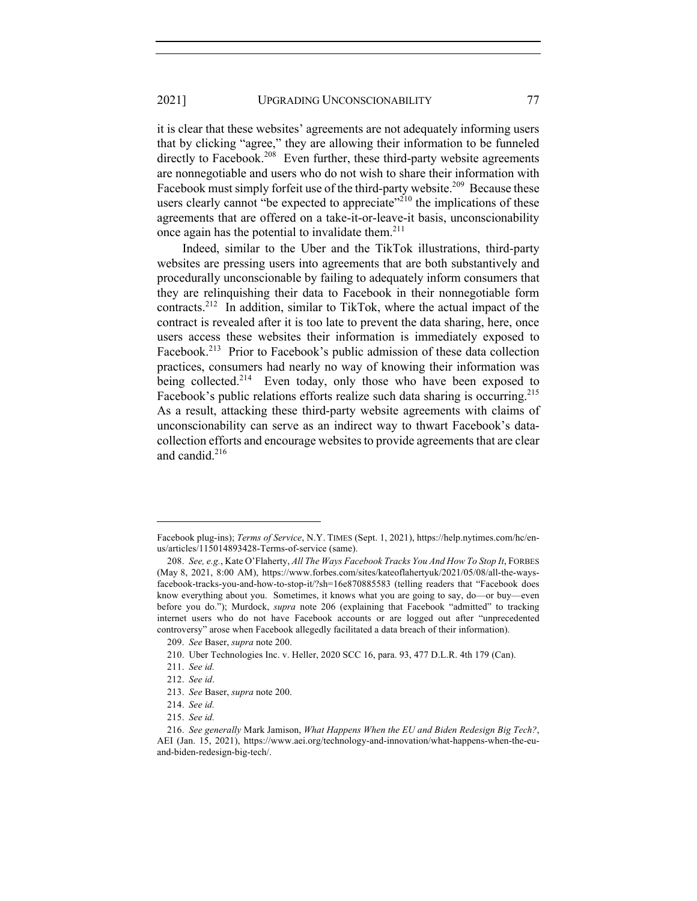it is clear that these websites' agreements are not adequately informing users that by clicking "agree," they are allowing their information to be funneled directly to Facebook.<sup>208</sup> Even further, these third-party website agreements are nonnegotiable and users who do not wish to share their information with Facebook must simply forfeit use of the third-party website.<sup>209</sup> Because these users clearly cannot "be expected to appreciate"<sup>210</sup> the implications of these agreements that are offered on a take-it-or-leave-it basis, unconscionability once again has the potential to invalidate them. $2^{11}$ 

Indeed, similar to the Uber and the TikTok illustrations, third-party websites are pressing users into agreements that are both substantively and procedurally unconscionable by failing to adequately inform consumers that they are relinquishing their data to Facebook in their nonnegotiable form contracts.212 In addition, similar to TikTok, where the actual impact of the contract is revealed after it is too late to prevent the data sharing, here, once users access these websites their information is immediately exposed to Facebook.<sup>213</sup> Prior to Facebook's public admission of these data collection practices, consumers had nearly no way of knowing their information was being collected.<sup>214</sup> Even today, only those who have been exposed to Facebook's public relations efforts realize such data sharing is occurring.<sup>215</sup> As a result, attacking these third-party website agreements with claims of unconscionability can serve as an indirect way to thwart Facebook's datacollection efforts and encourage websites to provide agreements that are clear and candid.<sup>216</sup>

Facebook plug-ins); *Terms of Service*, N.Y. TIMES (Sept. 1, 2021), https://help.nytimes.com/hc/enus/articles/115014893428-Terms-of-service (same).

<sup>208.</sup> *See, e.g.*, Kate O'Flaherty, *All The Ways Facebook Tracks You And How To Stop It*, FORBES (May 8, 2021, 8:00 AM), https://www.forbes.com/sites/kateoflahertyuk/2021/05/08/all-the-waysfacebook-tracks-you-and-how-to-stop-it/?sh=16e870885583 (telling readers that "Facebook does know everything about you. Sometimes, it knows what you are going to say, do––or buy—even before you do."); Murdock, *supra* note 206 (explaining that Facebook "admitted" to tracking internet users who do not have Facebook accounts or are logged out after "unprecedented controversy" arose when Facebook allegedly facilitated a data breach of their information).

<sup>209.</sup> *See* Baser, *supra* note 200.

<sup>210.</sup> Uber Technologies Inc. v. Heller, 2020 SCC 16, para. 93, 477 D.L.R. 4th 179 (Can).

<sup>211.</sup> *See id.*

<sup>212.</sup> *See id*.

<sup>213.</sup> *See* Baser, *supra* note 200.

<sup>214.</sup> *See id.*

<sup>215.</sup> *See id.*

<sup>216.</sup> *See generally* Mark Jamison, *What Happens When the EU and Biden Redesign Big Tech?*, AEI (Jan. 15, 2021), https://www.aei.org/technology-and-innovation/what-happens-when-the-euand-biden-redesign-big-tech/.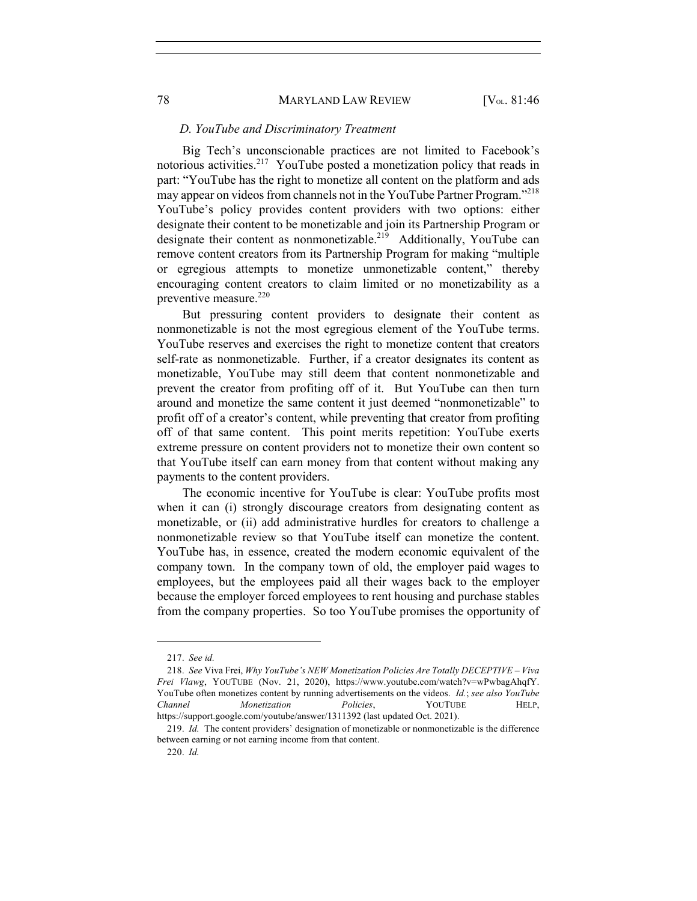#### *D. YouTube and Discriminatory Treatment*

Big Tech's unconscionable practices are not limited to Facebook's notorious activities.<sup>217</sup> YouTube posted a monetization policy that reads in part: "YouTube has the right to monetize all content on the platform and ads may appear on videos from channels not in the YouTube Partner Program."<sup>218</sup> YouTube's policy provides content providers with two options: either designate their content to be monetizable and join its Partnership Program or designate their content as nonmonetizable.<sup>219</sup> Additionally, YouTube can remove content creators from its Partnership Program for making "multiple or egregious attempts to monetize unmonetizable content," thereby encouraging content creators to claim limited or no monetizability as a preventive measure.<sup>220</sup>

But pressuring content providers to designate their content as nonmonetizable is not the most egregious element of the YouTube terms. YouTube reserves and exercises the right to monetize content that creators self-rate as nonmonetizable. Further, if a creator designates its content as monetizable, YouTube may still deem that content nonmonetizable and prevent the creator from profiting off of it. But YouTube can then turn around and monetize the same content it just deemed "nonmonetizable" to profit off of a creator's content, while preventing that creator from profiting off of that same content. This point merits repetition: YouTube exerts extreme pressure on content providers not to monetize their own content so that YouTube itself can earn money from that content without making any payments to the content providers.

The economic incentive for YouTube is clear: YouTube profits most when it can (i) strongly discourage creators from designating content as monetizable, or (ii) add administrative hurdles for creators to challenge a nonmonetizable review so that YouTube itself can monetize the content. YouTube has, in essence, created the modern economic equivalent of the company town. In the company town of old, the employer paid wages to employees, but the employees paid all their wages back to the employer because the employer forced employees to rent housing and purchase stables from the company properties. So too YouTube promises the opportunity of

<sup>217.</sup> *See id.*

<sup>218.</sup> *See* Viva Frei, *Why YouTube's NEW Monetization Policies Are Totally DECEPTIVE – Viva Frei Vlawg*, YOUTUBE (Nov. 21, 2020), https://www.youtube.com/watch?v=wPwbagAhqfY. YouTube often monetizes content by running advertisements on the videos. *Id.*; *see also YouTube Channel Monetization Policies*, YOUTUBE HELP, https://support.google.com/youtube/answer/1311392 (last updated Oct. 2021).

<sup>219.</sup> *Id.* The content providers' designation of monetizable or nonmonetizable is the difference between earning or not earning income from that content.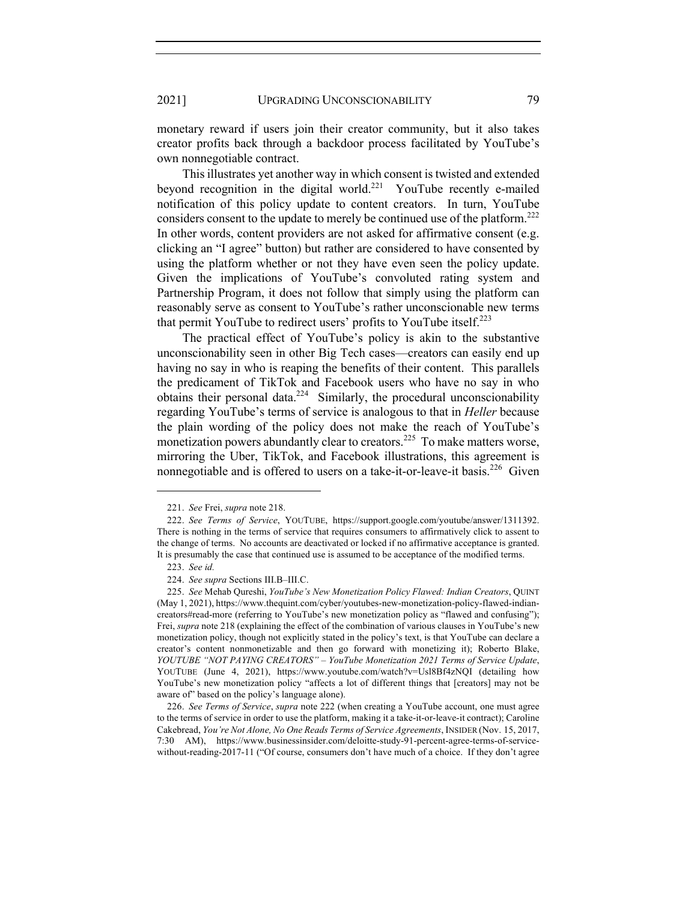monetary reward if users join their creator community, but it also takes creator profits back through a backdoor process facilitated by YouTube's own nonnegotiable contract.

This illustrates yet another way in which consent is twisted and extended beyond recognition in the digital world.<sup>221</sup> YouTube recently e-mailed notification of this policy update to content creators. In turn, YouTube considers consent to the update to merely be continued use of the platform.<sup>222</sup> In other words, content providers are not asked for affirmative consent (e.g. clicking an "I agree" button) but rather are considered to have consented by using the platform whether or not they have even seen the policy update. Given the implications of YouTube's convoluted rating system and Partnership Program, it does not follow that simply using the platform can reasonably serve as consent to YouTube's rather unconscionable new terms that permit YouTube to redirect users' profits to YouTube itself. $223$ 

The practical effect of YouTube's policy is akin to the substantive unconscionability seen in other Big Tech cases—creators can easily end up having no say in who is reaping the benefits of their content. This parallels the predicament of TikTok and Facebook users who have no say in who obtains their personal data.<sup>224</sup> Similarly, the procedural unconscionability regarding YouTube's terms of service is analogous to that in *Heller* because the plain wording of the policy does not make the reach of YouTube's monetization powers abundantly clear to creators.<sup>225</sup> To make matters worse, mirroring the Uber, TikTok, and Facebook illustrations, this agreement is nonnegotiable and is offered to users on a take-it-or-leave-it basis.<sup>226</sup> Given

<sup>221.</sup> *See* Frei, *supra* note 218.

<sup>222.</sup> *See Terms of Service*, YOUTUBE, https://support.google.com/youtube/answer/1311392. There is nothing in the terms of service that requires consumers to affirmatively click to assent to the change of terms. No accounts are deactivated or locked if no affirmative acceptance is granted. It is presumably the case that continued use is assumed to be acceptance of the modified terms.

<sup>223.</sup> *See id.*

<sup>224.</sup> *See supra* Sections III.B–III.C.

<sup>225.</sup> *See* Mehab Qureshi, *YouTube's New Monetization Policy Flawed: Indian Creators*, QUINT (May 1, 2021), https://www.thequint.com/cyber/youtubes-new-monetization-policy-flawed-indiancreators#read-more (referring to YouTube's new monetization policy as "flawed and confusing"); Frei, *supra* note 218 (explaining the effect of the combination of various clauses in YouTube's new monetization policy, though not explicitly stated in the policy's text, is that YouTube can declare a creator's content nonmonetizable and then go forward with monetizing it); Roberto Blake, *YOUTUBE "NOT PAYING CREATORS" – YouTube Monetization 2021 Terms of Service Update*, YOUTUBE (June 4, 2021), https://www.youtube.com/watch?v=Usl8Bf4zNQI (detailing how YouTube's new monetization policy "affects a lot of different things that [creators] may not be aware of" based on the policy's language alone).

<sup>226.</sup> *See Terms of Service*, *supra* note 222 (when creating a YouTube account, one must agree to the terms of service in order to use the platform, making it a take-it-or-leave-it contract); Caroline Cakebread, *You're Not Alone, No One Reads Terms of Service Agreements*, INSIDER (Nov. 15, 2017, 7:30 AM), https://www.businessinsider.com/deloitte-study-91-percent-agree-terms-of-servicewithout-reading-2017-11 ("Of course, consumers don't have much of a choice. If they don't agree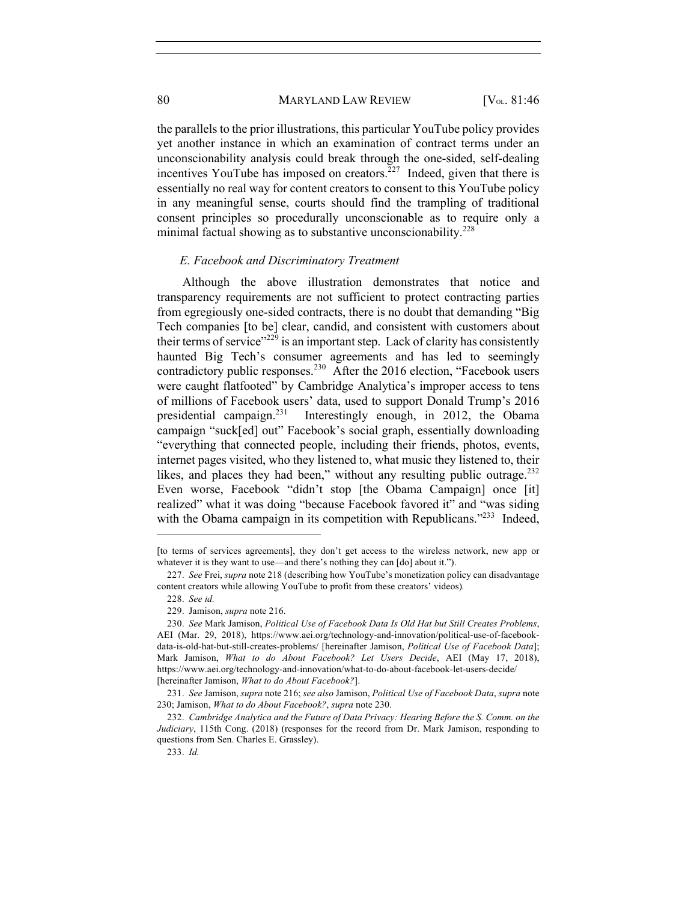the parallels to the prior illustrations, this particular YouTube policy provides yet another instance in which an examination of contract terms under an unconscionability analysis could break through the one-sided, self-dealing incentives YouTube has imposed on creators.<sup>227</sup> Indeed, given that there is essentially no real way for content creators to consent to this YouTube policy in any meaningful sense, courts should find the trampling of traditional consent principles so procedurally unconscionable as to require only a minimal factual showing as to substantive unconscionability.<sup>228</sup>

#### *E. Facebook and Discriminatory Treatment*

Although the above illustration demonstrates that notice and transparency requirements are not sufficient to protect contracting parties from egregiously one-sided contracts, there is no doubt that demanding "Big Tech companies [to be] clear, candid, and consistent with customers about their terms of service"<sup>229</sup> is an important step. Lack of clarity has consistently haunted Big Tech's consumer agreements and has led to seemingly contradictory public responses.<sup>230</sup> After the 2016 election, "Facebook users" were caught flatfooted" by Cambridge Analytica's improper access to tens of millions of Facebook users' data, used to support Donald Trump's 2016 presidential campaign.<sup>231</sup> Interestingly enough, in 2012, the Obama campaign "suck[ed] out" Facebook's social graph, essentially downloading "everything that connected people, including their friends, photos, events, internet pages visited, who they listened to, what music they listened to, their likes, and places they had been," without any resulting public outrage.<sup>232</sup> Even worse, Facebook "didn't stop [the Obama Campaign] once [it] realized" what it was doing "because Facebook favored it" and "was siding with the Obama campaign in its competition with Republicans."<sup>233</sup> Indeed,

<sup>[</sup>to terms of services agreements], they don't get access to the wireless network, new app or whatever it is they want to use—and there's nothing they can [do] about it.").

<sup>227.</sup> *See* Frei, *supra* note 218 (describing how YouTube's monetization policy can disadvantage content creators while allowing YouTube to profit from these creators' videos)*.*

<sup>228.</sup> *See id.*

<sup>229.</sup> Jamison, *supra* note 216.

<sup>230.</sup> *See* Mark Jamison, *Political Use of Facebook Data Is Old Hat but Still Creates Problems*, AEI (Mar. 29, 2018), https://www.aei.org/technology-and-innovation/political-use-of-facebookdata-is-old-hat-but-still-creates-problems/ [hereinafter Jamison, *Political Use of Facebook Data*]; Mark Jamison, *What to do About Facebook? Let Users Decide*, AEI (May 17, 2018), https://www.aei.org/technology-and-innovation/what-to-do-about-facebook-let-users-decide/ [hereinafter Jamison, *What to do About Facebook?*].

<sup>231.</sup> *See* Jamison, *supra* note 216; *see also* Jamison, *Political Use of Facebook Data*, *supra* note 230; Jamison, *What to do About Facebook?*, *supra* note 230.

<sup>232.</sup> *Cambridge Analytica and the Future of Data Privacy: Hearing Before the S. Comm. on the Judiciary*, 115th Cong. (2018) (responses for the record from Dr. Mark Jamison, responding to questions from Sen. Charles E. Grassley).

<sup>233.</sup> *Id.*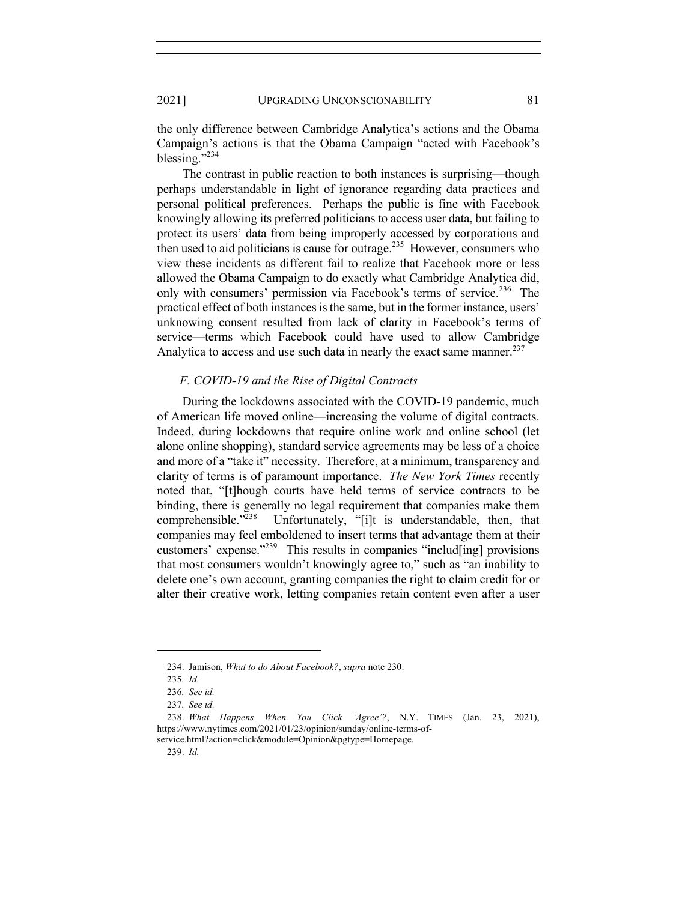the only difference between Cambridge Analytica's actions and the Obama Campaign's actions is that the Obama Campaign "acted with Facebook's blessing."<sup>234</sup>

The contrast in public reaction to both instances is surprising—though perhaps understandable in light of ignorance regarding data practices and personal political preferences. Perhaps the public is fine with Facebook knowingly allowing its preferred politicians to access user data, but failing to protect its users' data from being improperly accessed by corporations and then used to aid politicians is cause for outrage.<sup>235</sup> However, consumers who view these incidents as different fail to realize that Facebook more or less allowed the Obama Campaign to do exactly what Cambridge Analytica did, only with consumers' permission via Facebook's terms of service.<sup>236</sup> The practical effect of both instances is the same, but in the former instance, users' unknowing consent resulted from lack of clarity in Facebook's terms of service—terms which Facebook could have used to allow Cambridge Analytica to access and use such data in nearly the exact same manner.<sup>237</sup>

## *F. COVID-19 and the Rise of Digital Contracts*

During the lockdowns associated with the COVID-19 pandemic, much of American life moved online—increasing the volume of digital contracts. Indeed, during lockdowns that require online work and online school (let alone online shopping), standard service agreements may be less of a choice and more of a "take it" necessity. Therefore, at a minimum, transparency and clarity of terms is of paramount importance. *The New York Times* recently noted that, "[t]hough courts have held terms of service contracts to be binding, there is generally no legal requirement that companies make them comprehensible."<sup>238</sup> Unfortunately, "[i]t is understandable, then, that companies may feel emboldened to insert terms that advantage them at their customers' expense."<sup>239</sup> This results in companies "includ[ing] provisions that most consumers wouldn't knowingly agree to," such as "an inability to delete one's own account, granting companies the right to claim credit for or alter their creative work, letting companies retain content even after a user

<sup>234.</sup> Jamison, *What to do About Facebook?*, *supra* note 230.

<sup>235</sup>*. Id.*

<sup>236</sup>*. See id.*

<sup>237</sup>*. See id.*

<sup>238.</sup> *What Happens When You Click 'Agree'?*, N.Y. TIMES (Jan. 23, 2021), https://www.nytimes.com/2021/01/23/opinion/sunday/online-terms-of-

service.html?action=click&module=Opinion&pgtype=Homepage.

<sup>239.</sup> *Id.*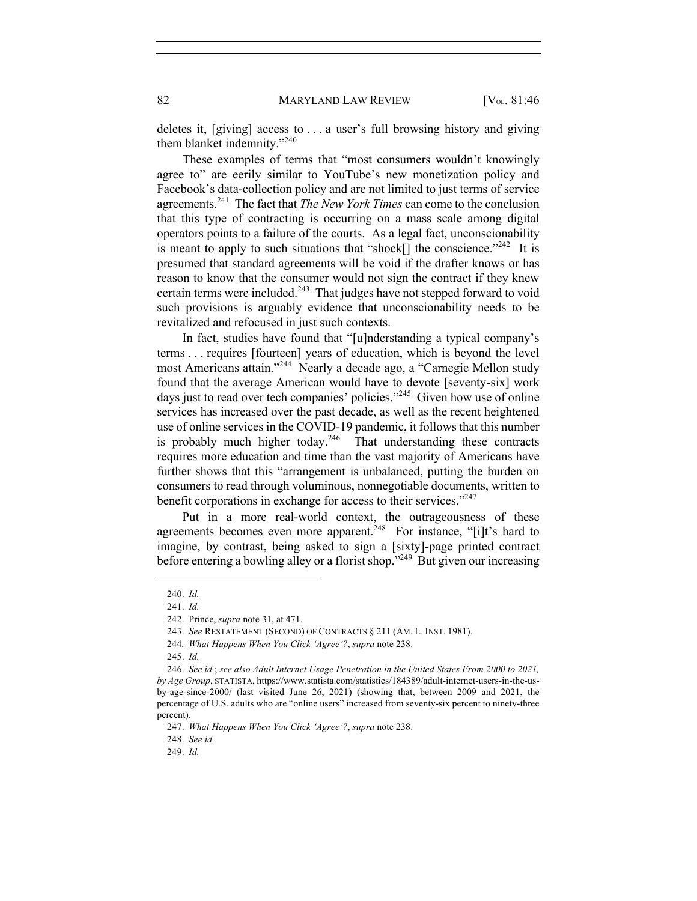deletes it, [giving] access to . . . a user's full browsing history and giving them blanket indemnity."240

These examples of terms that "most consumers wouldn't knowingly agree to" are eerily similar to YouTube's new monetization policy and Facebook's data-collection policy and are not limited to just terms of service agreements.241 The fact that *The New York Times* can come to the conclusion that this type of contracting is occurring on a mass scale among digital operators points to a failure of the courts. As a legal fact, unconscionability is meant to apply to such situations that "shock[] the conscience."<sup>242</sup> It is presumed that standard agreements will be void if the drafter knows or has reason to know that the consumer would not sign the contract if they knew certain terms were included. $243$  That judges have not stepped forward to void such provisions is arguably evidence that unconscionability needs to be revitalized and refocused in just such contexts.

In fact, studies have found that "[u]nderstanding a typical company's terms . . . requires [fourteen] years of education, which is beyond the level most Americans attain."244 Nearly a decade ago, a "Carnegie Mellon study found that the average American would have to devote [seventy-six] work days just to read over tech companies' policies."<sup>245</sup> Given how use of online services has increased over the past decade, as well as the recent heightened use of online services in the COVID-19 pandemic, it follows that this number is probably much higher today.<sup>246</sup> That understanding these contracts requires more education and time than the vast majority of Americans have further shows that this "arrangement is unbalanced, putting the burden on consumers to read through voluminous, nonnegotiable documents, written to benefit corporations in exchange for access to their services."<sup>247</sup>

Put in a more real-world context, the outrageousness of these agreements becomes even more apparent.<sup>248</sup> For instance, "[i]t's hard to imagine, by contrast, being asked to sign a [sixty]-page printed contract before entering a bowling alley or a florist shop."<sup>249</sup> But given our increasing

<sup>240.</sup> *Id.* 

<sup>241.</sup> *Id.* 

<sup>242.</sup> Prince, *supra* note 31, at 471.

<sup>243.</sup> *See* RESTATEMENT (SECOND) OF CONTRACTS § 211 (AM. L. INST. 1981).

<sup>244</sup>*. What Happens When You Click 'Agree'?*, *supra* note 238.

<sup>245.</sup> *Id.*

<sup>246.</sup> *See id.*; *see also Adult Internet Usage Penetration in the United States From 2000 to 2021, by Age Group*, STATISTA, https://www.statista.com/statistics/184389/adult-internet-users-in-the-usby-age-since-2000/ (last visited June 26, 2021) (showing that, between 2009 and 2021, the percentage of U.S. adults who are "online users" increased from seventy-six percent to ninety-three percent).

<sup>247.</sup> *What Happens When You Click 'Agree'?*, *supra* note 238.

<sup>248.</sup> *See id.*

<sup>249.</sup> *Id.*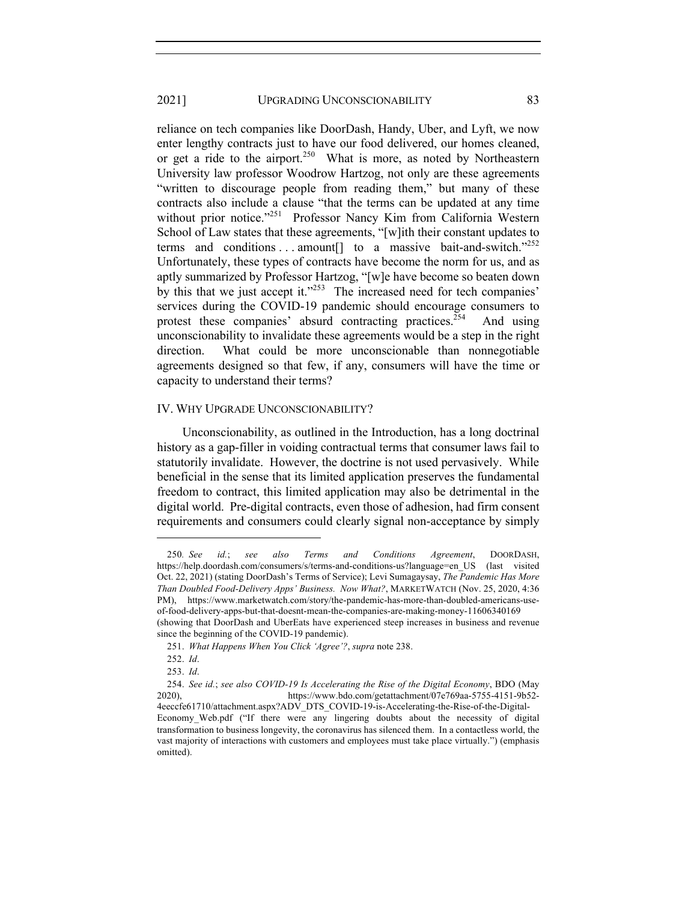reliance on tech companies like DoorDash, Handy, Uber, and Lyft, we now enter lengthy contracts just to have our food delivered, our homes cleaned, or get a ride to the airport.<sup>250</sup> What is more, as noted by Northeastern University law professor Woodrow Hartzog, not only are these agreements "written to discourage people from reading them," but many of these contracts also include a clause "that the terms can be updated at any time without prior notice."<sup>251</sup> Professor Nancy Kim from California Western School of Law states that these agreements, "[w]ith their constant updates to terms and conditions ... amount<sup>[]</sup> to a massive bait-and-switch."<sup>252</sup> Unfortunately, these types of contracts have become the norm for us, and as aptly summarized by Professor Hartzog, "[w]e have become so beaten down by this that we just accept it."<sup>253</sup> The increased need for tech companies' services during the COVID-19 pandemic should encourage consumers to protest these companies' absurd contracting practices.<sup> $254$ </sup> And using unconscionability to invalidate these agreements would be a step in the right direction. What could be more unconscionable than nonnegotiable agreements designed so that few, if any, consumers will have the time or capacity to understand their terms?

#### IV. WHY UPGRADE UNCONSCIONABILITY?

Unconscionability, as outlined in the Introduction, has a long doctrinal history as a gap-filler in voiding contractual terms that consumer laws fail to statutorily invalidate. However, the doctrine is not used pervasively. While beneficial in the sense that its limited application preserves the fundamental freedom to contract, this limited application may also be detrimental in the digital world. Pre-digital contracts, even those of adhesion, had firm consent requirements and consumers could clearly signal non-acceptance by simply

<sup>250</sup>*. See id.*; *see also Terms and Conditions Agreement*, DOORDASH, https://help.doordash.com/consumers/s/terms-and-conditions-us?language=en\_US (last visited Oct. 22, 2021) (stating DoorDash's Terms of Service); Levi Sumagaysay, *The Pandemic Has More Than Doubled Food-Delivery Apps' Business. Now What?*, MARKETWATCH (Nov. 25, 2020, 4:36 PM), https://www.marketwatch.com/story/the-pandemic-has-more-than-doubled-americans-useof-food-delivery-apps-but-that-doesnt-mean-the-companies-are-making-money-11606340169 (showing that DoorDash and UberEats have experienced steep increases in business and revenue since the beginning of the COVID-19 pandemic).

<sup>251.</sup> *What Happens When You Click 'Agree'?*, *supra* note 238.

<sup>252.</sup> *Id*.

<sup>253.</sup> *Id*.

<sup>254.</sup> *See id.*; *see also COVID-19 Is Accelerating the Rise of the Digital Economy*, BDO (May 2020), https://www.bdo.com/getattachment/07e769aa-5755-4151-9b52- 4eeccfe61710/attachment.aspx?ADV\_DTS\_COVID-19-is-Accelerating-the-Rise-of-the-Digital-Economy\_Web.pdf ("If there were any lingering doubts about the necessity of digital transformation to business longevity, the coronavirus has silenced them. In a contactless world, the vast majority of interactions with customers and employees must take place virtually.") (emphasis omitted).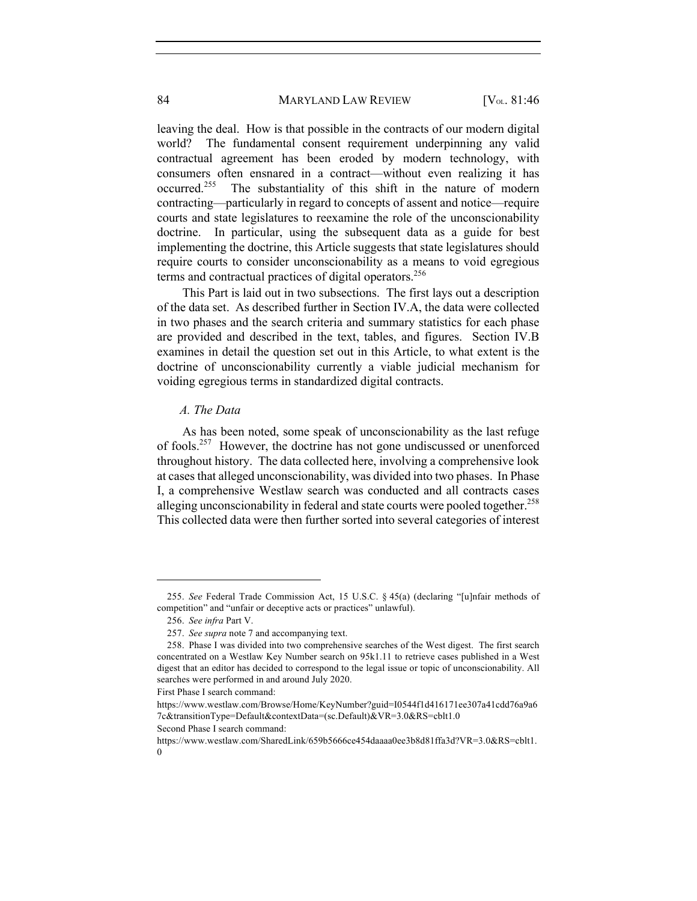leaving the deal. How is that possible in the contracts of our modern digital world? The fundamental consent requirement underpinning any valid contractual agreement has been eroded by modern technology, with consumers often ensnared in a contract—without even realizing it has occurred.<sup>255</sup> The substantiality of this shift in the nature of modern contracting—particularly in regard to concepts of assent and notice—require courts and state legislatures to reexamine the role of the unconscionability doctrine. In particular, using the subsequent data as a guide for best implementing the doctrine, this Article suggests that state legislatures should require courts to consider unconscionability as a means to void egregious terms and contractual practices of digital operators.<sup>256</sup>

This Part is laid out in two subsections. The first lays out a description of the data set. As described further in Section IV.A, the data were collected in two phases and the search criteria and summary statistics for each phase are provided and described in the text, tables, and figures. Section IV.B examines in detail the question set out in this Article, to what extent is the doctrine of unconscionability currently a viable judicial mechanism for voiding egregious terms in standardized digital contracts.

#### *A. The Data*

As has been noted, some speak of unconscionability as the last refuge of fools.257 However, the doctrine has not gone undiscussed or unenforced throughout history. The data collected here, involving a comprehensive look at cases that alleged unconscionability, was divided into two phases. In Phase I, a comprehensive Westlaw search was conducted and all contracts cases alleging unconscionability in federal and state courts were pooled together.<sup>258</sup> This collected data were then further sorted into several categories of interest

<sup>255.</sup> *See* Federal Trade Commission Act, 15 U.S.C. § 45(a) (declaring "[u]nfair methods of competition" and "unfair or deceptive acts or practices" unlawful).

<sup>256.</sup> *See infra* Part V.

<sup>257.</sup> *See supra* note 7 and accompanying text.

<sup>258.</sup> Phase I was divided into two comprehensive searches of the West digest. The first search concentrated on a Westlaw Key Number search on 95k1.11 to retrieve cases published in a West digest that an editor has decided to correspond to the legal issue or topic of unconscionability. All searches were performed in and around July 2020.

First Phase I search command:

https://www.westlaw.com/Browse/Home/KeyNumber?guid=I0544f1d416171ee307a41cdd76a9a6 7c&transitionType=Default&contextData=(sc.Default)&VR=3.0&RS=cblt1.0

Second Phase I search command:

https://www.westlaw.com/SharedLink/659b5666ce454daaaa0ee3b8d81ffa3d?VR=3.0&RS=cblt1.  $\Omega$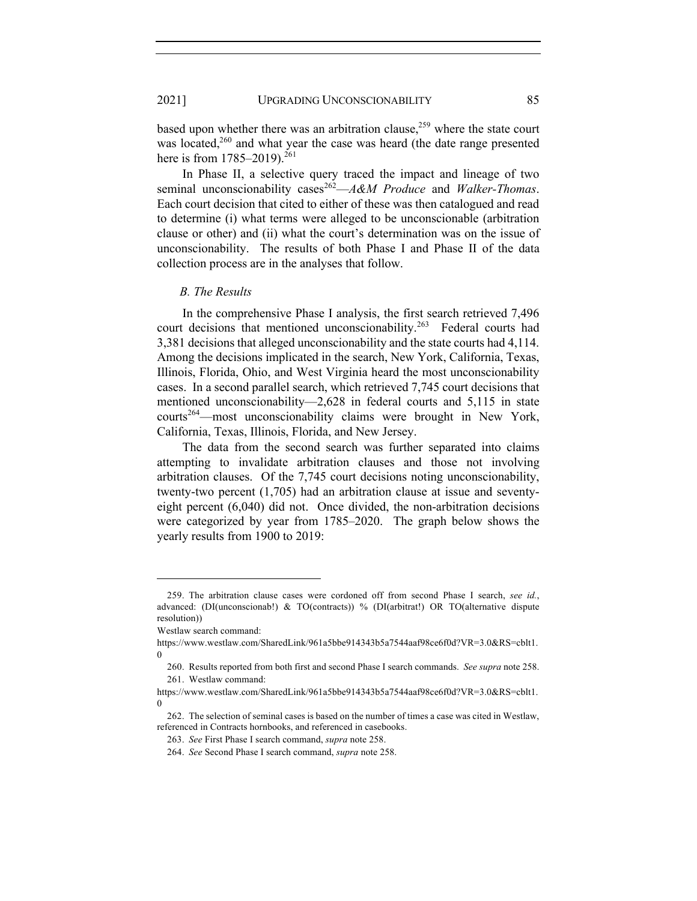based upon whether there was an arbitration clause, $259$  where the state court was located, $260$  and what year the case was heard (the date range presented here is from  $1785-2019$ .<sup>261</sup>

In Phase II, a selective query traced the impact and lineage of two seminal unconscionability cases<sup>262</sup>—*A&M Produce* and *Walker-Thomas*. Each court decision that cited to either of these was then catalogued and read to determine (i) what terms were alleged to be unconscionable (arbitration clause or other) and (ii) what the court's determination was on the issue of unconscionability. The results of both Phase I and Phase II of the data collection process are in the analyses that follow.

#### *B. The Results*

In the comprehensive Phase I analysis, the first search retrieved 7,496 court decisions that mentioned unconscionability.<sup>263</sup> Federal courts had 3,381 decisions that alleged unconscionability and the state courts had 4,114. Among the decisions implicated in the search, New York, California, Texas, Illinois, Florida, Ohio, and West Virginia heard the most unconscionability cases. In a second parallel search, which retrieved 7,745 court decisions that mentioned unconscionability—2,628 in federal courts and 5,115 in state courts<sup>264</sup>—most unconscionability claims were brought in New York, California, Texas, Illinois, Florida, and New Jersey.

The data from the second search was further separated into claims attempting to invalidate arbitration clauses and those not involving arbitration clauses. Of the 7,745 court decisions noting unconscionability, twenty-two percent (1,705) had an arbitration clause at issue and seventyeight percent (6,040) did not. Once divided, the non-arbitration decisions were categorized by year from 1785–2020. The graph below shows the yearly results from 1900 to 2019:

<sup>259.</sup> The arbitration clause cases were cordoned off from second Phase I search, *see id.*, advanced: (DI(unconscionab!) & TO(contracts)) % (DI(arbitrat!) OR TO(alternative dispute resolution))

Westlaw search command:

https://www.westlaw.com/SharedLink/961a5bbe914343b5a7544aaf98ce6f0d?VR=3.0&RS=cblt1.  $\theta$ 

<sup>260.</sup> Results reported from both first and second Phase I search commands. *See supra* note 258. 261. Westlaw command:

https://www.westlaw.com/SharedLink/961a5bbe914343b5a7544aaf98ce6f0d?VR=3.0&RS=cblt1. 0

<sup>262.</sup> The selection of seminal cases is based on the number of times a case was cited in Westlaw, referenced in Contracts hornbooks, and referenced in casebooks.

<sup>263.</sup> *See* First Phase I search command, *supra* note 258.

<sup>264.</sup> *See* Second Phase I search command, *supra* note 258.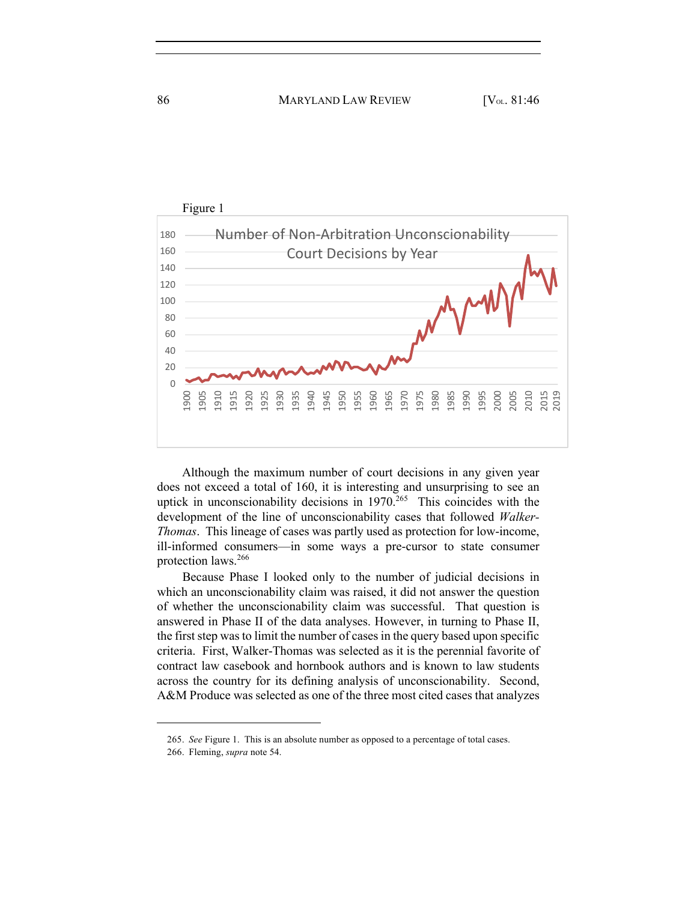

Although the maximum number of court decisions in any given year does not exceed a total of 160, it is interesting and unsurprising to see an uptick in unconscionability decisions in <sup>265</sup> This coincides with the development of the line of unconscionability cases that followed *Walker-Thomas*. This lineage of cases was partly used as protection for low-income, ill-informed consumers—in some ways a pre-cursor to state consumer protection laws. 266

Because Phase I looked only to the number of judicial decisions in which an unconscionability claim was raised, it did not answer the question of whether the unconscionability claim was successful. That question is answered in Phase II of the data analyses. However, in turning to Phase II, the first step was to limit the number of cases in the query based upon specific criteria. First, Walker-Thomas was selected as it is the perennial favorite of contract law casebook and hornbook authors and is known to law students across the country for its defining analysis of unconscionability. Second, A&M Produce was selected as one of the three most cited cases that analyzes

<sup>265.</sup> *See* Figure 1. This is an absolute number as opposed to a percentage of total cases.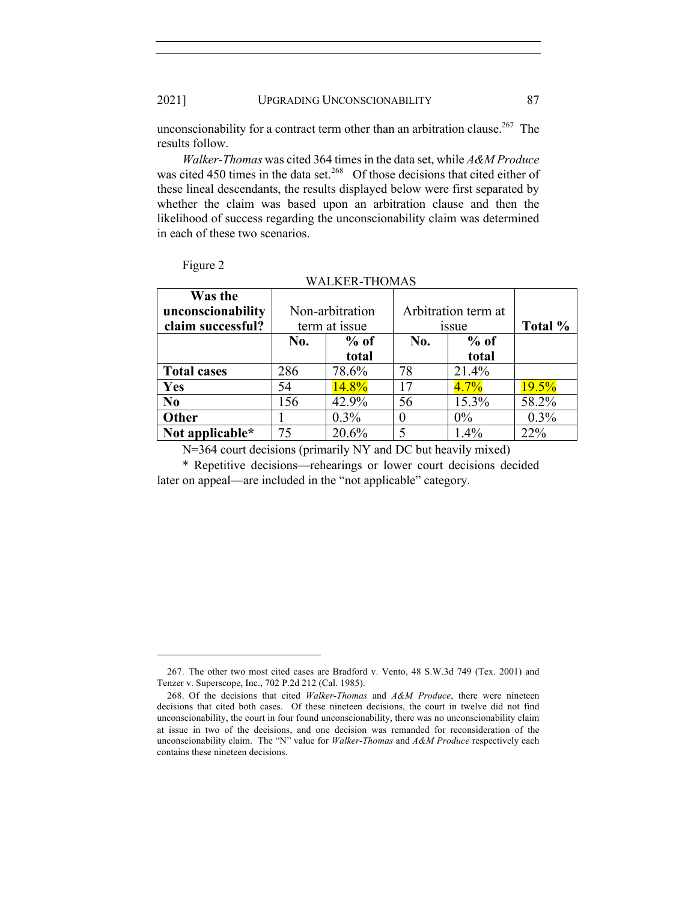Figure 2

unconscionability for a contract term other than an arbitration clause.<sup>267</sup> The results follow.

*Walker-Thomas* was cited 364 times in the data set, while *A&M Produce* was cited 450 times in the data set.<sup>268</sup> Of those decisions that cited either of these lineal descendants, the results displayed below were first separated by whether the claim was based upon an arbitration clause and then the likelihood of success regarding the unconscionability claim was determined in each of these two scenarios.

|                                                   |                                  | WALKER-THOMAS   |                              |                 |         |
|---------------------------------------------------|----------------------------------|-----------------|------------------------------|-----------------|---------|
| Was the<br>unconscionability<br>claim successful? | Non-arbitration<br>term at issue |                 | Arbitration term at<br>1SSUe |                 | Total % |
|                                                   | No.                              | $%$ of<br>total | No.                          | $%$ of<br>total |         |
| <b>Total cases</b>                                | 286                              | 78.6%           | 78                           | 21.4%           |         |
| <b>Yes</b>                                        | 54                               | 14.8%           | 17                           | $4.7\%$         | 19.5%   |
| N <sub>0</sub>                                    | 156                              | 42.9%           | 56                           | 15.3%           | 58.2%   |
| <b>Other</b>                                      |                                  | $0.3\%$         |                              | $0\%$           | $0.3\%$ |
|                                                   |                                  |                 |                              |                 |         |

**Not applicable\*** | 75 | 20.6% | 5 | 1.4% | 22% N=364 court decisions (primarily NY and DC but heavily mixed)

\* Repetitive decisions—rehearings or lower court decisions decided later on appeal—are included in the "not applicable" category.

<sup>267.</sup> The other two most cited cases are Bradford v. Vento, 48 S.W.3d 749 (Tex. 2001) and Tenzer v. Superscope, Inc., 702 P.2d 212 (Cal. 1985).

<sup>268.</sup> Of the decisions that cited *Walker-Thomas* and *A&M Produce*, there were nineteen decisions that cited both cases. Of these nineteen decisions, the court in twelve did not find unconscionability, the court in four found unconscionability, there was no unconscionability claim at issue in two of the decisions, and one decision was remanded for reconsideration of the unconscionability claim. The "N" value for *Walker-Thomas* and *A&M Produce* respectively each contains these nineteen decisions.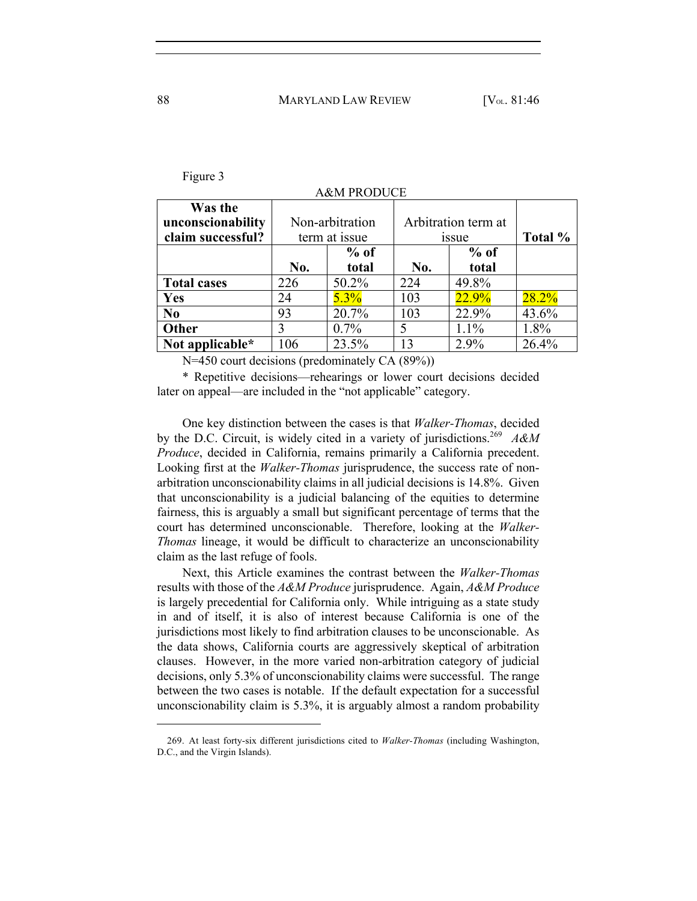| Was the<br>unconscionability<br>claim successful? | Non-arbitration<br>term at issue |        | Arbitration term at<br><i>issue</i> |         | Total % |  |  |  |
|---------------------------------------------------|----------------------------------|--------|-------------------------------------|---------|---------|--|--|--|
|                                                   |                                  | $%$ of |                                     | $%$ of  |         |  |  |  |
|                                                   | No.                              | total  | No.                                 | total   |         |  |  |  |
| <b>Total cases</b>                                | 226                              | 50.2%  | 224                                 | 49.8%   |         |  |  |  |
| Yes                                               | 24                               | 5.3%   | 103                                 | 22.9%   | 28.2%   |  |  |  |
| N <sub>0</sub>                                    | 93                               | 20.7%  | 103                                 | 22.9%   | 43.6%   |  |  |  |
| <b>Other</b>                                      | 3                                | 0.7%   | 5                                   | $1.1\%$ | 1.8%    |  |  |  |
| Not applicable*                                   | 106                              | 23.5%  | 13                                  | 2.9%    | 26.4%   |  |  |  |

**A&M PRODUCE** 

N=450 court decisions (predominately CA (89%))

\* Repetitive decisions—rehearings or lower court decisions decided later on appeal—are included in the "not applicable" category.

One key distinction between the cases is that *Walker-Thomas*, decided by the D.C. Circuit, is widely cited in a variety of jurisdictions.269 *A&M Produce*, decided in California, remains primarily a California precedent. Looking first at the *Walker-Thomas* jurisprudence, the success rate of nonarbitration unconscionability claims in all judicial decisions is 14.8%. Given that unconscionability is a judicial balancing of the equities to determine fairness, this is arguably a small but significant percentage of terms that the court has determined unconscionable. Therefore, looking at the *Walker-Thomas* lineage, it would be difficult to characterize an unconscionability claim as the last refuge of fools.

Next, this Article examines the contrast between the *Walker-Thomas* results with those of the *A&M Produce* jurisprudence. Again, *A&M Produce* is largely precedential for California only. While intriguing as a state study in and of itself, it is also of interest because California is one of the jurisdictions most likely to find arbitration clauses to be unconscionable. As the data shows, California courts are aggressively skeptical of arbitration clauses. However, in the more varied non-arbitration category of judicial decisions, only 5.3% of unconscionability claims were successful. The range between the two cases is notable. If the default expectation for a successful unconscionability claim is 5.3%, it is arguably almost a random probability

Figure 3

<sup>269.</sup> At least forty-six different jurisdictions cited to *Walker-Thomas* (including Washington, D.C., and the Virgin Islands).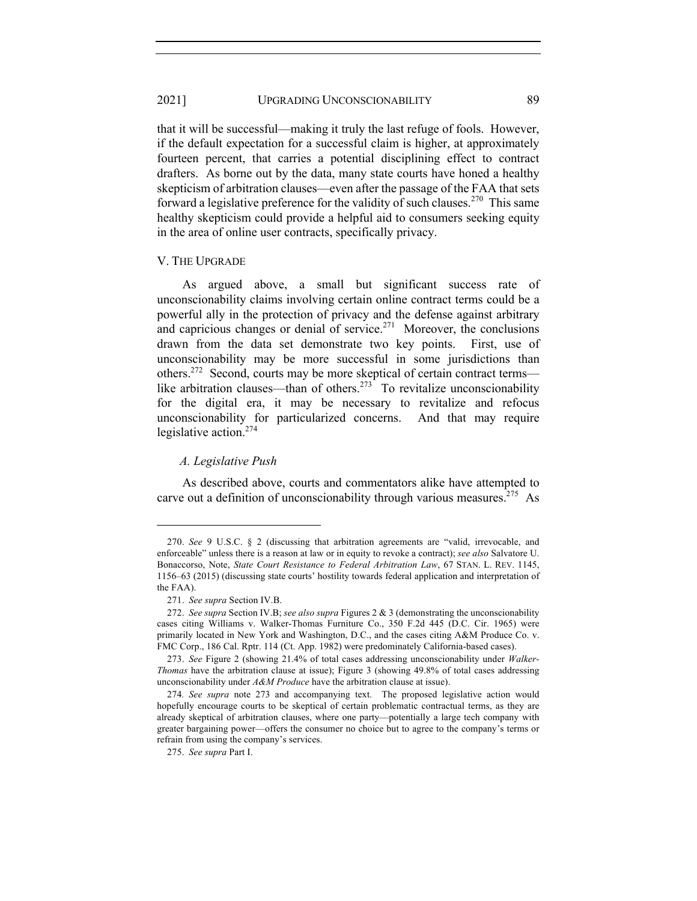that it will be successful—making it truly the last refuge of fools. However, if the default expectation for a successful claim is higher, at approximately fourteen percent, that carries a potential disciplining effect to contract drafters. As borne out by the data, many state courts have honed a healthy skepticism of arbitration clauses—even after the passage of the FAA that sets forward a legislative preference for the validity of such clauses.<sup>270</sup> This same healthy skepticism could provide a helpful aid to consumers seeking equity in the area of online user contracts, specifically privacy.

#### V. THE UPGRADE

As argued above, a small but significant success rate of unconscionability claims involving certain online contract terms could be a powerful ally in the protection of privacy and the defense against arbitrary and capricious changes or denial of service.<sup> $271$ </sup> Moreover, the conclusions drawn from the data set demonstrate two key points. First, use of unconscionability may be more successful in some jurisdictions than others.<sup>272</sup> Second, courts may be more skeptical of certain contract terms like arbitration clauses—than of others.<sup>273</sup> To revitalize unconscionability for the digital era, it may be necessary to revitalize and refocus unconscionability for particularized concerns. And that may require legislative action.274

#### *A. Legislative Push*

As described above, courts and commentators alike have attempted to carve out a definition of unconscionability through various measures.<sup>275</sup> As

<sup>270.</sup> *See* 9 U.S.C. § 2 (discussing that arbitration agreements are "valid, irrevocable, and enforceable" unless there is a reason at law or in equity to revoke a contract); *see also* Salvatore U. Bonaccorso, Note, *State Court Resistance to Federal Arbitration Law*, 67 STAN. L. REV. 1145, 1156–63 (2015) (discussing state courts' hostility towards federal application and interpretation of the FAA).

<sup>271.</sup> *See supra* Section IV.B.

<sup>272.</sup> *See supra* Section IV.B; *see also supra* Figures 2 & 3 (demonstrating the unconscionability cases citing Williams v. Walker-Thomas Furniture Co., 350 F.2d 445 (D.C. Cir. 1965) were primarily located in New York and Washington, D.C., and the cases citing A&M Produce Co. v. FMC Corp., 186 Cal. Rptr. 114 (Ct. App. 1982) were predominately California-based cases).

<sup>273.</sup> *See* Figure 2 (showing 21.4% of total cases addressing unconscionability under *Walker-Thomas* have the arbitration clause at issue); Figure 3 (showing 49.8% of total cases addressing unconscionability under *A&M Produce* have the arbitration clause at issue).

<sup>274</sup>*. See supra* note 273 and accompanying text. The proposed legislative action would hopefully encourage courts to be skeptical of certain problematic contractual terms, as they are already skeptical of arbitration clauses, where one party––potentially a large tech company with greater bargaining power––offers the consumer no choice but to agree to the company's terms or refrain from using the company's services.

<sup>275.</sup> *See supra* Part I.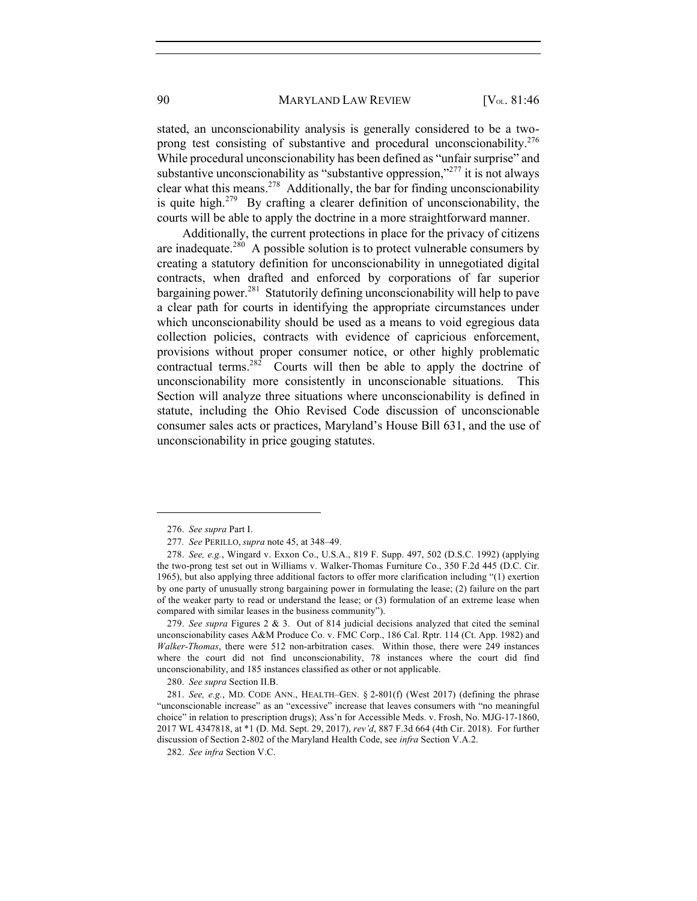stated, an unconscionability analysis is generally considered to be a twoprong test consisting of substantive and procedural unconscionability.<sup>276</sup> While procedural unconscionability has been defined as "unfair surprise" and substantive unconscionability as "substantive oppression,"<sup>277</sup> it is not always clear what this means.<sup>278</sup> Additionally, the bar for finding unconscionability is quite high.<sup>279</sup> By crafting a clearer definition of unconscionability, the courts will be able to apply the doctrine in a more straightforward manner.

Additionally, the current protections in place for the privacy of citizens are inadequate.<sup>280</sup> A possible solution is to protect vulnerable consumers by creating a statutory definition for unconscionability in unnegotiated digital contracts, when drafted and enforced by corporations of far superior bargaining power.<sup>281</sup> Statutorily defining unconscionability will help to pave a clear path for courts in identifying the appropriate circumstances under which unconscionability should be used as a means to void egregious data collection policies, contracts with evidence of capricious enforcement, provisions without proper consumer notice, or other highly problematic contractual terms. $282$  Courts will then be able to apply the doctrine of unconscionability more consistently in unconscionable situations. This Section will analyze three situations where unconscionability is defined in statute, including the Ohio Revised Code discussion of unconscionable consumer sales acts or practices, Maryland's House Bill 631, and the use of unconscionability in price gouging statutes.

279. *See supra* Figures 2 & 3. Out of 814 judicial decisions analyzed that cited the seminal unconscionability cases A&M Produce Co. v. FMC Corp., 186 Cal. Rptr. 114 (Ct. App. 1982) and *Walker-Thomas*, there were 512 non-arbitration cases. Within those, there were 249 instances where the court did not find unconscionability, 78 instances where the court did find unconscionability, and 185 instances classified as other or not applicable.

280. *See supra* Section II.B.

<sup>276.</sup> *See supra* Part I.

<sup>277</sup>*. See* PERILLO, *supra* note 45, at 348–49.

<sup>278.</sup> *See, e.g.*, Wingard v. Exxon Co., U.S.A., 819 F. Supp. 497, 502 (D.S.C. 1992) (applying the two-prong test set out in Williams v. Walker-Thomas Furniture Co., 350 F.2d 445 (D.C. Cir. 1965), but also applying three additional factors to offer more clarification including "(1) exertion by one party of unusually strong bargaining power in formulating the lease; (2) failure on the part of the weaker party to read or understand the lease; or (3) formulation of an extreme lease when compared with similar leases in the business community").

<sup>281.</sup> *See, e.g.*, MD. CODE ANN., HEALTH–GEN. § 2-801(f) (West 2017) (defining the phrase "unconscionable increase" as an "excessive" increase that leaves consumers with "no meaningful choice" in relation to prescription drugs); Ass'n for Accessible Meds. v. Frosh, No. MJG-17-1860, 2017 WL 4347818, at \*1 (D. Md. Sept. 29, 2017), *rev'd*, 887 F.3d 664 (4th Cir. 2018). For further discussion of Section 2-802 of the Maryland Health Code, see *infra* Section V.A.2.

<sup>282.</sup> *See infra* Section V.C.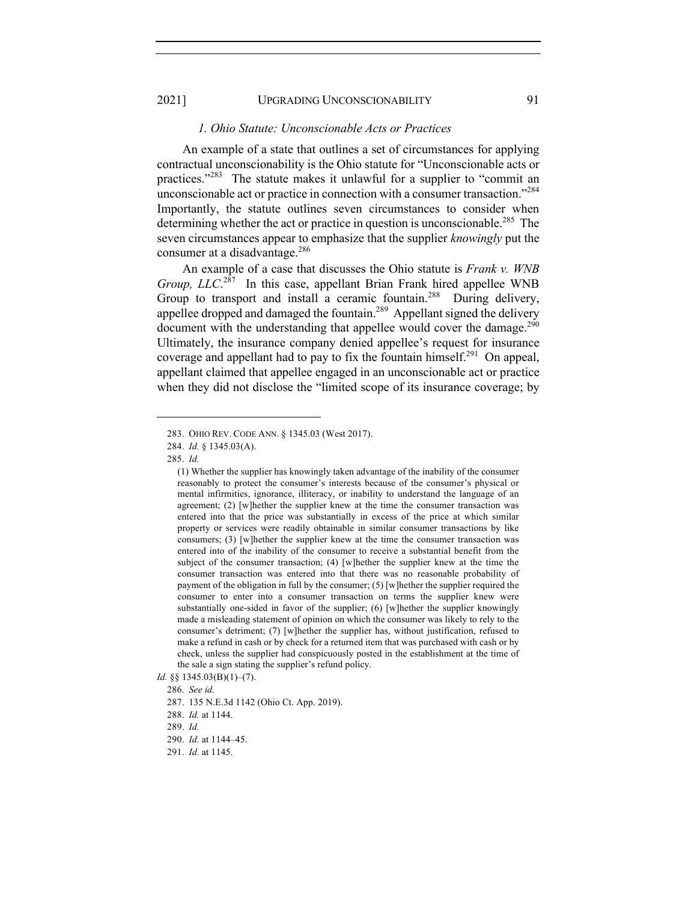#### *1. Ohio Statute: Unconscionable Acts or Practices*

An example of a state that outlines a set of circumstances for applying contractual unconscionability is the Ohio statute for "Unconscionable acts or practices."<sup>283</sup> The statute makes it unlawful for a supplier to "commit an unconscionable act or practice in connection with a consumer transaction."284 Importantly, the statute outlines seven circumstances to consider when determining whether the act or practice in question is unconscionable.<sup>285</sup> The seven circumstances appear to emphasize that the supplier *knowingly* put the consumer at a disadvantage. $286$ 

An example of a case that discusses the Ohio statute is *Frank v. WNB Group, LLC*. 287 In this case, appellant Brian Frank hired appellee WNB Group to transport and install a ceramic fountain.<sup>288</sup> During delivery, appellee dropped and damaged the fountain.<sup>289</sup> Appellant signed the delivery document with the understanding that appellee would cover the damage.<sup>290</sup> Ultimately, the insurance company denied appellee's request for insurance coverage and appellant had to pay to fix the fountain himself.<sup>291</sup> On appeal, appellant claimed that appellee engaged in an unconscionable act or practice when they did not disclose the "limited scope of its insurance coverage; by

<sup>283.</sup> OHIO REV. CODE ANN. § 1345.03 (West 2017).

<sup>284.</sup> *Id.* § 1345.03(A).

<sup>285.</sup> *Id.*

<sup>(1)</sup> Whether the supplier has knowingly taken advantage of the inability of the consumer reasonably to protect the consumer's interests because of the consumer's physical or mental infirmities, ignorance, illiteracy, or inability to understand the language of an agreement; (2) [w]hether the supplier knew at the time the consumer transaction was entered into that the price was substantially in excess of the price at which similar property or services were readily obtainable in similar consumer transactions by like consumers; (3) [w]hether the supplier knew at the time the consumer transaction was entered into of the inability of the consumer to receive a substantial benefit from the subject of the consumer transaction; (4) [w]hether the supplier knew at the time the consumer transaction was entered into that there was no reasonable probability of payment of the obligation in full by the consumer; (5) [w]hether the supplier required the consumer to enter into a consumer transaction on terms the supplier knew were substantially one-sided in favor of the supplier; (6) [w]hether the supplier knowingly made a misleading statement of opinion on which the consumer was likely to rely to the consumer's detriment; (7) [w]hether the supplier has, without justification, refused to make a refund in cash or by check for a returned item that was purchased with cash or by check, unless the supplier had conspicuously posted in the establishment at the time of the sale a sign stating the supplier's refund policy.

*Id.* §§ 1345.03(B)(1)–(7).

<sup>286.</sup> *See id.*

<sup>287.</sup> 135 N.E.3d 1142 (Ohio Ct. App. 2019).

<sup>288.</sup> *Id.* at 1144.

<sup>289.</sup> *Id.*

<sup>290.</sup> *Id.* at 1144–45.

<sup>291.</sup> *Id.* at 1145.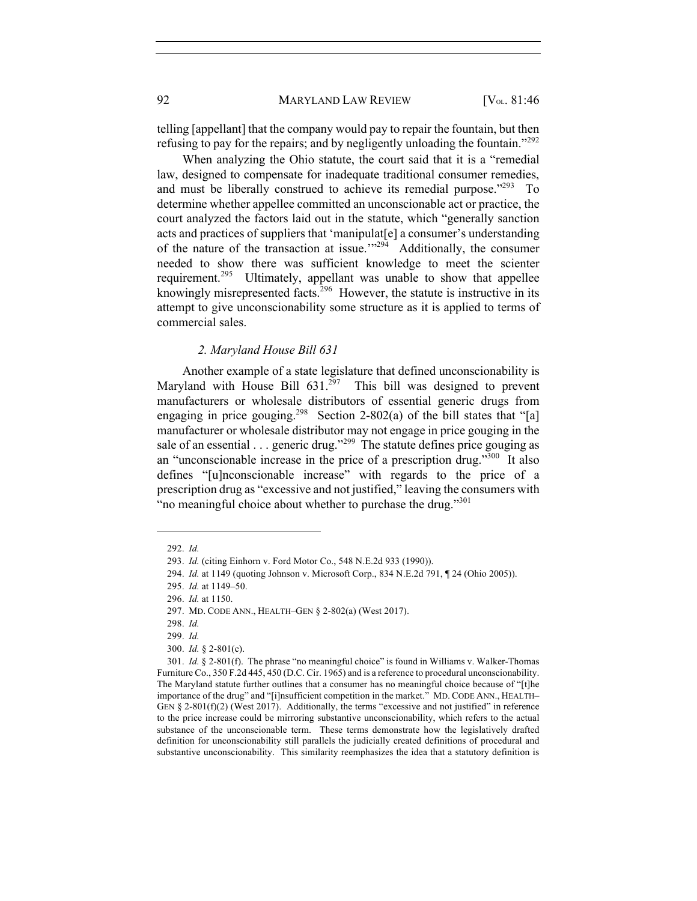telling [appellant] that the company would pay to repair the fountain, but then refusing to pay for the repairs; and by negligently unloading the fountain."<sup>292</sup>

When analyzing the Ohio statute, the court said that it is a "remedial law, designed to compensate for inadequate traditional consumer remedies, and must be liberally construed to achieve its remedial purpose."<sup>293</sup> To determine whether appellee committed an unconscionable act or practice, the court analyzed the factors laid out in the statute, which "generally sanction acts and practices of suppliers that 'manipulat[e] a consumer's understanding of the nature of the transaction at issue."<sup>294</sup> Additionally, the consumer needed to show there was sufficient knowledge to meet the scienter requirement.<sup>295</sup> Ultimately, appellant was unable to show that appellee knowingly misrepresented facts.<sup>296</sup> However, the statute is instructive in its attempt to give unconscionability some structure as it is applied to terms of commercial sales.

#### *2. Maryland House Bill 631*

Another example of a state legislature that defined unconscionability is Maryland with House Bill  $631.^{297}$  This bill was designed to prevent manufacturers or wholesale distributors of essential generic drugs from engaging in price gouging.<sup>298</sup> Section 2-802(a) of the bill states that "[a] manufacturer or wholesale distributor may not engage in price gouging in the sale of an essential  $\ldots$  generic drug."<sup>299</sup> The statute defines price gouging as an "unconscionable increase in the price of a prescription drug."<sup>300</sup> It also defines "[u]nconscionable increase" with regards to the price of a prescription drug as "excessive and not justified," leaving the consumers with "no meaningful choice about whether to purchase the drug."<sup>301</sup>

<sup>292.</sup> *Id.*

<sup>293.</sup> *Id.* (citing Einhorn v. Ford Motor Co., 548 N.E.2d 933 (1990)).

<sup>294.</sup> *Id.* at 1149 (quoting Johnson v. Microsoft Corp., 834 N.E.2d 791, ¶ 24 (Ohio 2005)).

<sup>295.</sup> *Id.* at 1149–50.

<sup>296.</sup> *Id.* at 1150.

<sup>297.</sup> MD. CODE ANN., HEALTH–GEN § 2-802(a) (West 2017).

<sup>298.</sup> *Id.* 

<sup>299.</sup> *Id.* 

<sup>300.</sup> *Id.* § 2-801(c).

<sup>301.</sup> *Id.* § 2-801(f). The phrase "no meaningful choice" is found in Williams v. Walker-Thomas Furniture Co., 350 F.2d 445, 450 (D.C. Cir. 1965) and is a reference to procedural unconscionability. The Maryland statute further outlines that a consumer has no meaningful choice because of "[t]he importance of the drug" and "[i]nsufficient competition in the market." MD. CODE ANN., HEALTH– GEN § 2-801(f)(2) (West 2017). Additionally, the terms "excessive and not justified" in reference to the price increase could be mirroring substantive unconscionability, which refers to the actual substance of the unconscionable term. These terms demonstrate how the legislatively drafted definition for unconscionability still parallels the judicially created definitions of procedural and substantive unconscionability. This similarity reemphasizes the idea that a statutory definition is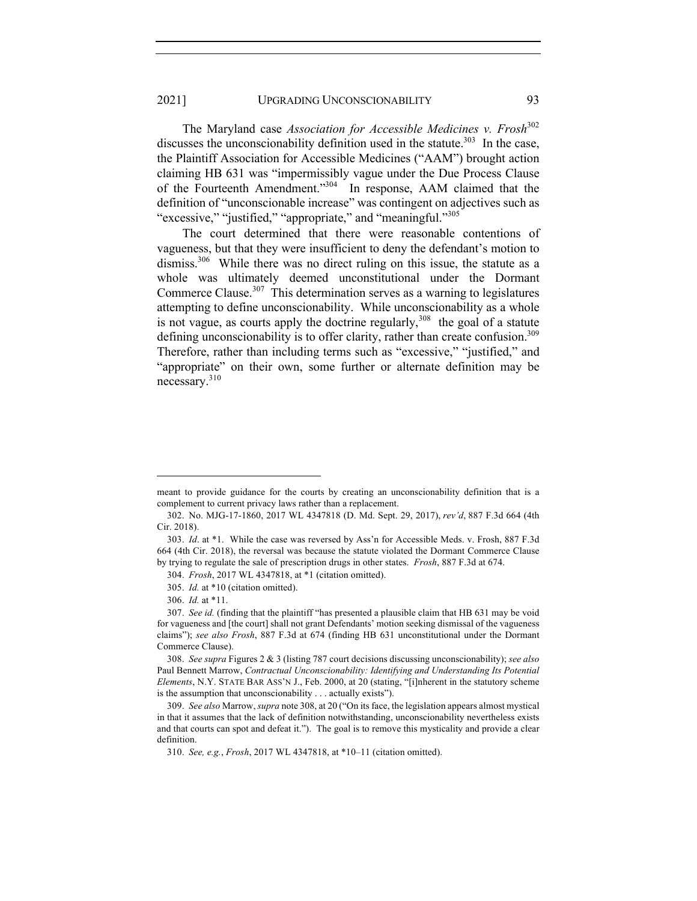The Maryland case *Association for Accessible Medicines v. Frosh*<sup>302</sup> discusses the unconscionability definition used in the statute.<sup>303</sup> In the case, the Plaintiff Association for Accessible Medicines ("AAM") brought action claiming HB 631 was "impermissibly vague under the Due Process Clause of the Fourteenth Amendment."304 In response, AAM claimed that the definition of "unconscionable increase" was contingent on adjectives such as "excessive," "justified," "appropriate," and "meaningful."<sup>305</sup>"

The court determined that there were reasonable contentions of vagueness, but that they were insufficient to deny the defendant's motion to dismiss.<sup>306</sup> While there was no direct ruling on this issue, the statute as a whole was ultimately deemed unconstitutional under the Dormant Commerce Clause.<sup>307</sup> This determination serves as a warning to legislatures attempting to define unconscionability. While unconscionability as a whole is not vague, as courts apply the doctrine regularly,  $308$  the goal of a statute defining unconscionability is to offer clarity, rather than create confusion.<sup>309</sup> Therefore, rather than including terms such as "excessive," "justified," and "appropriate" on their own, some further or alternate definition may be necessary.<sup>310</sup>

meant to provide guidance for the courts by creating an unconscionability definition that is a complement to current privacy laws rather than a replacement.

<sup>302.</sup> No. MJG-17-1860, 2017 WL 4347818 (D. Md. Sept. 29, 2017), *rev'd*, 887 F.3d 664 (4th Cir. 2018).

<sup>303.</sup> *Id*. at \*1. While the case was reversed by Ass'n for Accessible Meds. v. Frosh, 887 F.3d 664 (4th Cir. 2018), the reversal was because the statute violated the Dormant Commerce Clause by trying to regulate the sale of prescription drugs in other states. *Frosh*, 887 F.3d at 674.

<sup>304.</sup> *Frosh*, 2017 WL 4347818, at \*1 (citation omitted).

<sup>305.</sup> *Id.* at \*10 (citation omitted).

<sup>306.</sup> *Id.* at \*11.

<sup>307.</sup> *See id.* (finding that the plaintiff "has presented a plausible claim that HB 631 may be void for vagueness and [the court] shall not grant Defendants' motion seeking dismissal of the vagueness claims"); *see also Frosh*, 887 F.3d at 674 (finding HB 631 unconstitutional under the Dormant Commerce Clause).

<sup>308.</sup> *See supra* Figures 2 & 3 (listing 787 court decisions discussing unconscionability); *see also*  Paul Bennett Marrow, *Contractual Unconscionability: Identifying and Understanding Its Potential Elements*, N.Y. STATE BAR ASS'N J., Feb. 2000, at 20 (stating, "[i]nherent in the statutory scheme is the assumption that unconscionability . . . actually exists").

<sup>309.</sup> *See also* Marrow, *supra* note 308, at 20 ("On its face, the legislation appears almost mystical in that it assumes that the lack of definition notwithstanding, unconscionability nevertheless exists and that courts can spot and defeat it."). The goal is to remove this mysticality and provide a clear definition.

<sup>310.</sup> *See, e.g.*, *Frosh*, 2017 WL 4347818, at \*10–11 (citation omitted).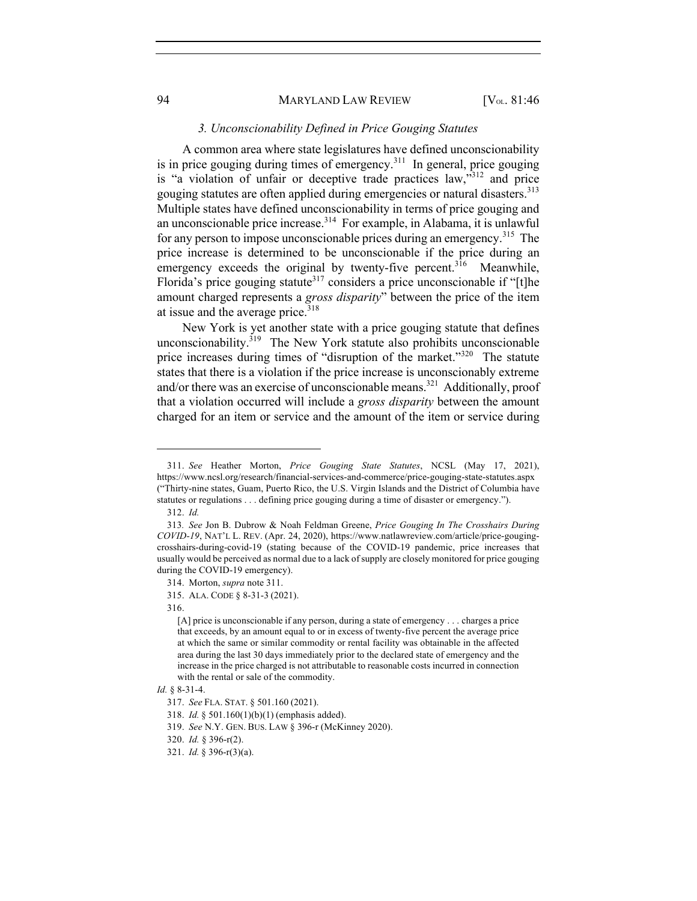#### *3. Unconscionability Defined in Price Gouging Statutes*

A common area where state legislatures have defined unconscionability is in price gouging during times of emergency.<sup>311</sup> In general, price gouging is "a violation of unfair or deceptive trade practices law,  $\frac{1}{3}$  and price gouging statutes are often applied during emergencies or natural disasters.<sup>313</sup> Multiple states have defined unconscionability in terms of price gouging and an unconscionable price increase.314 For example, in Alabama, it is unlawful for any person to impose unconscionable prices during an emergency.<sup>315</sup> The price increase is determined to be unconscionable if the price during an emergency exceeds the original by twenty-five percent.<sup>316</sup> Meanwhile, Florida's price gouging statute<sup>317</sup> considers a price unconscionable if "[t]he amount charged represents a *gross disparity*" between the price of the item at issue and the average price.<sup>318</sup>

New York is yet another state with a price gouging statute that defines unconscionability. $319$  The New York statute also prohibits unconscionable price increases during times of "disruption of the market."<sup>320</sup> The statute states that there is a violation if the price increase is unconscionably extreme and/or there was an exercise of unconscionable means.<sup>321</sup> Additionally, proof that a violation occurred will include a *gross disparity* between the amount charged for an item or service and the amount of the item or service during

<sup>311.</sup> *See* Heather Morton, *Price Gouging State Statutes*, NCSL (May 17, 2021), https://www.ncsl.org/research/financial-services-and-commerce/price-gouging-state-statutes.aspx ("Thirty-nine states, Guam, Puerto Rico, the U.S. Virgin Islands and the District of Columbia have statutes or regulations . . . defining price gouging during a time of disaster or emergency.").

<sup>312.</sup> *Id.*

<sup>313</sup>*. See* Jon B. Dubrow & Noah Feldman Greene, *Price Gouging In The Crosshairs During COVID-19*, NAT'L L. REV. (Apr. 24, 2020), https://www.natlawreview.com/article/price-gougingcrosshairs-during-covid-19 (stating because of the COVID-19 pandemic, price increases that usually would be perceived as normal due to a lack of supply are closely monitored for price gouging during the COVID-19 emergency).

<sup>314.</sup> Morton, *supra* note 311.

<sup>315.</sup> ALA. CODE § 8-31-3 (2021).

<sup>316.</sup>

<sup>[</sup>A] price is unconscionable if any person, during a state of emergency . . . charges a price that exceeds, by an amount equal to or in excess of twenty-five percent the average price at which the same or similar commodity or rental facility was obtainable in the affected area during the last 30 days immediately prior to the declared state of emergency and the increase in the price charged is not attributable to reasonable costs incurred in connection with the rental or sale of the commodity.

*Id.* § 8-31-4.

<sup>317.</sup> *See* FLA. STAT. § 501.160 (2021).

<sup>318.</sup> *Id.* § 501.160(1)(b)(1) (emphasis added).

<sup>319.</sup> *See* N.Y. GEN. BUS. LAW § 396-r (McKinney 2020).

<sup>320.</sup> *Id.* § 396-r(2).

<sup>321.</sup> *Id.* § 396-r(3)(a).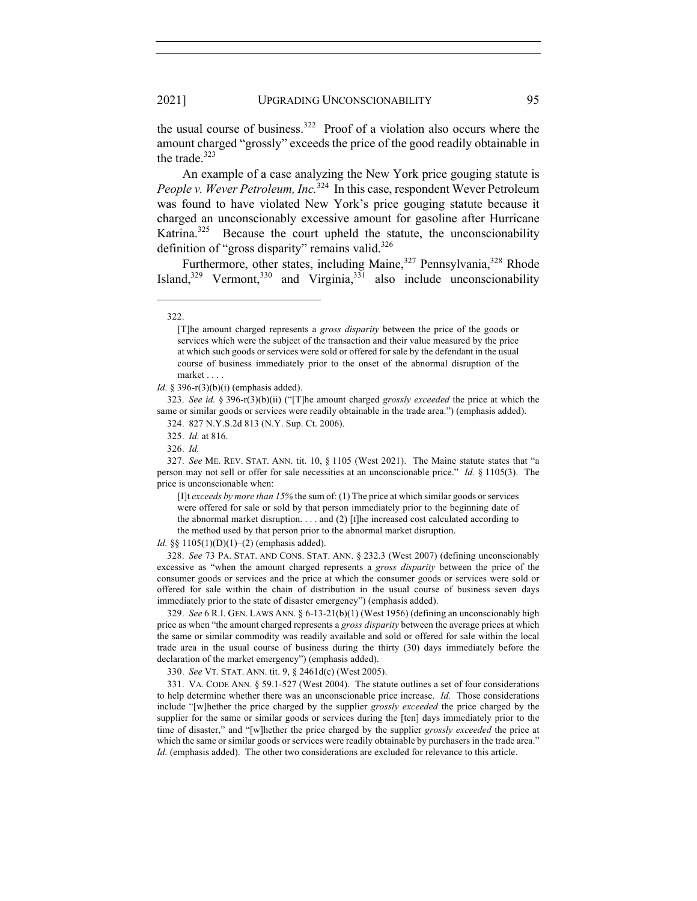the usual course of business.<sup>322</sup> Proof of a violation also occurs where the amount charged "grossly" exceeds the price of the good readily obtainable in the trade. $323$ 

An example of a case analyzing the New York price gouging statute is *People v. Wever Petroleum, Inc.*<sup>324</sup> In this case, respondent Wever Petroleum was found to have violated New York's price gouging statute because it charged an unconscionably excessive amount for gasoline after Hurricane Katrina.<sup>325</sup> Because the court upheld the statute, the unconscionability definition of "gross disparity" remains valid.<sup>326</sup>

Furthermore, other states, including Maine,<sup>327</sup> Pennsylvania,<sup>328</sup> Rhode Island, $329$  Vermont,  $330$  and Virginia,  $331$  also include unconscionability

323. *See id.* § 396-r(3)(b)(ii) ("[T]he amount charged *grossly exceeded* the price at which the same or similar goods or services were readily obtainable in the trade area.") (emphasis added).

327. *See* ME. REV. STAT. ANN. tit. 10, § 1105 (West 2021). The Maine statute states that "a person may not sell or offer for sale necessities at an unconscionable price." *Id.* § 1105(3). The price is unconscionable when:

[I]t *exceeds by more than 15%* the sum of: (1) The price at which similar goods or services were offered for sale or sold by that person immediately prior to the beginning date of the abnormal market disruption. . . . and (2) [t]he increased cost calculated according to the method used by that person prior to the abnormal market disruption.

*Id.* §§ 1105(1)(D)(1)–(2) (emphasis added).

328. *See* 73 PA. STAT. AND CONS. STAT. ANN. § 232.3 (West 2007) (defining unconscionably excessive as "when the amount charged represents a *gross disparity* between the price of the consumer goods or services and the price at which the consumer goods or services were sold or offered for sale within the chain of distribution in the usual course of business seven days immediately prior to the state of disaster emergency") (emphasis added).

329. *See* 6 R.I. GEN. LAWS ANN. § 6-13-21(b)(1) (West 1956) (defining an unconscionably high price as when "the amount charged represents a *gross disparity* between the average prices at which the same or similar commodity was readily available and sold or offered for sale within the local trade area in the usual course of business during the thirty (30) days immediately before the declaration of the market emergency") (emphasis added).

330. *See* VT. STAT. ANN. tit. 9, § 2461d(c) (West 2005).

331. VA. CODE ANN. § 59.1-527 (West 2004). The statute outlines a set of four considerations to help determine whether there was an unconscionable price increase. *Id.* Those considerations include "[w]hether the price charged by the supplier *grossly exceeded* the price charged by the supplier for the same or similar goods or services during the [ten] days immediately prior to the time of disaster," and "[w]hether the price charged by the supplier *grossly exceeded* the price at which the same or similar goods or services were readily obtainable by purchasers in the trade area." *Id.* (emphasis added). The other two considerations are excluded for relevance to this article.

<sup>322.</sup>

<sup>[</sup>T]he amount charged represents a *gross disparity* between the price of the goods or services which were the subject of the transaction and their value measured by the price at which such goods or services were sold or offered for sale by the defendant in the usual course of business immediately prior to the onset of the abnormal disruption of the market . . . .

*Id.* § 396-r(3)(b)(i) (emphasis added).

<sup>324.</sup> 827 N.Y.S.2d 813 (N.Y. Sup. Ct. 2006).

<sup>325.</sup> *Id.* at 816.

<sup>326.</sup> *Id.*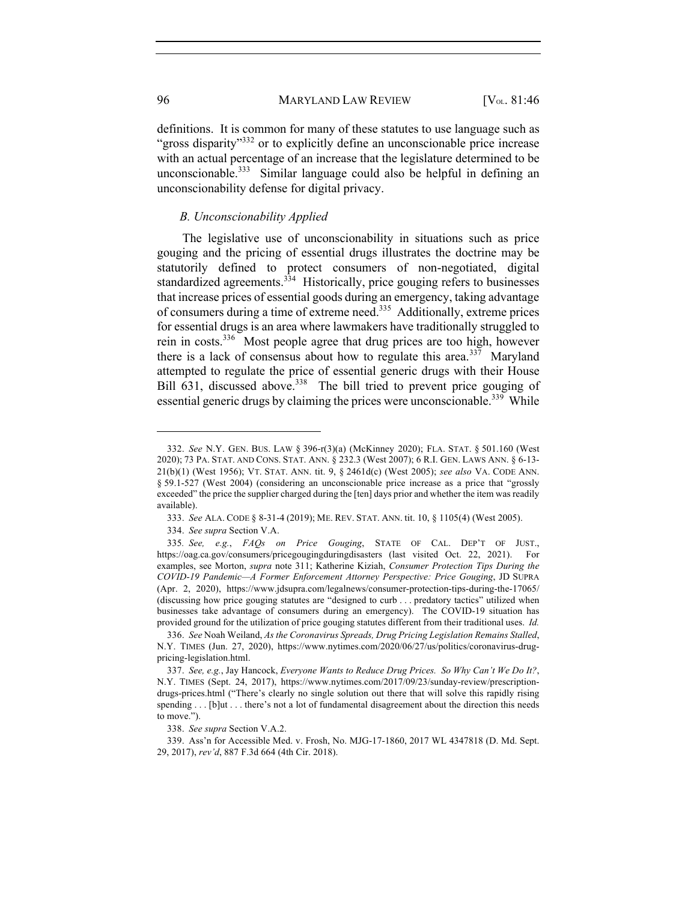definitions. It is common for many of these statutes to use language such as "gross disparity"<sup>332</sup> or to explicitly define an unconscionable price increase with an actual percentage of an increase that the legislature determined to be unconscionable.<sup>333</sup> Similar language could also be helpful in defining an unconscionability defense for digital privacy.

#### *B. Unconscionability Applied*

The legislative use of unconscionability in situations such as price gouging and the pricing of essential drugs illustrates the doctrine may be statutorily defined to protect consumers of non-negotiated, digital standardized agreements.<sup>334</sup> Historically, price gouging refers to businesses that increase prices of essential goods during an emergency, taking advantage of consumers during a time of extreme need.335 Additionally, extreme prices for essential drugs is an area where lawmakers have traditionally struggled to rein in costs.336 Most people agree that drug prices are too high, however there is a lack of consensus about how to regulate this area.<sup>337</sup> Maryland attempted to regulate the price of essential generic drugs with their House Bill 631, discussed above.<sup>338</sup> The bill tried to prevent price gouging of essential generic drugs by claiming the prices were unconscionable.<sup>339</sup> While

<sup>332.</sup> *See* N.Y. GEN. BUS. LAW § 396-r(3)(a) (McKinney 2020); FLA. STAT. § 501.160 (West 2020); 73 PA. STAT. AND CONS. STAT. ANN. § 232.3 (West 2007); 6 R.I. GEN. LAWS ANN. § 6-13- 21(b)(1) (West 1956); VT. STAT. ANN. tit. 9, § 2461d(c) (West 2005); *see also* VA. CODE ANN. § 59.1-527 (West 2004) (considering an unconscionable price increase as a price that "grossly exceeded" the price the supplier charged during the [ten] days prior and whether the item was readily available).

<sup>333.</sup> *See* ALA. CODE § 8-31-4 (2019); ME. REV. STAT. ANN. tit. 10, § 1105(4) (West 2005).

<sup>334.</sup> *See supra* Section V.A.

<sup>335</sup>*. See, e.g.*, *FAQs on Price Gouging*, STATE OF CAL. DEP'T OF JUST., https://oag.ca.gov/consumers/pricegougingduringdisasters (last visited Oct. 22, 2021). For examples, see Morton, *supra* note 311; Katherine Kiziah, *Consumer Protection Tips During the COVID-19 Pandemic—A Former Enforcement Attorney Perspective: Price Gouging*, JD SUPRA (Apr. 2, 2020), https://www.jdsupra.com/legalnews/consumer-protection-tips-during-the-17065/ (discussing how price gouging statutes are "designed to curb . . . predatory tactics" utilized when businesses take advantage of consumers during an emergency). The COVID-19 situation has provided ground for the utilization of price gouging statutes different from their traditional uses. *Id.*

<sup>336.</sup> *See* Noah Weiland, *As the Coronavirus Spreads, Drug Pricing Legislation Remains Stalled*, N.Y. TIMES (Jun. 27, 2020), https://www.nytimes.com/2020/06/27/us/politics/coronavirus-drugpricing-legislation.html.

<sup>337.</sup> *See, e.g.*, Jay Hancock, *Everyone Wants to Reduce Drug Prices. So Why Can't We Do It?*, N.Y. TIMES (Sept. 24, 2017), https://www.nytimes.com/2017/09/23/sunday-review/prescriptiondrugs-prices.html ("There's clearly no single solution out there that will solve this rapidly rising spending . . . [b]ut . . . there's not a lot of fundamental disagreement about the direction this needs to move.").

<sup>338.</sup> *See supra* Section V.A.2.

<sup>339.</sup> Ass'n for Accessible Med. v. Frosh, No. MJG-17-1860, 2017 WL 4347818 (D. Md. Sept. 29, 2017), *rev'd*, 887 F.3d 664 (4th Cir. 2018).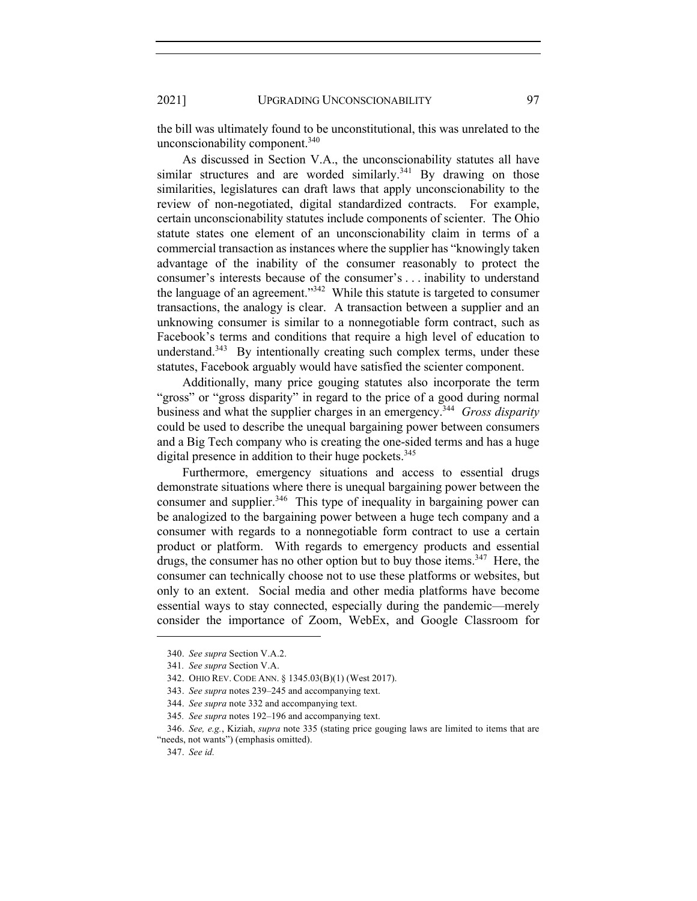the bill was ultimately found to be unconstitutional, this was unrelated to the unconscionability component.<sup>340</sup>

As discussed in Section V.A., the unconscionability statutes all have similar structures and are worded similarly.<sup>341</sup> By drawing on those similarities, legislatures can draft laws that apply unconscionability to the review of non-negotiated, digital standardized contracts. For example, certain unconscionability statutes include components of scienter. The Ohio statute states one element of an unconscionability claim in terms of a commercial transaction as instances where the supplier has "knowingly taken advantage of the inability of the consumer reasonably to protect the consumer's interests because of the consumer's . . . inability to understand the language of an agreement."<sup>342</sup> While this statute is targeted to consumer transactions, the analogy is clear. A transaction between a supplier and an unknowing consumer is similar to a nonnegotiable form contract, such as Facebook's terms and conditions that require a high level of education to understand.<sup>343</sup> By intentionally creating such complex terms, under these statutes, Facebook arguably would have satisfied the scienter component.

Additionally, many price gouging statutes also incorporate the term "gross" or "gross disparity" in regard to the price of a good during normal business and what the supplier charges in an emergency.344 *Gross disparity* could be used to describe the unequal bargaining power between consumers and a Big Tech company who is creating the one-sided terms and has a huge digital presence in addition to their huge pockets. $345$ 

Furthermore, emergency situations and access to essential drugs demonstrate situations where there is unequal bargaining power between the consumer and supplier.<sup>346</sup> This type of inequality in bargaining power can be analogized to the bargaining power between a huge tech company and a consumer with regards to a nonnegotiable form contract to use a certain product or platform. With regards to emergency products and essential drugs, the consumer has no other option but to buy those items.<sup>347</sup> Here, the consumer can technically choose not to use these platforms or websites, but only to an extent. Social media and other media platforms have become essential ways to stay connected, especially during the pandemic—merely consider the importance of Zoom, WebEx, and Google Classroom for

<sup>340.</sup> *See supra* Section V.A.2.

<sup>341</sup>*. See supra* Section V.A.

<sup>342.</sup> OHIO REV. CODE ANN. § 1345.03(B)(1) (West 2017).

<sup>343.</sup> *See supra* notes 239–245 and accompanying text.

<sup>344.</sup> *See supra* note 332 and accompanying text.

<sup>345</sup>*. See supra* notes 192–196 and accompanying text.

<sup>346.</sup> *See, e.g.*, Kiziah, *supra* note 335 (stating price gouging laws are limited to items that are "needs, not wants") (emphasis omitted).

<sup>347.</sup> *See id.*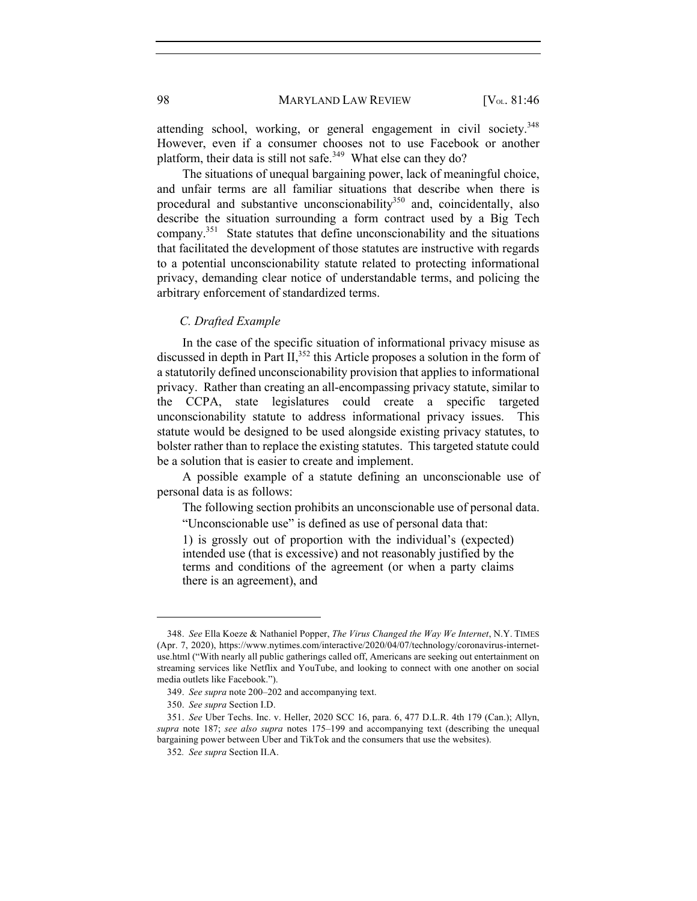attending school, working, or general engagement in civil society.<sup>348</sup> However, even if a consumer chooses not to use Facebook or another platform, their data is still not safe.<sup>349</sup> What else can they do?

The situations of unequal bargaining power, lack of meaningful choice, and unfair terms are all familiar situations that describe when there is procedural and substantive unconscionability $350$  and, coincidentally, also describe the situation surrounding a form contract used by a Big Tech company.351 State statutes that define unconscionability and the situations that facilitated the development of those statutes are instructive with regards to a potential unconscionability statute related to protecting informational privacy, demanding clear notice of understandable terms, and policing the arbitrary enforcement of standardized terms.

#### *C. Drafted Example*

In the case of the specific situation of informational privacy misuse as discussed in depth in Part II,  $352$  this Article proposes a solution in the form of a statutorily defined unconscionability provision that applies to informational privacy. Rather than creating an all-encompassing privacy statute, similar to the CCPA, state legislatures could create a specific targeted unconscionability statute to address informational privacy issues. This statute would be designed to be used alongside existing privacy statutes, to bolster rather than to replace the existing statutes. This targeted statute could be a solution that is easier to create and implement.

A possible example of a statute defining an unconscionable use of personal data is as follows:

The following section prohibits an unconscionable use of personal data.

"Unconscionable use" is defined as use of personal data that:

1) is grossly out of proportion with the individual's (expected) intended use (that is excessive) and not reasonably justified by the terms and conditions of the agreement (or when a party claims there is an agreement), and

<sup>348.</sup> *See* Ella Koeze & Nathaniel Popper, *The Virus Changed the Way We Internet*, N.Y. TIMES (Apr. 7, 2020), https://www.nytimes.com/interactive/2020/04/07/technology/coronavirus-internetuse.html ("With nearly all public gatherings called off, Americans are seeking out entertainment on streaming services like Netflix and YouTube, and looking to connect with one another on social media outlets like Facebook.").

<sup>349.</sup> *See supra* note 200–202 and accompanying text.

<sup>350.</sup> *See supra* Section I.D.

<sup>351.</sup> *See* Uber Techs. Inc. v. Heller, 2020 SCC 16, para. 6, 477 D.L.R. 4th 179 (Can.); Allyn, *supra* note 187; *see also supra* notes 175–199 and accompanying text (describing the unequal bargaining power between Uber and TikTok and the consumers that use the websites).

<sup>352</sup>*. See supra* Section II.A.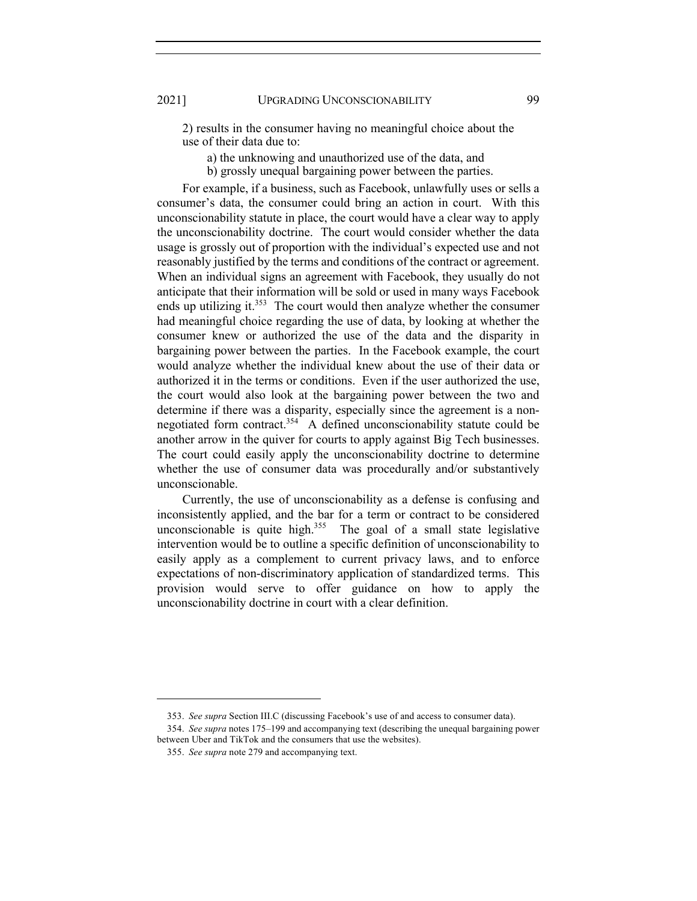2) results in the consumer having no meaningful choice about the use of their data due to:

- a) the unknowing and unauthorized use of the data, and
- b) grossly unequal bargaining power between the parties.

For example, if a business, such as Facebook, unlawfully uses or sells a consumer's data, the consumer could bring an action in court. With this unconscionability statute in place, the court would have a clear way to apply the unconscionability doctrine. The court would consider whether the data usage is grossly out of proportion with the individual's expected use and not reasonably justified by the terms and conditions of the contract or agreement. When an individual signs an agreement with Facebook, they usually do not anticipate that their information will be sold or used in many ways Facebook ends up utilizing it. $353$  The court would then analyze whether the consumer had meaningful choice regarding the use of data, by looking at whether the consumer knew or authorized the use of the data and the disparity in bargaining power between the parties. In the Facebook example, the court would analyze whether the individual knew about the use of their data or authorized it in the terms or conditions. Even if the user authorized the use, the court would also look at the bargaining power between the two and determine if there was a disparity, especially since the agreement is a nonnegotiated form contract.<sup>354</sup> A defined unconscionability statute could be another arrow in the quiver for courts to apply against Big Tech businesses. The court could easily apply the unconscionability doctrine to determine whether the use of consumer data was procedurally and/or substantively unconscionable.

Currently, the use of unconscionability as a defense is confusing and inconsistently applied, and the bar for a term or contract to be considered unconscionable is quite high. $355$  The goal of a small state legislative intervention would be to outline a specific definition of unconscionability to easily apply as a complement to current privacy laws, and to enforce expectations of non-discriminatory application of standardized terms. This provision would serve to offer guidance on how to apply the unconscionability doctrine in court with a clear definition.

<sup>353.</sup> *See supra* Section III.C (discussing Facebook's use of and access to consumer data).

<sup>354.</sup> *See supra* notes 175–199 and accompanying text (describing the unequal bargaining power between Uber and TikTok and the consumers that use the websites).

<sup>355.</sup> *See supra* note 279 and accompanying text.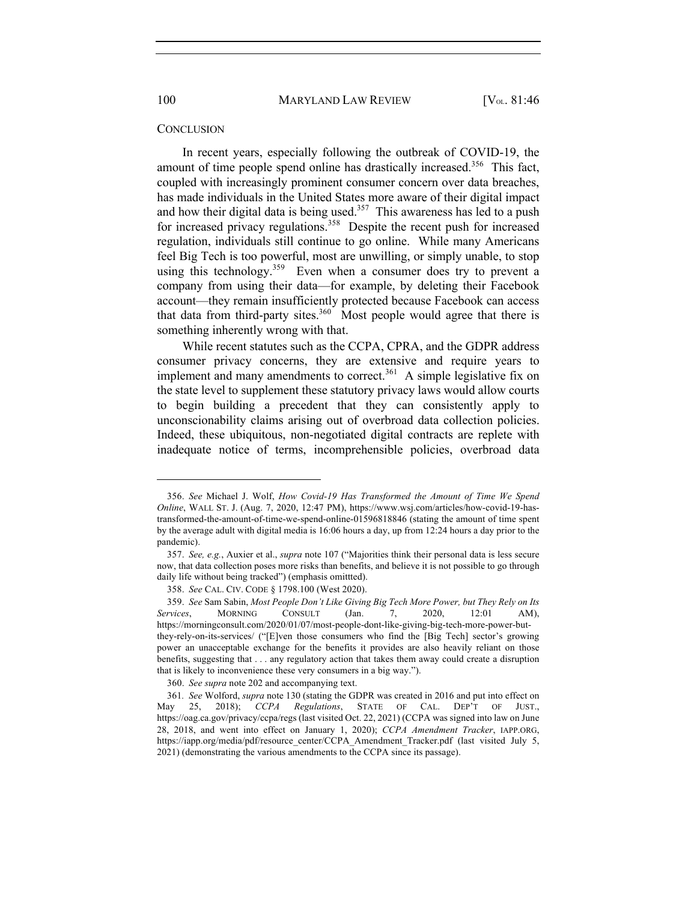#### **CONCLUSION**

In recent years, especially following the outbreak of COVID-19, the amount of time people spend online has drastically increased.<sup>356</sup> This fact, coupled with increasingly prominent consumer concern over data breaches, has made individuals in the United States more aware of their digital impact and how their digital data is being used.<sup>357</sup> This awareness has led to a push for increased privacy regulations.<sup>358</sup> Despite the recent push for increased regulation, individuals still continue to go online. While many Americans feel Big Tech is too powerful, most are unwilling, or simply unable, to stop using this technology.<sup>359</sup> Even when a consumer does try to prevent a company from using their data—for example, by deleting their Facebook account—they remain insufficiently protected because Facebook can access that data from third-party sites.<sup>360</sup> Most people would agree that there is something inherently wrong with that.

While recent statutes such as the CCPA, CPRA, and the GDPR address consumer privacy concerns, they are extensive and require years to implement and many amendments to correct.<sup>361</sup> A simple legislative fix on the state level to supplement these statutory privacy laws would allow courts to begin building a precedent that they can consistently apply to unconscionability claims arising out of overbroad data collection policies. Indeed, these ubiquitous, non-negotiated digital contracts are replete with inadequate notice of terms, incomprehensible policies, overbroad data

<sup>356.</sup> *See* Michael J. Wolf, *How Covid-19 Has Transformed the Amount of Time We Spend Online*, WALL ST. J. (Aug. 7, 2020, 12:47 PM), https://www.wsj.com/articles/how-covid-19-hastransformed-the-amount-of-time-we-spend-online-01596818846 (stating the amount of time spent by the average adult with digital media is 16:06 hours a day, up from 12:24 hours a day prior to the pandemic).

<sup>357.</sup> *See, e.g.*, Auxier et al., *supra* note 107 ("Majorities think their personal data is less secure now, that data collection poses more risks than benefits, and believe it is not possible to go through daily life without being tracked") (emphasis omittted).

<sup>358.</sup> *See* CAL. CIV. CODE § 1798.100 (West 2020).

<sup>359.</sup> *See* Sam Sabin, *Most People Don't Like Giving Big Tech More Power, but They Rely on Its Services*, MORNING CONSULT (Jan. 7, 2020, 12:01 AM), https://morningconsult.com/2020/01/07/most-people-dont-like-giving-big-tech-more-power-butthey-rely-on-its-services/ ("[E]ven those consumers who find the [Big Tech] sector's growing power an unacceptable exchange for the benefits it provides are also heavily reliant on those benefits, suggesting that . . . any regulatory action that takes them away could create a disruption that is likely to inconvenience these very consumers in a big way.").

<sup>360.</sup> *See supra* note 202 and accompanying text.

<sup>361</sup>*. See* Wolford, *supra* note 130 (stating the GDPR was created in 2016 and put into effect on May 25, 2018); *CCPA Regulations*, STATE OF CAL. DEP'T OF JUST., https://oag.ca.gov/privacy/ccpa/regs (last visited Oct. 22, 2021) (CCPA was signed into law on June 28, 2018, and went into effect on January 1, 2020); *CCPA Amendment Tracker*, IAPP.ORG, https://iapp.org/media/pdf/resource\_center/CCPA\_Amendment\_Tracker.pdf (last visited July 5, 2021) (demonstrating the various amendments to the CCPA since its passage).